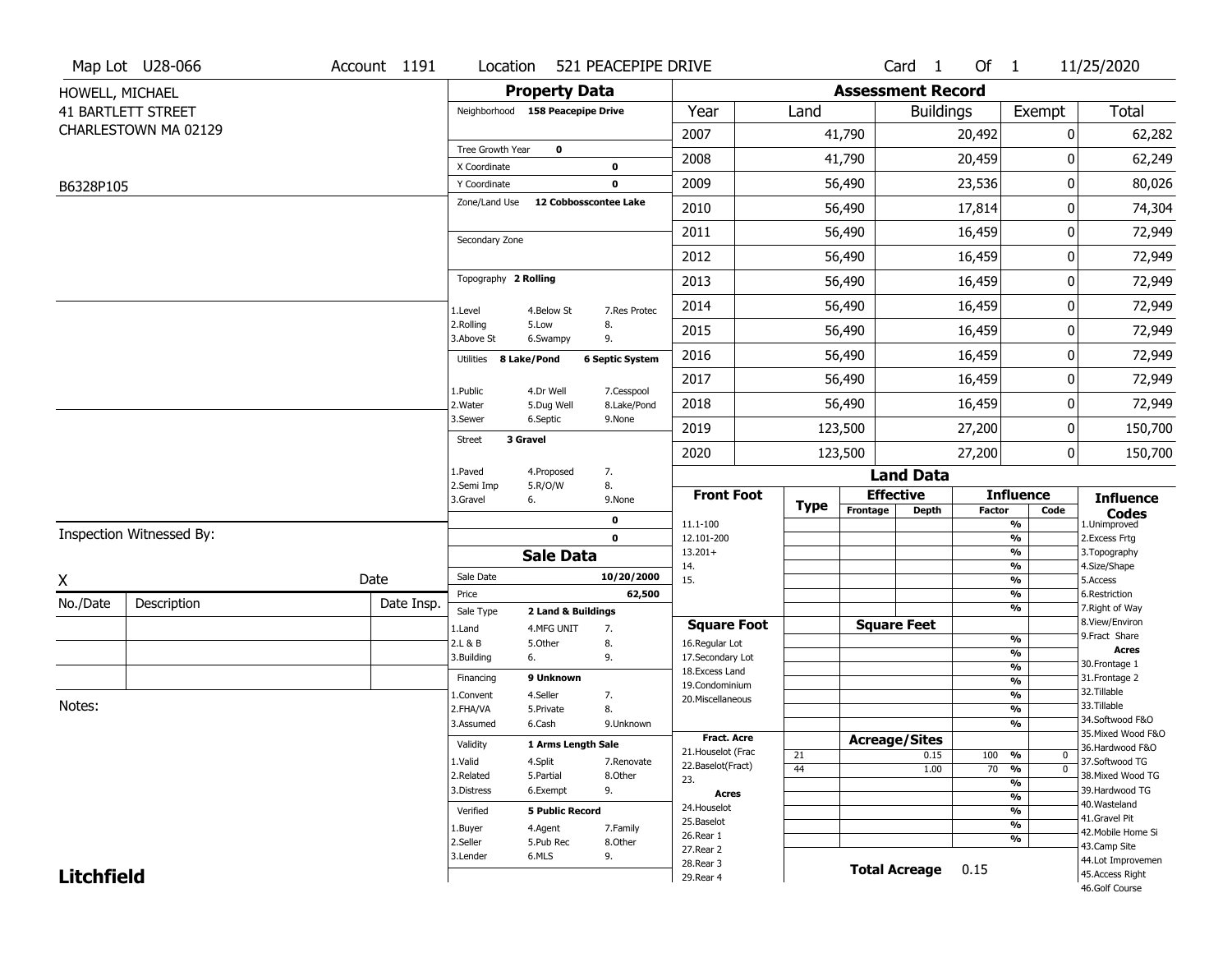|                   | Map Lot U28-066           | Account 1191 | Location                         |                                  | 521 PEACEPIPE DRIVE                  |                                         |             |                          | Card 1               | Of $1$        |                                | 11/25/2020                            |
|-------------------|---------------------------|--------------|----------------------------------|----------------------------------|--------------------------------------|-----------------------------------------|-------------|--------------------------|----------------------|---------------|--------------------------------|---------------------------------------|
| HOWELL, MICHAEL   |                           |              |                                  | <b>Property Data</b>             |                                      |                                         |             | <b>Assessment Record</b> |                      |               |                                |                                       |
|                   | <b>41 BARTLETT STREET</b> |              | Neighborhood 158 Peacepipe Drive |                                  |                                      | Year                                    | Land        |                          | <b>Buildings</b>     |               | Exempt                         | Total                                 |
|                   | CHARLESTOWN MA 02129      |              |                                  |                                  |                                      | 2007                                    |             | 41,790                   |                      | 20,492        |                                | 0<br>62,282                           |
|                   |                           |              | Tree Growth Year                 | $\mathbf 0$                      |                                      | 2008                                    |             | 41,790                   |                      | 20,459        |                                | $\Omega$<br>62,249                    |
|                   |                           |              | X Coordinate                     |                                  | $\mathbf 0$                          |                                         |             |                          |                      |               |                                |                                       |
| B6328P105         |                           |              | Y Coordinate<br>Zone/Land Use    |                                  | $\mathbf 0$<br>12 Cobbosscontee Lake | 2009                                    |             | 56,490                   |                      | 23,536        |                                | 0<br>80,026                           |
|                   |                           |              |                                  |                                  |                                      | 2010                                    |             | 56,490                   |                      | 17,814        |                                | 74,304<br>0                           |
|                   |                           |              | Secondary Zone                   |                                  |                                      | 2011                                    |             | 56,490                   |                      | 16,459        |                                | 72,949<br>0                           |
|                   |                           |              |                                  |                                  |                                      | 2012                                    |             | 56,490                   |                      | 16,459        |                                | 0<br>72,949                           |
|                   |                           |              | Topography 2 Rolling             |                                  |                                      | 2013                                    |             | 56,490                   |                      | 16,459        |                                | 72,949<br>0                           |
|                   |                           |              | 1.Level                          | 4.Below St                       | 7.Res Protec                         | 2014                                    |             | 56,490                   |                      | 16,459        |                                | 72,949<br>0                           |
|                   |                           |              | 2.Rolling<br>3.Above St          | 5.Low<br>6.Swampy                | 8.<br>9.                             | 2015                                    |             | 56,490                   |                      | 16,459        |                                | 0<br>72,949                           |
|                   |                           |              | Utilities 8 Lake/Pond            |                                  | <b>6 Septic System</b>               | 2016                                    |             | 56,490                   |                      | 16,459        |                                | 0<br>72,949                           |
|                   |                           |              | 1.Public                         | 4.Dr Well                        | 7.Cesspool                           | 2017                                    |             | 56,490                   |                      | 16,459        |                                | 72,949<br>0                           |
|                   |                           |              | 2. Water                         | 5.Dug Well                       | 8.Lake/Pond                          | 2018                                    |             | 56,490                   |                      | 16,459        |                                | 0<br>72,949                           |
|                   |                           |              | 3.Sewer                          | 6.Septic<br>3 Gravel             | 9.None                               | 2019                                    |             | 123,500                  |                      | 27,200        |                                | 0<br>150,700                          |
|                   |                           |              | <b>Street</b>                    |                                  |                                      | 2020                                    |             | 123,500                  |                      | 27,200        |                                | $\mathbf 0$<br>150,700                |
|                   |                           |              | 1.Paved<br>2.Semi Imp            | 4.Proposed<br>5.R/O/W            | 7.<br>8.                             |                                         |             |                          | <b>Land Data</b>     |               |                                |                                       |
|                   |                           |              | 3.Gravel                         | 6.                               | 9.None                               | <b>Front Foot</b>                       | <b>Type</b> | <b>Effective</b>         |                      |               | <b>Influence</b>               | <b>Influence</b>                      |
|                   |                           |              |                                  |                                  | 0                                    | 11.1-100                                |             | Frontage                 | <b>Depth</b>         | <b>Factor</b> | Code<br>%                      | <b>Codes</b><br>1.Unimproved          |
|                   | Inspection Witnessed By:  |              |                                  |                                  | $\mathbf 0$                          | 12.101-200                              |             |                          |                      |               | %                              | 2.Excess Frtg                         |
|                   |                           |              |                                  | <b>Sale Data</b>                 |                                      | $13.201+$<br>14.                        |             |                          |                      |               | %<br>%                         | 3. Topography<br>4.Size/Shape         |
| X                 |                           | Date         | Sale Date                        |                                  | 10/20/2000                           | 15.                                     |             |                          |                      |               | %                              | 5.Access                              |
| No./Date          | Description               | Date Insp.   | Price                            |                                  | 62,500                               |                                         |             |                          |                      |               | %<br>%                         | 6.Restriction<br>7. Right of Way      |
|                   |                           |              | Sale Type<br>1.Land              | 2 Land & Buildings<br>4.MFG UNIT | 7.                                   | <b>Square Foot</b>                      |             | <b>Square Feet</b>       |                      |               |                                | 8.View/Environ                        |
|                   |                           |              | 2.L & B                          | 5.Other                          | 8.                                   | 16.Regular Lot                          |             |                          |                      |               | %                              | 9.Fract Share                         |
|                   |                           |              | 3.Building                       | 6.                               | 9.                                   | 17.Secondary Lot                        |             |                          |                      |               | %<br>$\frac{9}{6}$             | <b>Acres</b><br>30.Frontage 1         |
|                   |                           |              | Financing                        | 9 Unknown                        |                                      | 18.Excess Land<br>19.Condominium        |             |                          |                      |               | $\frac{9}{6}$                  | 31. Frontage 2                        |
|                   |                           |              | 1.Convent                        | 4.Seller                         | 7.                                   | 20.Miscellaneous                        |             |                          |                      |               | $\frac{9}{6}$                  | 32.Tillable                           |
| Notes:            |                           |              | 2.FHA/VA                         | 5.Private                        | 8.                                   |                                         |             |                          |                      |               | $\frac{9}{6}$                  | 33.Tillable                           |
|                   |                           |              | 3.Assumed                        | 6.Cash                           | 9.Unknown                            |                                         |             |                          |                      |               | %                              | 34.Softwood F&O                       |
|                   |                           |              | Validity                         | 1 Arms Length Sale               |                                      | <b>Fract. Acre</b>                      |             | <b>Acreage/Sites</b>     |                      |               |                                | 35. Mixed Wood F&O<br>36.Hardwood F&O |
|                   |                           |              | 1.Valid                          | 4.Split                          | 7.Renovate                           | 21. Houselot (Frac<br>22.Baselot(Fract) | 21          |                          | 0.15                 | 100           | %<br>$\mathbf 0$               | 37.Softwood TG                        |
|                   |                           |              | 2.Related                        | 5.Partial                        | 8.Other                              | 23.                                     | 44          |                          | 1.00                 | 70            | $\frac{9}{6}$<br>$\mathbf{0}$  | 38. Mixed Wood TG                     |
|                   |                           |              | 3.Distress                       | 6.Exempt                         | 9.                                   | <b>Acres</b>                            |             |                          |                      |               | $\frac{9}{6}$<br>$\frac{9}{6}$ | 39.Hardwood TG                        |
|                   |                           |              | Verified                         | <b>5 Public Record</b>           |                                      | 24. Houselot                            |             |                          |                      |               | $\frac{9}{6}$                  | 40. Wasteland                         |
|                   |                           |              | 1.Buyer                          | 4.Agent                          | 7.Family                             | 25.Baselot                              |             |                          |                      |               | $\frac{9}{6}$                  | 41.Gravel Pit                         |
|                   |                           |              | 2.Seller                         | 5.Pub Rec                        | 8.Other                              | 26.Rear 1                               |             |                          |                      |               | %                              | 42. Mobile Home Si                    |
|                   |                           |              | 3.Lender                         | 6.MLS                            | 9.                                   | 27.Rear 2                               |             |                          |                      |               |                                | 43.Camp Site<br>44.Lot Improvemen     |
| <b>Litchfield</b> |                           |              |                                  |                                  |                                      | 28. Rear 3                              |             |                          | <b>Total Acreage</b> | 0.15          |                                | 45.Access Right                       |
|                   |                           |              |                                  |                                  |                                      | 29. Rear 4                              |             |                          |                      |               |                                | 46.Golf Course                        |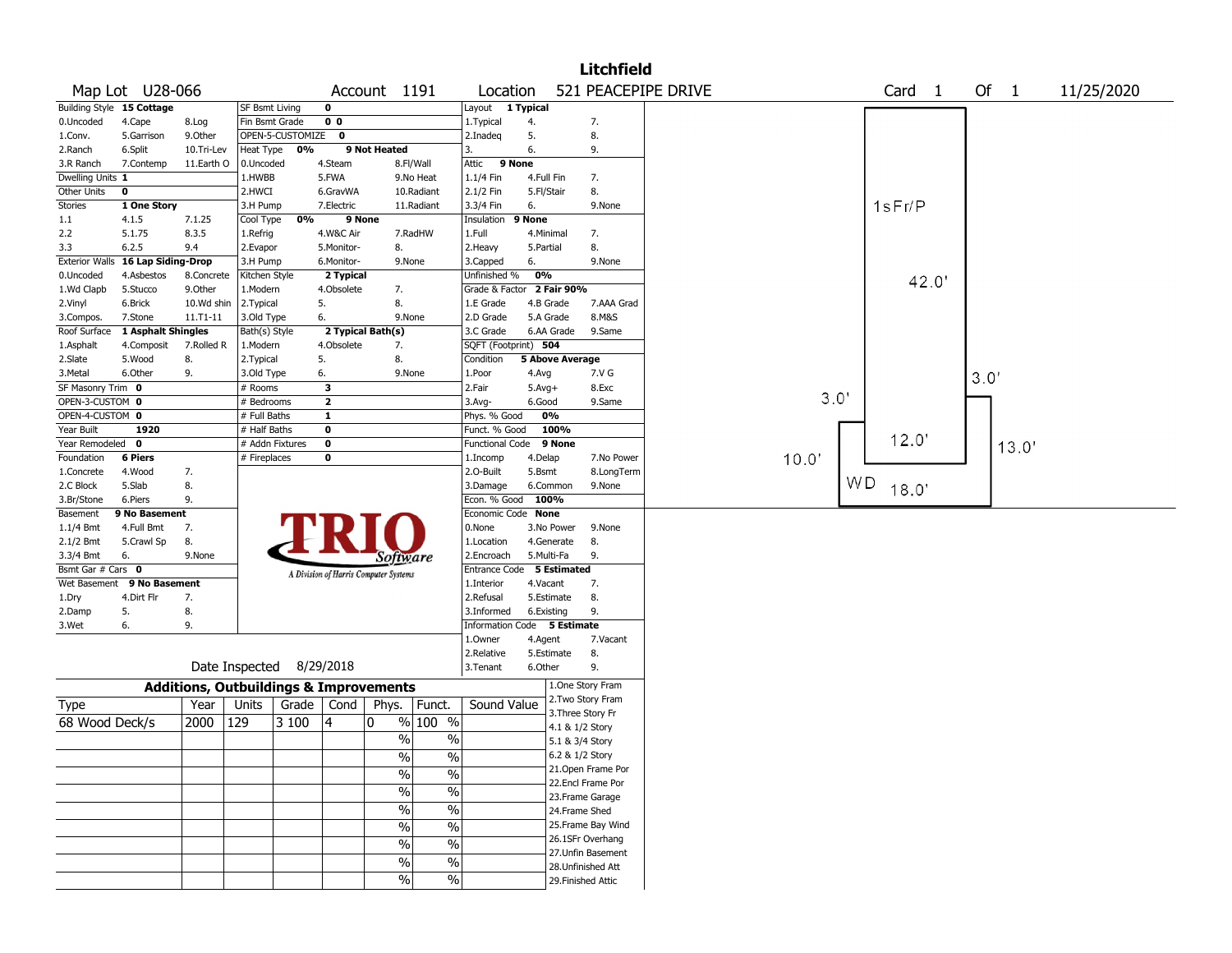| 521 PEACEPIPE DRIVE<br>Map Lot U28-066<br>Of $1$<br>Account 1191<br>Location<br>Card <sub>1</sub><br>11/25/2020<br>Building Style 15 Cottage<br>SF Bsmt Living<br>0<br>Layout 1 Typical<br>0 <sub>0</sub><br>0.Uncoded<br>4.Cape<br>Fin Bsmt Grade<br>1. Typical<br>4.<br>7.<br>8.Log<br>5.<br>9.0ther<br>OPEN-5-CUSTOMIZE 0<br>8.<br>5.Garrison<br>2.Inadeg<br>1.Conv.<br>0%<br>9 Not Heated<br>3.<br>6.<br>2.Ranch<br>6.Split<br>10.Tri-Lev<br>Heat Type<br>9.<br>9 None<br>4.Steam<br>3.R Ranch<br>7.Contemp<br>11.Earth O<br>0.Uncoded<br>8.Fl/Wall<br>Attic<br>1.HWBB<br>5.FWA<br>9.No Heat<br>1.1/4 Fin<br>Dwelling Units 1<br>4.Full Fin<br>7.<br>$\mathbf 0$<br>2.HWCI<br>2.1/2 Fin<br>8.<br>Other Units<br>6.GravWA<br>10.Radiant<br>5.Fl/Stair<br>1sFr/P<br><b>Stories</b><br>1 One Story<br>7.Electric<br>3.3/4 Fin<br>6.<br>3.H Pump<br>11.Radiant<br>9.None<br>0%<br>9 None<br>9 None<br>1.1<br>4.1.5<br>7.1.25<br>Cool Type<br>Insulation<br>2.2<br>5.1.75<br>8.3.5<br>4.W&C Air<br>7.RadHW<br>1.Full<br>1.Refrig<br>4.Minimal<br>7.<br>6.2.5<br>5.Monitor-<br>8.<br>2. Heavy<br>8.<br>3.3<br>9.4<br>2.Evapor<br>5.Partial<br><b>Exterior Walls</b><br><b>16 Lap Siding-Drop</b><br>6.<br>9.None<br>3.H Pump<br>6.Monitor-<br>9.None<br>3.Capped<br>0%<br>Kitchen Style<br>Unfinished %<br>0.Uncoded<br>4.Asbestos<br>8.Concrete<br>2 Typical<br>42.0'<br>1.Wd Clapb<br>4.Obsolete<br>Grade & Factor<br>2 Fair 90%<br>5.Stucco<br>9.0ther<br>1.Modern<br>7.<br>5.<br>8.<br>4.B Grade<br>7.AAA Grad<br>6.Brick<br>10.Wd shin<br>2.Typical<br>1.E Grade<br>2.Vinyl<br>3.Old Type<br>6.<br>2.D Grade<br>5.A Grade<br>8.M&S<br>3.Compos.<br>7.Stone<br>$11. T1 - 11$<br>9.None<br>1 Asphalt Shingles<br>2 Typical Bath(s)<br>3.C Grade<br>6.AA Grade<br>9.Same<br>Roof Surface<br>Bath(s) Style<br>7.Rolled R<br>4.Obsolete<br>SQFT (Footprint) 504<br>1.Asphalt<br>4.Composit<br>1.Modern<br>7.<br>8.<br>5.<br>8.<br>5 Above Average<br>2.Slate<br>5.Wood<br>2. Typical<br>Condition<br>3.Metal<br>6.Other<br>9.<br>3.Old Type<br>6.<br>9.None<br>1.Poor<br>4.Avg<br>7.V G<br>3.0'<br>SF Masonry Trim 0<br>3<br>2.Fair<br>8.Exc<br># Rooms<br>$5.Avg+$<br>3.0'<br>OPEN-3-CUSTOM 0<br>$\overline{\mathbf{2}}$<br># Bedrooms<br>3.Avg-<br>6.Good<br>9.Same<br>OPEN-4-CUSTOM 0<br>0%<br>$\mathbf{1}$<br>Phys. % Good<br># Full Baths<br>Year Built<br>1920<br># Half Baths<br>$\mathbf 0$<br>Funct. % Good<br>100%<br>12.0'<br>Year Remodeled 0<br># Addn Fixtures<br>$\mathbf 0$<br>Functional Code 9 None<br>13.0'<br>10.0'<br><b>6 Piers</b><br>Foundation<br># Fireplaces<br>0<br>4.Delap<br>7.No Power<br>1.Incomp<br>4.Wood<br>7.<br>2.0-Built<br>5.Bsmt<br>8.LongTerm<br>1.Concrete<br>WD.<br>5.Slab<br>8.<br>2.C Block<br>3.Damage<br>6.Common<br>9.None<br>18.0'<br>9.<br>Econ. % Good 100%<br>3.Br/Stone<br>6.Piers<br>9 No Basement<br>Economic Code None<br>Basement<br>7.<br>0.None<br>1.1/4 Bmt<br>4.Full Bmt<br>3.No Power<br>9.None<br>2.1/2 Bmt<br>8.<br>4.Generate<br>5.Crawl Sp<br>1.Location<br>8.<br>6.<br>2.Encroach<br>5.Multi-Fa<br>9.<br>3.3/4 Bmt<br>9.None<br>Software<br>Bsmt Gar # Cars 0<br>Entrance Code 5 Estimated<br>A Division of Harris Computer Systems<br>Wet Basement 9 No Basement<br>4.Vacant<br>7.<br>1.Interior<br>4.Dirt Flr<br>5.Estimate<br>8.<br>7.<br>2.Refusal<br>1.Dry<br>5.<br>8.<br>9.<br>3.Informed<br>6.Existing<br>2.Damp<br>9.<br>Information Code 5 Estimate<br>3.Wet<br>6.<br>1.Owner<br>4.Agent<br>7.Vacant<br>5.Estimate<br>8.<br>2.Relative<br>Date Inspected 8/29/2018<br>9.<br>3.Tenant<br>6.Other<br>1.One Story Fram<br><b>Additions, Outbuildings &amp; Improvements</b><br>2. Two Story Fram<br>Units<br>Year<br>Grade  <br>Cond<br>Phys.<br>Funct.<br>Sound Value<br><b>Type</b><br>3. Three Story Fr<br>% 100 %<br>68 Wood Deck/s<br>2000<br>129<br>3 100<br>14<br>0<br>4.1 & 1/2 Story<br>$\%$<br>$\%$<br>5.1 & 3/4 Story<br>$\%$<br>$\frac{0}{0}$<br>6.2 & 1/2 Story<br>21.Open Frame Por<br>$\%$<br>$\%$<br>22.Encl Frame Por<br>$\sqrt{0}$<br>$\%$<br>23. Frame Garage |  |  |  |            |                          |  | <b>Litchfield</b> |  |  |  |  |
|---------------------------------------------------------------------------------------------------------------------------------------------------------------------------------------------------------------------------------------------------------------------------------------------------------------------------------------------------------------------------------------------------------------------------------------------------------------------------------------------------------------------------------------------------------------------------------------------------------------------------------------------------------------------------------------------------------------------------------------------------------------------------------------------------------------------------------------------------------------------------------------------------------------------------------------------------------------------------------------------------------------------------------------------------------------------------------------------------------------------------------------------------------------------------------------------------------------------------------------------------------------------------------------------------------------------------------------------------------------------------------------------------------------------------------------------------------------------------------------------------------------------------------------------------------------------------------------------------------------------------------------------------------------------------------------------------------------------------------------------------------------------------------------------------------------------------------------------------------------------------------------------------------------------------------------------------------------------------------------------------------------------------------------------------------------------------------------------------------------------------------------------------------------------------------------------------------------------------------------------------------------------------------------------------------------------------------------------------------------------------------------------------------------------------------------------------------------------------------------------------------------------------------------------------------------------------------------------------------------------------------------------------------------------------------------------------------------------------------------------------------------------------------------------------------------------------------------------------------------------------------------------------------------------------------------------------------------------------------------------------------------------------------------------------------------------------------------------------------------------------------------------------------------------------------------------------------------------------------------------------------------------------------------------------------------------------------------------------------------------------------------------------------------------------------------------------------------------------------------------------------------------------------------------------------------------------------------------------------------------------------------------------------------------------------------------------------------------------------------------------------------------------------------------------------------------------------------------------------------------------------------------------------------------------------------------------------------------------------------------------------------------------------------------------------|--|--|--|------------|--------------------------|--|-------------------|--|--|--|--|
|                                                                                                                                                                                                                                                                                                                                                                                                                                                                                                                                                                                                                                                                                                                                                                                                                                                                                                                                                                                                                                                                                                                                                                                                                                                                                                                                                                                                                                                                                                                                                                                                                                                                                                                                                                                                                                                                                                                                                                                                                                                                                                                                                                                                                                                                                                                                                                                                                                                                                                                                                                                                                                                                                                                                                                                                                                                                                                                                                                                                                                                                                                                                                                                                                                                                                                                                                                                                                                                                                                                                                                                                                                                                                                                                                                                                                                                                                                                                                                                                                                                         |  |  |  |            |                          |  |                   |  |  |  |  |
|                                                                                                                                                                                                                                                                                                                                                                                                                                                                                                                                                                                                                                                                                                                                                                                                                                                                                                                                                                                                                                                                                                                                                                                                                                                                                                                                                                                                                                                                                                                                                                                                                                                                                                                                                                                                                                                                                                                                                                                                                                                                                                                                                                                                                                                                                                                                                                                                                                                                                                                                                                                                                                                                                                                                                                                                                                                                                                                                                                                                                                                                                                                                                                                                                                                                                                                                                                                                                                                                                                                                                                                                                                                                                                                                                                                                                                                                                                                                                                                                                                                         |  |  |  |            |                          |  |                   |  |  |  |  |
|                                                                                                                                                                                                                                                                                                                                                                                                                                                                                                                                                                                                                                                                                                                                                                                                                                                                                                                                                                                                                                                                                                                                                                                                                                                                                                                                                                                                                                                                                                                                                                                                                                                                                                                                                                                                                                                                                                                                                                                                                                                                                                                                                                                                                                                                                                                                                                                                                                                                                                                                                                                                                                                                                                                                                                                                                                                                                                                                                                                                                                                                                                                                                                                                                                                                                                                                                                                                                                                                                                                                                                                                                                                                                                                                                                                                                                                                                                                                                                                                                                                         |  |  |  |            |                          |  |                   |  |  |  |  |
|                                                                                                                                                                                                                                                                                                                                                                                                                                                                                                                                                                                                                                                                                                                                                                                                                                                                                                                                                                                                                                                                                                                                                                                                                                                                                                                                                                                                                                                                                                                                                                                                                                                                                                                                                                                                                                                                                                                                                                                                                                                                                                                                                                                                                                                                                                                                                                                                                                                                                                                                                                                                                                                                                                                                                                                                                                                                                                                                                                                                                                                                                                                                                                                                                                                                                                                                                                                                                                                                                                                                                                                                                                                                                                                                                                                                                                                                                                                                                                                                                                                         |  |  |  |            |                          |  |                   |  |  |  |  |
|                                                                                                                                                                                                                                                                                                                                                                                                                                                                                                                                                                                                                                                                                                                                                                                                                                                                                                                                                                                                                                                                                                                                                                                                                                                                                                                                                                                                                                                                                                                                                                                                                                                                                                                                                                                                                                                                                                                                                                                                                                                                                                                                                                                                                                                                                                                                                                                                                                                                                                                                                                                                                                                                                                                                                                                                                                                                                                                                                                                                                                                                                                                                                                                                                                                                                                                                                                                                                                                                                                                                                                                                                                                                                                                                                                                                                                                                                                                                                                                                                                                         |  |  |  |            |                          |  |                   |  |  |  |  |
|                                                                                                                                                                                                                                                                                                                                                                                                                                                                                                                                                                                                                                                                                                                                                                                                                                                                                                                                                                                                                                                                                                                                                                                                                                                                                                                                                                                                                                                                                                                                                                                                                                                                                                                                                                                                                                                                                                                                                                                                                                                                                                                                                                                                                                                                                                                                                                                                                                                                                                                                                                                                                                                                                                                                                                                                                                                                                                                                                                                                                                                                                                                                                                                                                                                                                                                                                                                                                                                                                                                                                                                                                                                                                                                                                                                                                                                                                                                                                                                                                                                         |  |  |  |            |                          |  |                   |  |  |  |  |
|                                                                                                                                                                                                                                                                                                                                                                                                                                                                                                                                                                                                                                                                                                                                                                                                                                                                                                                                                                                                                                                                                                                                                                                                                                                                                                                                                                                                                                                                                                                                                                                                                                                                                                                                                                                                                                                                                                                                                                                                                                                                                                                                                                                                                                                                                                                                                                                                                                                                                                                                                                                                                                                                                                                                                                                                                                                                                                                                                                                                                                                                                                                                                                                                                                                                                                                                                                                                                                                                                                                                                                                                                                                                                                                                                                                                                                                                                                                                                                                                                                                         |  |  |  |            |                          |  |                   |  |  |  |  |
|                                                                                                                                                                                                                                                                                                                                                                                                                                                                                                                                                                                                                                                                                                                                                                                                                                                                                                                                                                                                                                                                                                                                                                                                                                                                                                                                                                                                                                                                                                                                                                                                                                                                                                                                                                                                                                                                                                                                                                                                                                                                                                                                                                                                                                                                                                                                                                                                                                                                                                                                                                                                                                                                                                                                                                                                                                                                                                                                                                                                                                                                                                                                                                                                                                                                                                                                                                                                                                                                                                                                                                                                                                                                                                                                                                                                                                                                                                                                                                                                                                                         |  |  |  |            |                          |  |                   |  |  |  |  |
|                                                                                                                                                                                                                                                                                                                                                                                                                                                                                                                                                                                                                                                                                                                                                                                                                                                                                                                                                                                                                                                                                                                                                                                                                                                                                                                                                                                                                                                                                                                                                                                                                                                                                                                                                                                                                                                                                                                                                                                                                                                                                                                                                                                                                                                                                                                                                                                                                                                                                                                                                                                                                                                                                                                                                                                                                                                                                                                                                                                                                                                                                                                                                                                                                                                                                                                                                                                                                                                                                                                                                                                                                                                                                                                                                                                                                                                                                                                                                                                                                                                         |  |  |  |            |                          |  |                   |  |  |  |  |
|                                                                                                                                                                                                                                                                                                                                                                                                                                                                                                                                                                                                                                                                                                                                                                                                                                                                                                                                                                                                                                                                                                                                                                                                                                                                                                                                                                                                                                                                                                                                                                                                                                                                                                                                                                                                                                                                                                                                                                                                                                                                                                                                                                                                                                                                                                                                                                                                                                                                                                                                                                                                                                                                                                                                                                                                                                                                                                                                                                                                                                                                                                                                                                                                                                                                                                                                                                                                                                                                                                                                                                                                                                                                                                                                                                                                                                                                                                                                                                                                                                                         |  |  |  |            |                          |  |                   |  |  |  |  |
|                                                                                                                                                                                                                                                                                                                                                                                                                                                                                                                                                                                                                                                                                                                                                                                                                                                                                                                                                                                                                                                                                                                                                                                                                                                                                                                                                                                                                                                                                                                                                                                                                                                                                                                                                                                                                                                                                                                                                                                                                                                                                                                                                                                                                                                                                                                                                                                                                                                                                                                                                                                                                                                                                                                                                                                                                                                                                                                                                                                                                                                                                                                                                                                                                                                                                                                                                                                                                                                                                                                                                                                                                                                                                                                                                                                                                                                                                                                                                                                                                                                         |  |  |  |            |                          |  |                   |  |  |  |  |
|                                                                                                                                                                                                                                                                                                                                                                                                                                                                                                                                                                                                                                                                                                                                                                                                                                                                                                                                                                                                                                                                                                                                                                                                                                                                                                                                                                                                                                                                                                                                                                                                                                                                                                                                                                                                                                                                                                                                                                                                                                                                                                                                                                                                                                                                                                                                                                                                                                                                                                                                                                                                                                                                                                                                                                                                                                                                                                                                                                                                                                                                                                                                                                                                                                                                                                                                                                                                                                                                                                                                                                                                                                                                                                                                                                                                                                                                                                                                                                                                                                                         |  |  |  |            |                          |  |                   |  |  |  |  |
|                                                                                                                                                                                                                                                                                                                                                                                                                                                                                                                                                                                                                                                                                                                                                                                                                                                                                                                                                                                                                                                                                                                                                                                                                                                                                                                                                                                                                                                                                                                                                                                                                                                                                                                                                                                                                                                                                                                                                                                                                                                                                                                                                                                                                                                                                                                                                                                                                                                                                                                                                                                                                                                                                                                                                                                                                                                                                                                                                                                                                                                                                                                                                                                                                                                                                                                                                                                                                                                                                                                                                                                                                                                                                                                                                                                                                                                                                                                                                                                                                                                         |  |  |  |            |                          |  |                   |  |  |  |  |
|                                                                                                                                                                                                                                                                                                                                                                                                                                                                                                                                                                                                                                                                                                                                                                                                                                                                                                                                                                                                                                                                                                                                                                                                                                                                                                                                                                                                                                                                                                                                                                                                                                                                                                                                                                                                                                                                                                                                                                                                                                                                                                                                                                                                                                                                                                                                                                                                                                                                                                                                                                                                                                                                                                                                                                                                                                                                                                                                                                                                                                                                                                                                                                                                                                                                                                                                                                                                                                                                                                                                                                                                                                                                                                                                                                                                                                                                                                                                                                                                                                                         |  |  |  |            |                          |  |                   |  |  |  |  |
|                                                                                                                                                                                                                                                                                                                                                                                                                                                                                                                                                                                                                                                                                                                                                                                                                                                                                                                                                                                                                                                                                                                                                                                                                                                                                                                                                                                                                                                                                                                                                                                                                                                                                                                                                                                                                                                                                                                                                                                                                                                                                                                                                                                                                                                                                                                                                                                                                                                                                                                                                                                                                                                                                                                                                                                                                                                                                                                                                                                                                                                                                                                                                                                                                                                                                                                                                                                                                                                                                                                                                                                                                                                                                                                                                                                                                                                                                                                                                                                                                                                         |  |  |  |            |                          |  |                   |  |  |  |  |
|                                                                                                                                                                                                                                                                                                                                                                                                                                                                                                                                                                                                                                                                                                                                                                                                                                                                                                                                                                                                                                                                                                                                                                                                                                                                                                                                                                                                                                                                                                                                                                                                                                                                                                                                                                                                                                                                                                                                                                                                                                                                                                                                                                                                                                                                                                                                                                                                                                                                                                                                                                                                                                                                                                                                                                                                                                                                                                                                                                                                                                                                                                                                                                                                                                                                                                                                                                                                                                                                                                                                                                                                                                                                                                                                                                                                                                                                                                                                                                                                                                                         |  |  |  |            |                          |  |                   |  |  |  |  |
|                                                                                                                                                                                                                                                                                                                                                                                                                                                                                                                                                                                                                                                                                                                                                                                                                                                                                                                                                                                                                                                                                                                                                                                                                                                                                                                                                                                                                                                                                                                                                                                                                                                                                                                                                                                                                                                                                                                                                                                                                                                                                                                                                                                                                                                                                                                                                                                                                                                                                                                                                                                                                                                                                                                                                                                                                                                                                                                                                                                                                                                                                                                                                                                                                                                                                                                                                                                                                                                                                                                                                                                                                                                                                                                                                                                                                                                                                                                                                                                                                                                         |  |  |  |            |                          |  |                   |  |  |  |  |
|                                                                                                                                                                                                                                                                                                                                                                                                                                                                                                                                                                                                                                                                                                                                                                                                                                                                                                                                                                                                                                                                                                                                                                                                                                                                                                                                                                                                                                                                                                                                                                                                                                                                                                                                                                                                                                                                                                                                                                                                                                                                                                                                                                                                                                                                                                                                                                                                                                                                                                                                                                                                                                                                                                                                                                                                                                                                                                                                                                                                                                                                                                                                                                                                                                                                                                                                                                                                                                                                                                                                                                                                                                                                                                                                                                                                                                                                                                                                                                                                                                                         |  |  |  |            |                          |  |                   |  |  |  |  |
|                                                                                                                                                                                                                                                                                                                                                                                                                                                                                                                                                                                                                                                                                                                                                                                                                                                                                                                                                                                                                                                                                                                                                                                                                                                                                                                                                                                                                                                                                                                                                                                                                                                                                                                                                                                                                                                                                                                                                                                                                                                                                                                                                                                                                                                                                                                                                                                                                                                                                                                                                                                                                                                                                                                                                                                                                                                                                                                                                                                                                                                                                                                                                                                                                                                                                                                                                                                                                                                                                                                                                                                                                                                                                                                                                                                                                                                                                                                                                                                                                                                         |  |  |  |            |                          |  |                   |  |  |  |  |
|                                                                                                                                                                                                                                                                                                                                                                                                                                                                                                                                                                                                                                                                                                                                                                                                                                                                                                                                                                                                                                                                                                                                                                                                                                                                                                                                                                                                                                                                                                                                                                                                                                                                                                                                                                                                                                                                                                                                                                                                                                                                                                                                                                                                                                                                                                                                                                                                                                                                                                                                                                                                                                                                                                                                                                                                                                                                                                                                                                                                                                                                                                                                                                                                                                                                                                                                                                                                                                                                                                                                                                                                                                                                                                                                                                                                                                                                                                                                                                                                                                                         |  |  |  |            |                          |  |                   |  |  |  |  |
|                                                                                                                                                                                                                                                                                                                                                                                                                                                                                                                                                                                                                                                                                                                                                                                                                                                                                                                                                                                                                                                                                                                                                                                                                                                                                                                                                                                                                                                                                                                                                                                                                                                                                                                                                                                                                                                                                                                                                                                                                                                                                                                                                                                                                                                                                                                                                                                                                                                                                                                                                                                                                                                                                                                                                                                                                                                                                                                                                                                                                                                                                                                                                                                                                                                                                                                                                                                                                                                                                                                                                                                                                                                                                                                                                                                                                                                                                                                                                                                                                                                         |  |  |  |            |                          |  |                   |  |  |  |  |
|                                                                                                                                                                                                                                                                                                                                                                                                                                                                                                                                                                                                                                                                                                                                                                                                                                                                                                                                                                                                                                                                                                                                                                                                                                                                                                                                                                                                                                                                                                                                                                                                                                                                                                                                                                                                                                                                                                                                                                                                                                                                                                                                                                                                                                                                                                                                                                                                                                                                                                                                                                                                                                                                                                                                                                                                                                                                                                                                                                                                                                                                                                                                                                                                                                                                                                                                                                                                                                                                                                                                                                                                                                                                                                                                                                                                                                                                                                                                                                                                                                                         |  |  |  |            |                          |  |                   |  |  |  |  |
|                                                                                                                                                                                                                                                                                                                                                                                                                                                                                                                                                                                                                                                                                                                                                                                                                                                                                                                                                                                                                                                                                                                                                                                                                                                                                                                                                                                                                                                                                                                                                                                                                                                                                                                                                                                                                                                                                                                                                                                                                                                                                                                                                                                                                                                                                                                                                                                                                                                                                                                                                                                                                                                                                                                                                                                                                                                                                                                                                                                                                                                                                                                                                                                                                                                                                                                                                                                                                                                                                                                                                                                                                                                                                                                                                                                                                                                                                                                                                                                                                                                         |  |  |  |            |                          |  |                   |  |  |  |  |
|                                                                                                                                                                                                                                                                                                                                                                                                                                                                                                                                                                                                                                                                                                                                                                                                                                                                                                                                                                                                                                                                                                                                                                                                                                                                                                                                                                                                                                                                                                                                                                                                                                                                                                                                                                                                                                                                                                                                                                                                                                                                                                                                                                                                                                                                                                                                                                                                                                                                                                                                                                                                                                                                                                                                                                                                                                                                                                                                                                                                                                                                                                                                                                                                                                                                                                                                                                                                                                                                                                                                                                                                                                                                                                                                                                                                                                                                                                                                                                                                                                                         |  |  |  |            |                          |  |                   |  |  |  |  |
|                                                                                                                                                                                                                                                                                                                                                                                                                                                                                                                                                                                                                                                                                                                                                                                                                                                                                                                                                                                                                                                                                                                                                                                                                                                                                                                                                                                                                                                                                                                                                                                                                                                                                                                                                                                                                                                                                                                                                                                                                                                                                                                                                                                                                                                                                                                                                                                                                                                                                                                                                                                                                                                                                                                                                                                                                                                                                                                                                                                                                                                                                                                                                                                                                                                                                                                                                                                                                                                                                                                                                                                                                                                                                                                                                                                                                                                                                                                                                                                                                                                         |  |  |  |            |                          |  |                   |  |  |  |  |
|                                                                                                                                                                                                                                                                                                                                                                                                                                                                                                                                                                                                                                                                                                                                                                                                                                                                                                                                                                                                                                                                                                                                                                                                                                                                                                                                                                                                                                                                                                                                                                                                                                                                                                                                                                                                                                                                                                                                                                                                                                                                                                                                                                                                                                                                                                                                                                                                                                                                                                                                                                                                                                                                                                                                                                                                                                                                                                                                                                                                                                                                                                                                                                                                                                                                                                                                                                                                                                                                                                                                                                                                                                                                                                                                                                                                                                                                                                                                                                                                                                                         |  |  |  |            |                          |  |                   |  |  |  |  |
|                                                                                                                                                                                                                                                                                                                                                                                                                                                                                                                                                                                                                                                                                                                                                                                                                                                                                                                                                                                                                                                                                                                                                                                                                                                                                                                                                                                                                                                                                                                                                                                                                                                                                                                                                                                                                                                                                                                                                                                                                                                                                                                                                                                                                                                                                                                                                                                                                                                                                                                                                                                                                                                                                                                                                                                                                                                                                                                                                                                                                                                                                                                                                                                                                                                                                                                                                                                                                                                                                                                                                                                                                                                                                                                                                                                                                                                                                                                                                                                                                                                         |  |  |  |            |                          |  |                   |  |  |  |  |
|                                                                                                                                                                                                                                                                                                                                                                                                                                                                                                                                                                                                                                                                                                                                                                                                                                                                                                                                                                                                                                                                                                                                                                                                                                                                                                                                                                                                                                                                                                                                                                                                                                                                                                                                                                                                                                                                                                                                                                                                                                                                                                                                                                                                                                                                                                                                                                                                                                                                                                                                                                                                                                                                                                                                                                                                                                                                                                                                                                                                                                                                                                                                                                                                                                                                                                                                                                                                                                                                                                                                                                                                                                                                                                                                                                                                                                                                                                                                                                                                                                                         |  |  |  |            |                          |  |                   |  |  |  |  |
|                                                                                                                                                                                                                                                                                                                                                                                                                                                                                                                                                                                                                                                                                                                                                                                                                                                                                                                                                                                                                                                                                                                                                                                                                                                                                                                                                                                                                                                                                                                                                                                                                                                                                                                                                                                                                                                                                                                                                                                                                                                                                                                                                                                                                                                                                                                                                                                                                                                                                                                                                                                                                                                                                                                                                                                                                                                                                                                                                                                                                                                                                                                                                                                                                                                                                                                                                                                                                                                                                                                                                                                                                                                                                                                                                                                                                                                                                                                                                                                                                                                         |  |  |  |            |                          |  |                   |  |  |  |  |
|                                                                                                                                                                                                                                                                                                                                                                                                                                                                                                                                                                                                                                                                                                                                                                                                                                                                                                                                                                                                                                                                                                                                                                                                                                                                                                                                                                                                                                                                                                                                                                                                                                                                                                                                                                                                                                                                                                                                                                                                                                                                                                                                                                                                                                                                                                                                                                                                                                                                                                                                                                                                                                                                                                                                                                                                                                                                                                                                                                                                                                                                                                                                                                                                                                                                                                                                                                                                                                                                                                                                                                                                                                                                                                                                                                                                                                                                                                                                                                                                                                                         |  |  |  |            |                          |  |                   |  |  |  |  |
|                                                                                                                                                                                                                                                                                                                                                                                                                                                                                                                                                                                                                                                                                                                                                                                                                                                                                                                                                                                                                                                                                                                                                                                                                                                                                                                                                                                                                                                                                                                                                                                                                                                                                                                                                                                                                                                                                                                                                                                                                                                                                                                                                                                                                                                                                                                                                                                                                                                                                                                                                                                                                                                                                                                                                                                                                                                                                                                                                                                                                                                                                                                                                                                                                                                                                                                                                                                                                                                                                                                                                                                                                                                                                                                                                                                                                                                                                                                                                                                                                                                         |  |  |  |            |                          |  |                   |  |  |  |  |
|                                                                                                                                                                                                                                                                                                                                                                                                                                                                                                                                                                                                                                                                                                                                                                                                                                                                                                                                                                                                                                                                                                                                                                                                                                                                                                                                                                                                                                                                                                                                                                                                                                                                                                                                                                                                                                                                                                                                                                                                                                                                                                                                                                                                                                                                                                                                                                                                                                                                                                                                                                                                                                                                                                                                                                                                                                                                                                                                                                                                                                                                                                                                                                                                                                                                                                                                                                                                                                                                                                                                                                                                                                                                                                                                                                                                                                                                                                                                                                                                                                                         |  |  |  |            |                          |  |                   |  |  |  |  |
|                                                                                                                                                                                                                                                                                                                                                                                                                                                                                                                                                                                                                                                                                                                                                                                                                                                                                                                                                                                                                                                                                                                                                                                                                                                                                                                                                                                                                                                                                                                                                                                                                                                                                                                                                                                                                                                                                                                                                                                                                                                                                                                                                                                                                                                                                                                                                                                                                                                                                                                                                                                                                                                                                                                                                                                                                                                                                                                                                                                                                                                                                                                                                                                                                                                                                                                                                                                                                                                                                                                                                                                                                                                                                                                                                                                                                                                                                                                                                                                                                                                         |  |  |  |            |                          |  |                   |  |  |  |  |
|                                                                                                                                                                                                                                                                                                                                                                                                                                                                                                                                                                                                                                                                                                                                                                                                                                                                                                                                                                                                                                                                                                                                                                                                                                                                                                                                                                                                                                                                                                                                                                                                                                                                                                                                                                                                                                                                                                                                                                                                                                                                                                                                                                                                                                                                                                                                                                                                                                                                                                                                                                                                                                                                                                                                                                                                                                                                                                                                                                                                                                                                                                                                                                                                                                                                                                                                                                                                                                                                                                                                                                                                                                                                                                                                                                                                                                                                                                                                                                                                                                                         |  |  |  |            |                          |  |                   |  |  |  |  |
|                                                                                                                                                                                                                                                                                                                                                                                                                                                                                                                                                                                                                                                                                                                                                                                                                                                                                                                                                                                                                                                                                                                                                                                                                                                                                                                                                                                                                                                                                                                                                                                                                                                                                                                                                                                                                                                                                                                                                                                                                                                                                                                                                                                                                                                                                                                                                                                                                                                                                                                                                                                                                                                                                                                                                                                                                                                                                                                                                                                                                                                                                                                                                                                                                                                                                                                                                                                                                                                                                                                                                                                                                                                                                                                                                                                                                                                                                                                                                                                                                                                         |  |  |  |            |                          |  |                   |  |  |  |  |
|                                                                                                                                                                                                                                                                                                                                                                                                                                                                                                                                                                                                                                                                                                                                                                                                                                                                                                                                                                                                                                                                                                                                                                                                                                                                                                                                                                                                                                                                                                                                                                                                                                                                                                                                                                                                                                                                                                                                                                                                                                                                                                                                                                                                                                                                                                                                                                                                                                                                                                                                                                                                                                                                                                                                                                                                                                                                                                                                                                                                                                                                                                                                                                                                                                                                                                                                                                                                                                                                                                                                                                                                                                                                                                                                                                                                                                                                                                                                                                                                                                                         |  |  |  |            |                          |  |                   |  |  |  |  |
|                                                                                                                                                                                                                                                                                                                                                                                                                                                                                                                                                                                                                                                                                                                                                                                                                                                                                                                                                                                                                                                                                                                                                                                                                                                                                                                                                                                                                                                                                                                                                                                                                                                                                                                                                                                                                                                                                                                                                                                                                                                                                                                                                                                                                                                                                                                                                                                                                                                                                                                                                                                                                                                                                                                                                                                                                                                                                                                                                                                                                                                                                                                                                                                                                                                                                                                                                                                                                                                                                                                                                                                                                                                                                                                                                                                                                                                                                                                                                                                                                                                         |  |  |  |            |                          |  |                   |  |  |  |  |
|                                                                                                                                                                                                                                                                                                                                                                                                                                                                                                                                                                                                                                                                                                                                                                                                                                                                                                                                                                                                                                                                                                                                                                                                                                                                                                                                                                                                                                                                                                                                                                                                                                                                                                                                                                                                                                                                                                                                                                                                                                                                                                                                                                                                                                                                                                                                                                                                                                                                                                                                                                                                                                                                                                                                                                                                                                                                                                                                                                                                                                                                                                                                                                                                                                                                                                                                                                                                                                                                                                                                                                                                                                                                                                                                                                                                                                                                                                                                                                                                                                                         |  |  |  |            |                          |  |                   |  |  |  |  |
|                                                                                                                                                                                                                                                                                                                                                                                                                                                                                                                                                                                                                                                                                                                                                                                                                                                                                                                                                                                                                                                                                                                                                                                                                                                                                                                                                                                                                                                                                                                                                                                                                                                                                                                                                                                                                                                                                                                                                                                                                                                                                                                                                                                                                                                                                                                                                                                                                                                                                                                                                                                                                                                                                                                                                                                                                                                                                                                                                                                                                                                                                                                                                                                                                                                                                                                                                                                                                                                                                                                                                                                                                                                                                                                                                                                                                                                                                                                                                                                                                                                         |  |  |  |            |                          |  |                   |  |  |  |  |
|                                                                                                                                                                                                                                                                                                                                                                                                                                                                                                                                                                                                                                                                                                                                                                                                                                                                                                                                                                                                                                                                                                                                                                                                                                                                                                                                                                                                                                                                                                                                                                                                                                                                                                                                                                                                                                                                                                                                                                                                                                                                                                                                                                                                                                                                                                                                                                                                                                                                                                                                                                                                                                                                                                                                                                                                                                                                                                                                                                                                                                                                                                                                                                                                                                                                                                                                                                                                                                                                                                                                                                                                                                                                                                                                                                                                                                                                                                                                                                                                                                                         |  |  |  |            |                          |  |                   |  |  |  |  |
|                                                                                                                                                                                                                                                                                                                                                                                                                                                                                                                                                                                                                                                                                                                                                                                                                                                                                                                                                                                                                                                                                                                                                                                                                                                                                                                                                                                                                                                                                                                                                                                                                                                                                                                                                                                                                                                                                                                                                                                                                                                                                                                                                                                                                                                                                                                                                                                                                                                                                                                                                                                                                                                                                                                                                                                                                                                                                                                                                                                                                                                                                                                                                                                                                                                                                                                                                                                                                                                                                                                                                                                                                                                                                                                                                                                                                                                                                                                                                                                                                                                         |  |  |  |            |                          |  |                   |  |  |  |  |
|                                                                                                                                                                                                                                                                                                                                                                                                                                                                                                                                                                                                                                                                                                                                                                                                                                                                                                                                                                                                                                                                                                                                                                                                                                                                                                                                                                                                                                                                                                                                                                                                                                                                                                                                                                                                                                                                                                                                                                                                                                                                                                                                                                                                                                                                                                                                                                                                                                                                                                                                                                                                                                                                                                                                                                                                                                                                                                                                                                                                                                                                                                                                                                                                                                                                                                                                                                                                                                                                                                                                                                                                                                                                                                                                                                                                                                                                                                                                                                                                                                                         |  |  |  |            |                          |  |                   |  |  |  |  |
|                                                                                                                                                                                                                                                                                                                                                                                                                                                                                                                                                                                                                                                                                                                                                                                                                                                                                                                                                                                                                                                                                                                                                                                                                                                                                                                                                                                                                                                                                                                                                                                                                                                                                                                                                                                                                                                                                                                                                                                                                                                                                                                                                                                                                                                                                                                                                                                                                                                                                                                                                                                                                                                                                                                                                                                                                                                                                                                                                                                                                                                                                                                                                                                                                                                                                                                                                                                                                                                                                                                                                                                                                                                                                                                                                                                                                                                                                                                                                                                                                                                         |  |  |  |            |                          |  |                   |  |  |  |  |
|                                                                                                                                                                                                                                                                                                                                                                                                                                                                                                                                                                                                                                                                                                                                                                                                                                                                                                                                                                                                                                                                                                                                                                                                                                                                                                                                                                                                                                                                                                                                                                                                                                                                                                                                                                                                                                                                                                                                                                                                                                                                                                                                                                                                                                                                                                                                                                                                                                                                                                                                                                                                                                                                                                                                                                                                                                                                                                                                                                                                                                                                                                                                                                                                                                                                                                                                                                                                                                                                                                                                                                                                                                                                                                                                                                                                                                                                                                                                                                                                                                                         |  |  |  |            |                          |  |                   |  |  |  |  |
|                                                                                                                                                                                                                                                                                                                                                                                                                                                                                                                                                                                                                                                                                                                                                                                                                                                                                                                                                                                                                                                                                                                                                                                                                                                                                                                                                                                                                                                                                                                                                                                                                                                                                                                                                                                                                                                                                                                                                                                                                                                                                                                                                                                                                                                                                                                                                                                                                                                                                                                                                                                                                                                                                                                                                                                                                                                                                                                                                                                                                                                                                                                                                                                                                                                                                                                                                                                                                                                                                                                                                                                                                                                                                                                                                                                                                                                                                                                                                                                                                                                         |  |  |  |            |                          |  |                   |  |  |  |  |
|                                                                                                                                                                                                                                                                                                                                                                                                                                                                                                                                                                                                                                                                                                                                                                                                                                                                                                                                                                                                                                                                                                                                                                                                                                                                                                                                                                                                                                                                                                                                                                                                                                                                                                                                                                                                                                                                                                                                                                                                                                                                                                                                                                                                                                                                                                                                                                                                                                                                                                                                                                                                                                                                                                                                                                                                                                                                                                                                                                                                                                                                                                                                                                                                                                                                                                                                                                                                                                                                                                                                                                                                                                                                                                                                                                                                                                                                                                                                                                                                                                                         |  |  |  |            |                          |  |                   |  |  |  |  |
|                                                                                                                                                                                                                                                                                                                                                                                                                                                                                                                                                                                                                                                                                                                                                                                                                                                                                                                                                                                                                                                                                                                                                                                                                                                                                                                                                                                                                                                                                                                                                                                                                                                                                                                                                                                                                                                                                                                                                                                                                                                                                                                                                                                                                                                                                                                                                                                                                                                                                                                                                                                                                                                                                                                                                                                                                                                                                                                                                                                                                                                                                                                                                                                                                                                                                                                                                                                                                                                                                                                                                                                                                                                                                                                                                                                                                                                                                                                                                                                                                                                         |  |  |  |            |                          |  |                   |  |  |  |  |
|                                                                                                                                                                                                                                                                                                                                                                                                                                                                                                                                                                                                                                                                                                                                                                                                                                                                                                                                                                                                                                                                                                                                                                                                                                                                                                                                                                                                                                                                                                                                                                                                                                                                                                                                                                                                                                                                                                                                                                                                                                                                                                                                                                                                                                                                                                                                                                                                                                                                                                                                                                                                                                                                                                                                                                                                                                                                                                                                                                                                                                                                                                                                                                                                                                                                                                                                                                                                                                                                                                                                                                                                                                                                                                                                                                                                                                                                                                                                                                                                                                                         |  |  |  |            |                          |  |                   |  |  |  |  |
|                                                                                                                                                                                                                                                                                                                                                                                                                                                                                                                                                                                                                                                                                                                                                                                                                                                                                                                                                                                                                                                                                                                                                                                                                                                                                                                                                                                                                                                                                                                                                                                                                                                                                                                                                                                                                                                                                                                                                                                                                                                                                                                                                                                                                                                                                                                                                                                                                                                                                                                                                                                                                                                                                                                                                                                                                                                                                                                                                                                                                                                                                                                                                                                                                                                                                                                                                                                                                                                                                                                                                                                                                                                                                                                                                                                                                                                                                                                                                                                                                                                         |  |  |  |            |                          |  |                   |  |  |  |  |
|                                                                                                                                                                                                                                                                                                                                                                                                                                                                                                                                                                                                                                                                                                                                                                                                                                                                                                                                                                                                                                                                                                                                                                                                                                                                                                                                                                                                                                                                                                                                                                                                                                                                                                                                                                                                                                                                                                                                                                                                                                                                                                                                                                                                                                                                                                                                                                                                                                                                                                                                                                                                                                                                                                                                                                                                                                                                                                                                                                                                                                                                                                                                                                                                                                                                                                                                                                                                                                                                                                                                                                                                                                                                                                                                                                                                                                                                                                                                                                                                                                                         |  |  |  |            |                          |  |                   |  |  |  |  |
|                                                                                                                                                                                                                                                                                                                                                                                                                                                                                                                                                                                                                                                                                                                                                                                                                                                                                                                                                                                                                                                                                                                                                                                                                                                                                                                                                                                                                                                                                                                                                                                                                                                                                                                                                                                                                                                                                                                                                                                                                                                                                                                                                                                                                                                                                                                                                                                                                                                                                                                                                                                                                                                                                                                                                                                                                                                                                                                                                                                                                                                                                                                                                                                                                                                                                                                                                                                                                                                                                                                                                                                                                                                                                                                                                                                                                                                                                                                                                                                                                                                         |  |  |  |            |                          |  |                   |  |  |  |  |
|                                                                                                                                                                                                                                                                                                                                                                                                                                                                                                                                                                                                                                                                                                                                                                                                                                                                                                                                                                                                                                                                                                                                                                                                                                                                                                                                                                                                                                                                                                                                                                                                                                                                                                                                                                                                                                                                                                                                                                                                                                                                                                                                                                                                                                                                                                                                                                                                                                                                                                                                                                                                                                                                                                                                                                                                                                                                                                                                                                                                                                                                                                                                                                                                                                                                                                                                                                                                                                                                                                                                                                                                                                                                                                                                                                                                                                                                                                                                                                                                                                                         |  |  |  |            |                          |  |                   |  |  |  |  |
| 25. Frame Bay Wind<br>$\frac{0}{0}$<br>$\%$                                                                                                                                                                                                                                                                                                                                                                                                                                                                                                                                                                                                                                                                                                                                                                                                                                                                                                                                                                                                                                                                                                                                                                                                                                                                                                                                                                                                                                                                                                                                                                                                                                                                                                                                                                                                                                                                                                                                                                                                                                                                                                                                                                                                                                                                                                                                                                                                                                                                                                                                                                                                                                                                                                                                                                                                                                                                                                                                                                                                                                                                                                                                                                                                                                                                                                                                                                                                                                                                                                                                                                                                                                                                                                                                                                                                                                                                                                                                                                                                             |  |  |  | $\sqrt{0}$ | $\frac{0}{0}$            |  | 24.Frame Shed     |  |  |  |  |
| 26.1SFr Overhang                                                                                                                                                                                                                                                                                                                                                                                                                                                                                                                                                                                                                                                                                                                                                                                                                                                                                                                                                                                                                                                                                                                                                                                                                                                                                                                                                                                                                                                                                                                                                                                                                                                                                                                                                                                                                                                                                                                                                                                                                                                                                                                                                                                                                                                                                                                                                                                                                                                                                                                                                                                                                                                                                                                                                                                                                                                                                                                                                                                                                                                                                                                                                                                                                                                                                                                                                                                                                                                                                                                                                                                                                                                                                                                                                                                                                                                                                                                                                                                                                                        |  |  |  |            |                          |  |                   |  |  |  |  |
| 27. Unfin Basement                                                                                                                                                                                                                                                                                                                                                                                                                                                                                                                                                                                                                                                                                                                                                                                                                                                                                                                                                                                                                                                                                                                                                                                                                                                                                                                                                                                                                                                                                                                                                                                                                                                                                                                                                                                                                                                                                                                                                                                                                                                                                                                                                                                                                                                                                                                                                                                                                                                                                                                                                                                                                                                                                                                                                                                                                                                                                                                                                                                                                                                                                                                                                                                                                                                                                                                                                                                                                                                                                                                                                                                                                                                                                                                                                                                                                                                                                                                                                                                                                                      |  |  |  |            |                          |  |                   |  |  |  |  |
| 28. Unfinished Att                                                                                                                                                                                                                                                                                                                                                                                                                                                                                                                                                                                                                                                                                                                                                                                                                                                                                                                                                                                                                                                                                                                                                                                                                                                                                                                                                                                                                                                                                                                                                                                                                                                                                                                                                                                                                                                                                                                                                                                                                                                                                                                                                                                                                                                                                                                                                                                                                                                                                                                                                                                                                                                                                                                                                                                                                                                                                                                                                                                                                                                                                                                                                                                                                                                                                                                                                                                                                                                                                                                                                                                                                                                                                                                                                                                                                                                                                                                                                                                                                                      |  |  |  | $\sqrt{0}$ | $\overline{\frac{0}{6}}$ |  |                   |  |  |  |  |
|                                                                                                                                                                                                                                                                                                                                                                                                                                                                                                                                                                                                                                                                                                                                                                                                                                                                                                                                                                                                                                                                                                                                                                                                                                                                                                                                                                                                                                                                                                                                                                                                                                                                                                                                                                                                                                                                                                                                                                                                                                                                                                                                                                                                                                                                                                                                                                                                                                                                                                                                                                                                                                                                                                                                                                                                                                                                                                                                                                                                                                                                                                                                                                                                                                                                                                                                                                                                                                                                                                                                                                                                                                                                                                                                                                                                                                                                                                                                                                                                                                                         |  |  |  | $\%$       | $\%$                     |  |                   |  |  |  |  |
| $\%$<br>$\%$<br>29. Finished Attic                                                                                                                                                                                                                                                                                                                                                                                                                                                                                                                                                                                                                                                                                                                                                                                                                                                                                                                                                                                                                                                                                                                                                                                                                                                                                                                                                                                                                                                                                                                                                                                                                                                                                                                                                                                                                                                                                                                                                                                                                                                                                                                                                                                                                                                                                                                                                                                                                                                                                                                                                                                                                                                                                                                                                                                                                                                                                                                                                                                                                                                                                                                                                                                                                                                                                                                                                                                                                                                                                                                                                                                                                                                                                                                                                                                                                                                                                                                                                                                                                      |  |  |  |            |                          |  |                   |  |  |  |  |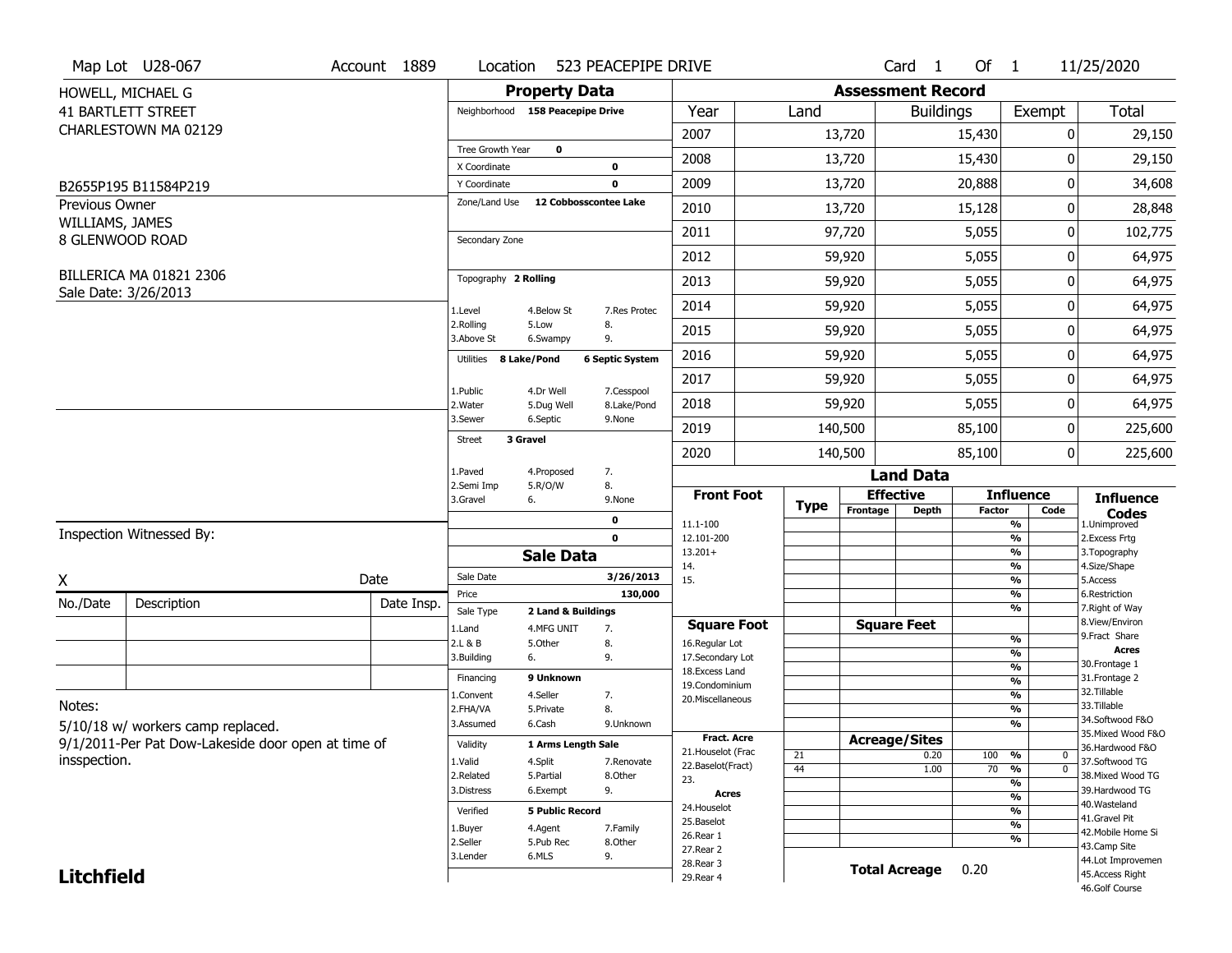|                   | Map Lot U28-067                                    | Account 1889 | Location                         |                        | 523 PEACEPIPE DRIVE    |                                     |      |                          | Card <sub>1</sub>    | Of $1$        |                                           | 11/25/2020                       |
|-------------------|----------------------------------------------------|--------------|----------------------------------|------------------------|------------------------|-------------------------------------|------|--------------------------|----------------------|---------------|-------------------------------------------|----------------------------------|
|                   | HOWELL, MICHAEL G                                  |              |                                  | <b>Property Data</b>   |                        |                                     |      | <b>Assessment Record</b> |                      |               |                                           |                                  |
|                   | <b>41 BARTLETT STREET</b>                          |              | Neighborhood 158 Peacepipe Drive |                        |                        | Year                                | Land |                          | <b>Buildings</b>     |               | Exempt                                    | <b>Total</b>                     |
|                   | CHARLESTOWN MA 02129                               |              |                                  |                        |                        | 2007                                |      | 13,720                   |                      | 15,430        | 0                                         | 29,150                           |
|                   |                                                    |              | Tree Growth Year                 | $\mathbf 0$            |                        | 2008                                |      | 13,720                   |                      | 15,430        | ŋ                                         | 29,150                           |
|                   |                                                    |              | X Coordinate<br>Y Coordinate     |                        | 0<br>0                 | 2009                                |      | 13,720                   |                      | 20,888        | 0                                         | 34,608                           |
| Previous Owner    | B2655P195 B11584P219                               |              | Zone/Land Use                    | 12 Cobbosscontee Lake  |                        |                                     |      |                          |                      |               |                                           |                                  |
| WILLIAMS, JAMES   |                                                    |              |                                  |                        |                        | 2010                                |      | 13,720                   |                      | 15,128        | 0                                         | 28,848                           |
|                   | 8 GLENWOOD ROAD                                    |              | Secondary Zone                   |                        |                        | 2011                                |      | 97,720                   |                      | 5,055         | 0                                         | 102,775                          |
|                   |                                                    |              |                                  |                        |                        | 2012                                |      | 59,920                   |                      | 5,055         | 0                                         | 64,975                           |
|                   | BILLERICA MA 01821 2306<br>Sale Date: 3/26/2013    |              | Topography 2 Rolling             |                        |                        | 2013                                |      | 59,920                   |                      | 5,055         | 0                                         | 64,975                           |
|                   |                                                    |              | 1.Level                          | 4.Below St             | 7.Res Protec           | 2014                                |      | 59,920                   |                      | 5,055         | 0                                         | 64,975                           |
|                   |                                                    |              | 2.Rolling<br>3.Above St          | 5.Low<br>6.Swampy      | 8.<br>9.               | 2015                                |      | 59,920                   |                      | 5,055         | 0                                         | 64,975                           |
|                   |                                                    |              | Utilities 8 Lake/Pond            |                        | <b>6 Septic System</b> | 2016                                |      | 59,920                   |                      | 5,055         | 0                                         | 64,975                           |
|                   |                                                    |              | 1.Public                         | 4.Dr Well              | 7.Cesspool             | 2017                                |      | 59,920                   |                      | 5,055         | 0                                         | 64,975                           |
|                   |                                                    |              | 2. Water                         | 5.Dug Well             | 8.Lake/Pond            | 2018                                |      | 59,920                   |                      | 5,055         | 0                                         | 64,975                           |
|                   |                                                    |              | 3.Sewer                          | 6.Septic               | 9.None                 | 2019                                |      | 140,500                  |                      | 85,100        | 0                                         | 225,600                          |
|                   |                                                    |              | 3 Gravel<br><b>Street</b>        |                        |                        | 2020                                |      | 140,500                  |                      | 85,100        | 0                                         | 225,600                          |
|                   |                                                    |              | 1.Paved                          | 4.Proposed             | 7.                     |                                     |      |                          | <b>Land Data</b>     |               |                                           |                                  |
|                   |                                                    |              | 2.Semi Imp<br>3.Gravel           | 5.R/O/W<br>6.          | 8.<br>9.None           | <b>Front Foot</b>                   | Type | <b>Effective</b>         |                      |               | <b>Influence</b>                          | <b>Influence</b>                 |
|                   |                                                    |              |                                  |                        | 0                      | 11.1-100                            |      | Frontage                 | <b>Depth</b>         | <b>Factor</b> | Code<br>%                                 | <b>Codes</b><br>1.Unimproved     |
|                   | Inspection Witnessed By:                           |              |                                  |                        | $\mathbf 0$            | 12.101-200                          |      |                          |                      |               | %                                         | 2. Excess Frtg                   |
|                   |                                                    |              |                                  | <b>Sale Data</b>       |                        | $13.201+$<br>14.                    |      |                          |                      |               | %<br>%                                    | 3. Topography<br>4.Size/Shape    |
| X                 |                                                    | Date         | Sale Date                        |                        | 3/26/2013              | 15.                                 |      |                          |                      |               | %                                         | 5.Access                         |
| No./Date          | Description                                        | Date Insp.   | Price<br>Sale Type               | 2 Land & Buildings     | 130,000                |                                     |      |                          |                      |               | %<br>%                                    | 6.Restriction<br>7. Right of Way |
|                   |                                                    |              | 1.Land                           | 4.MFG UNIT             | 7.                     | <b>Square Foot</b>                  |      | <b>Square Feet</b>       |                      |               |                                           | 8.View/Environ                   |
|                   |                                                    |              | 2.L & B                          | 5.Other                | 8.                     | 16.Regular Lot                      |      |                          |                      |               | %<br>%                                    | 9. Fract Share<br><b>Acres</b>   |
|                   |                                                    |              | 3.Building                       | 6.                     | 9.                     | 17.Secondary Lot<br>18. Excess Land |      |                          |                      |               | $\frac{9}{6}$                             | 30.Frontage 1                    |
|                   |                                                    |              | Financing                        | 9 Unknown              |                        | 19.Condominium                      |      |                          |                      |               | $\overline{\frac{9}{6}}$                  | 31. Frontage 2                   |
| Notes:            |                                                    |              | 1.Convent                        | 4.Seller               | 7.                     | 20.Miscellaneous                    |      |                          |                      |               | $\frac{9}{6}$                             | 32.Tillable<br>33.Tillable       |
|                   |                                                    |              | 2.FHA/VA                         | 5.Private              | 8.                     |                                     |      |                          |                      |               | $\overline{\frac{9}{6}}$<br>$\frac{9}{6}$ | 34.Softwood F&O                  |
|                   | 5/10/18 w/ workers camp replaced.                  |              | 3.Assumed                        | 6.Cash                 | 9.Unknown              | <b>Fract. Acre</b>                  |      | <b>Acreage/Sites</b>     |                      |               |                                           | 35. Mixed Wood F&O               |
|                   | 9/1/2011-Per Pat Dow-Lakeside door open at time of |              | Validity                         | 1 Arms Length Sale     |                        | 21. Houselot (Frac                  | 21   |                          | 0.20                 | 100           | %<br>$\mathbf 0$                          | 36.Hardwood F&O                  |
| insspection.      |                                                    |              | 1.Valid                          | 4.Split                | 7.Renovate             | 22.Baselot(Fract)                   | 44   |                          | 1.00                 | 70            | $\overline{0}$<br>%                       | 37.Softwood TG                   |
|                   |                                                    |              | 2.Related                        | 5.Partial              | 8.Other                | 23.                                 |      |                          |                      |               | %                                         | 38. Mixed Wood TG                |
|                   |                                                    |              | 3.Distress                       | 6.Exempt               | 9.                     | <b>Acres</b>                        |      |                          |                      |               | %                                         | 39.Hardwood TG<br>40. Wasteland  |
|                   |                                                    |              | Verified                         | <b>5 Public Record</b> |                        | 24. Houselot<br>25.Baselot          |      |                          |                      |               | %                                         | 41.Gravel Pit                    |
|                   |                                                    |              | 1.Buyer                          | 4.Agent                | 7.Family               | 26.Rear 1                           |      |                          |                      |               | $\overline{\frac{9}{6}}$                  | 42. Mobile Home Si               |
|                   |                                                    |              | 2.Seller                         | 5.Pub Rec              | 8.Other                | 27.Rear 2                           |      |                          |                      |               | %                                         | 43.Camp Site                     |
|                   |                                                    |              | 3.Lender                         | 6.MLS                  | 9.                     |                                     |      |                          |                      |               |                                           | 44.Lot Improvemen                |
| <b>Litchfield</b> |                                                    |              |                                  |                        |                        | 28. Rear 3<br>29. Rear 4            |      |                          | <b>Total Acreage</b> | 0.20          |                                           | 45.Access Right                  |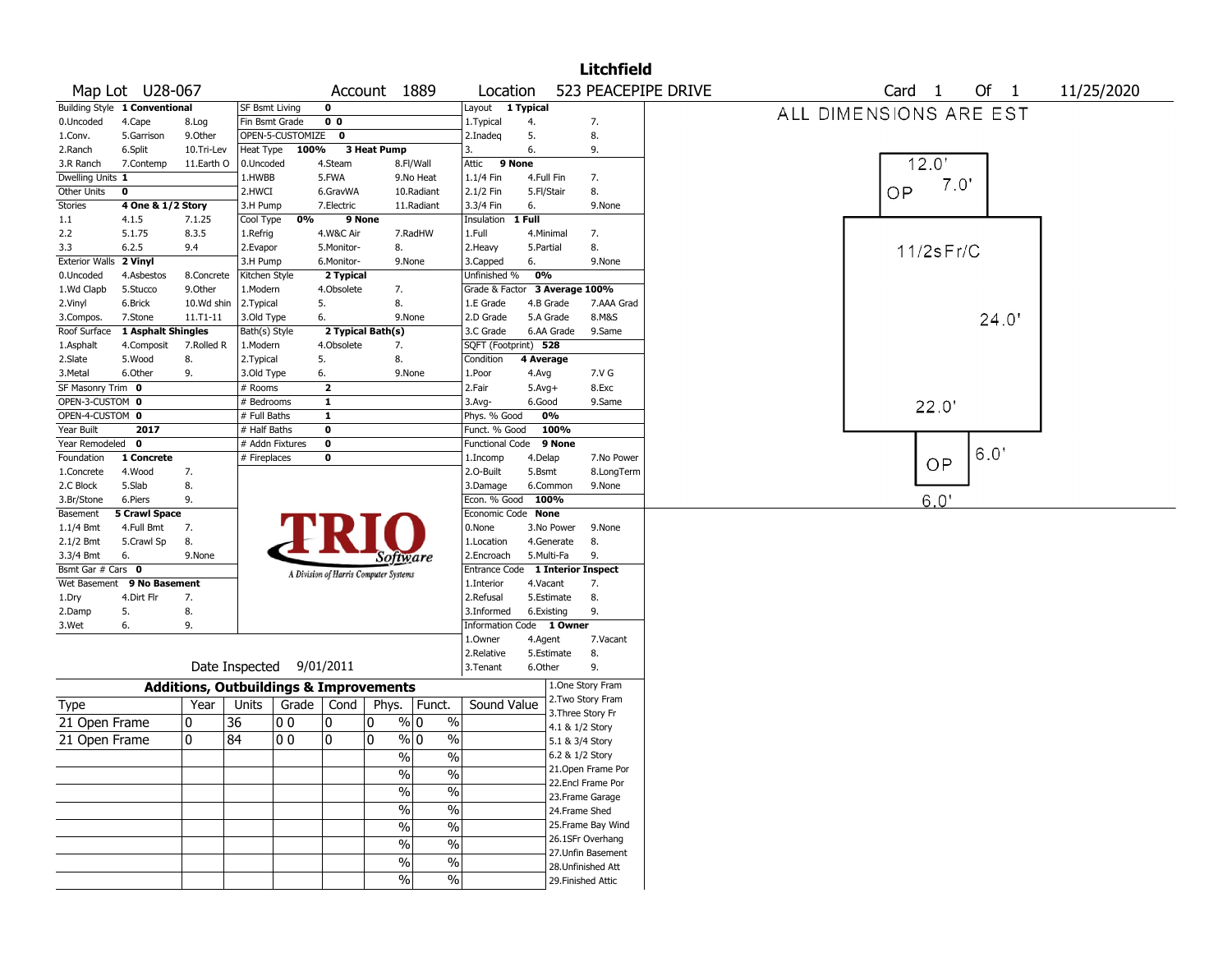| Map Lot U28-067<br>Account 1889<br>Location<br>Building Style 1 Conventional<br><b>SF Bsmt Living</b><br>0<br>Layout 1 Typical<br>0 <sub>0</sub><br>0.Uncoded<br>4.Cape<br>Fin Bsmt Grade<br>1. Typical<br>4.<br>7.<br>8.Log<br>9.0ther<br>OPEN-5-CUSTOMIZE<br>2.Inadeq<br>5.<br>8.<br>5.Garrison<br>$\mathbf 0$<br>1.Conv.<br>3 Heat Pump<br>6.<br>2.Ranch<br>6.Split<br>10.Tri-Lev<br>Heat Type<br>100%<br>3.<br>9.<br>11.Earth O<br>0.Uncoded<br>4.Steam<br>8.Fl/Wall<br>9 None<br>3.R Ranch<br>7.Contemp<br>Attic<br>5.FWA<br>7.<br>Dwelling Units 1<br>1.HWBB<br>9.No Heat<br>1.1/4 Fin<br>4.Full Fin<br>2.HWCI<br>2.1/2 Fin<br>8.<br>Other Units<br>0<br>6.GravWA<br>10.Radiant<br>5.Fl/Stair<br>Stories<br>4 One & 1/2 Story<br>3.3/4 Fin<br>9.None<br>3.H Pump<br>7.Electric<br>11.Radiant<br>6.<br>0%<br>9 None<br>Insulation<br>1 Full<br>1.1<br>4.1.5<br>7.1.25<br>Cool Type<br>5.1.75<br>4.W&C Air<br>1.Full<br>7.<br>2.2<br>8.3.5<br>1.Refrig<br>7.RadHW<br>4.Minimal<br>8.<br>5.Monitor-<br>8.<br>2.Heavy<br>3.3<br>6.2.5<br>9.4<br>2.Evapor<br>5.Partial<br>Exterior Walls 2 Vinyl<br>9.None<br>3.H Pump<br>6.Monitor-<br>9.None<br>3.Capped<br>6. | 523 PEACEPIPE DRIVE<br>Of 1<br>Card <sub>1</sub><br>11/25/2020<br>ALL DIMENSIONS ARE EST<br>12.0' |
|-------------------------------------------------------------------------------------------------------------------------------------------------------------------------------------------------------------------------------------------------------------------------------------------------------------------------------------------------------------------------------------------------------------------------------------------------------------------------------------------------------------------------------------------------------------------------------------------------------------------------------------------------------------------------------------------------------------------------------------------------------------------------------------------------------------------------------------------------------------------------------------------------------------------------------------------------------------------------------------------------------------------------------------------------------------------------------------------------------------------------------------------------------------------|---------------------------------------------------------------------------------------------------|
|                                                                                                                                                                                                                                                                                                                                                                                                                                                                                                                                                                                                                                                                                                                                                                                                                                                                                                                                                                                                                                                                                                                                                                   |                                                                                                   |
|                                                                                                                                                                                                                                                                                                                                                                                                                                                                                                                                                                                                                                                                                                                                                                                                                                                                                                                                                                                                                                                                                                                                                                   |                                                                                                   |
|                                                                                                                                                                                                                                                                                                                                                                                                                                                                                                                                                                                                                                                                                                                                                                                                                                                                                                                                                                                                                                                                                                                                                                   |                                                                                                   |
|                                                                                                                                                                                                                                                                                                                                                                                                                                                                                                                                                                                                                                                                                                                                                                                                                                                                                                                                                                                                                                                                                                                                                                   |                                                                                                   |
|                                                                                                                                                                                                                                                                                                                                                                                                                                                                                                                                                                                                                                                                                                                                                                                                                                                                                                                                                                                                                                                                                                                                                                   |                                                                                                   |
|                                                                                                                                                                                                                                                                                                                                                                                                                                                                                                                                                                                                                                                                                                                                                                                                                                                                                                                                                                                                                                                                                                                                                                   |                                                                                                   |
|                                                                                                                                                                                                                                                                                                                                                                                                                                                                                                                                                                                                                                                                                                                                                                                                                                                                                                                                                                                                                                                                                                                                                                   | 7.0'                                                                                              |
|                                                                                                                                                                                                                                                                                                                                                                                                                                                                                                                                                                                                                                                                                                                                                                                                                                                                                                                                                                                                                                                                                                                                                                   | OP                                                                                                |
|                                                                                                                                                                                                                                                                                                                                                                                                                                                                                                                                                                                                                                                                                                                                                                                                                                                                                                                                                                                                                                                                                                                                                                   |                                                                                                   |
|                                                                                                                                                                                                                                                                                                                                                                                                                                                                                                                                                                                                                                                                                                                                                                                                                                                                                                                                                                                                                                                                                                                                                                   |                                                                                                   |
|                                                                                                                                                                                                                                                                                                                                                                                                                                                                                                                                                                                                                                                                                                                                                                                                                                                                                                                                                                                                                                                                                                                                                                   |                                                                                                   |
|                                                                                                                                                                                                                                                                                                                                                                                                                                                                                                                                                                                                                                                                                                                                                                                                                                                                                                                                                                                                                                                                                                                                                                   | $11/2$ s $Fr/C$                                                                                   |
|                                                                                                                                                                                                                                                                                                                                                                                                                                                                                                                                                                                                                                                                                                                                                                                                                                                                                                                                                                                                                                                                                                                                                                   |                                                                                                   |
| 0%<br>Kitchen Style<br>2 Typical<br>Unfinished %<br>0.Uncoded<br>4.Asbestos<br>8.Concrete                                                                                                                                                                                                                                                                                                                                                                                                                                                                                                                                                                                                                                                                                                                                                                                                                                                                                                                                                                                                                                                                         |                                                                                                   |
| Grade & Factor 3 Average 100%<br>1.Wd Clapb<br>5.Stucco<br>9.Other<br>1.Modern<br>4.Obsolete<br>7.                                                                                                                                                                                                                                                                                                                                                                                                                                                                                                                                                                                                                                                                                                                                                                                                                                                                                                                                                                                                                                                                |                                                                                                   |
| 8.<br>7.AAA Grad<br>6.Brick<br>10.Wd shin<br>2.Typical<br>5.<br>1.E Grade<br>4.B Grade<br>2.Vinyl                                                                                                                                                                                                                                                                                                                                                                                                                                                                                                                                                                                                                                                                                                                                                                                                                                                                                                                                                                                                                                                                 |                                                                                                   |
| 8.M&S<br>7.Stone<br>11.T1-11<br>3.Old Type<br>6.<br>9.None<br>2.D Grade<br>5.A Grade<br>3.Compos.                                                                                                                                                                                                                                                                                                                                                                                                                                                                                                                                                                                                                                                                                                                                                                                                                                                                                                                                                                                                                                                                 | 24.0'                                                                                             |
| 1 Asphalt Shingles<br>2 Typical Bath(s)<br>3.C Grade<br>6.AA Grade<br>Roof Surface<br>Bath(s) Style<br>9.Same                                                                                                                                                                                                                                                                                                                                                                                                                                                                                                                                                                                                                                                                                                                                                                                                                                                                                                                                                                                                                                                     |                                                                                                   |
| 4.Obsolete<br>SQFT (Footprint) 528<br>4.Composit<br>7.Rolled R<br>1.Modern<br>7.<br>1.Asphalt                                                                                                                                                                                                                                                                                                                                                                                                                                                                                                                                                                                                                                                                                                                                                                                                                                                                                                                                                                                                                                                                     |                                                                                                   |
| 5.<br>8.<br>2.Slate<br>5.Wood<br>8.<br>2.Typical<br>Condition<br>4 Average                                                                                                                                                                                                                                                                                                                                                                                                                                                                                                                                                                                                                                                                                                                                                                                                                                                                                                                                                                                                                                                                                        |                                                                                                   |
| 7.V G<br>3. Metal<br>6.Other<br>9.<br>3.Old Type<br>6.<br>9.None<br>1.Poor<br>4.Avg                                                                                                                                                                                                                                                                                                                                                                                                                                                                                                                                                                                                                                                                                                                                                                                                                                                                                                                                                                                                                                                                               |                                                                                                   |
| SF Masonry Trim 0<br>$#$ Rooms<br>$\mathbf{2}$<br>2.Fair<br>8.Exc<br>$5.$ Avg+                                                                                                                                                                                                                                                                                                                                                                                                                                                                                                                                                                                                                                                                                                                                                                                                                                                                                                                                                                                                                                                                                    |                                                                                                   |
| OPEN-3-CUSTOM 0<br>$\mathbf{1}$<br># Bedrooms<br>$3.$ Avg-<br>6.Good<br>9.Same                                                                                                                                                                                                                                                                                                                                                                                                                                                                                                                                                                                                                                                                                                                                                                                                                                                                                                                                                                                                                                                                                    | 22.0'                                                                                             |
| OPEN-4-CUSTOM 0<br># Full Baths<br>$\mathbf{1}$<br>0%<br>Phys. % Good                                                                                                                                                                                                                                                                                                                                                                                                                                                                                                                                                                                                                                                                                                                                                                                                                                                                                                                                                                                                                                                                                             |                                                                                                   |
| Year Built<br>2017<br># Half Baths<br>0<br>100%<br>Funct. % Good                                                                                                                                                                                                                                                                                                                                                                                                                                                                                                                                                                                                                                                                                                                                                                                                                                                                                                                                                                                                                                                                                                  |                                                                                                   |
| $\overline{\mathbf{0}}$<br>Year Remodeled<br>$\mathbf 0$<br># Addn Fixtures<br><b>Functional Code</b><br>9 None                                                                                                                                                                                                                                                                                                                                                                                                                                                                                                                                                                                                                                                                                                                                                                                                                                                                                                                                                                                                                                                   |                                                                                                   |
| # Fireplaces<br>0<br>Foundation<br>1 Concrete<br>1.Incomp<br>4.Delap<br>7.No Power                                                                                                                                                                                                                                                                                                                                                                                                                                                                                                                                                                                                                                                                                                                                                                                                                                                                                                                                                                                                                                                                                | 6.0'<br>OP                                                                                        |
| 7.<br>2.0-Built<br>8.LongTerm<br>4.Wood<br>5.Bsmt<br>1.Concrete                                                                                                                                                                                                                                                                                                                                                                                                                                                                                                                                                                                                                                                                                                                                                                                                                                                                                                                                                                                                                                                                                                   |                                                                                                   |
| 5.Slab<br>8.<br>2.C Block<br>3.Damage<br>6.Common<br>9.None                                                                                                                                                                                                                                                                                                                                                                                                                                                                                                                                                                                                                                                                                                                                                                                                                                                                                                                                                                                                                                                                                                       |                                                                                                   |
| 9.<br>Econ. % Good 100%<br>3.Br/Stone<br>6.Piers                                                                                                                                                                                                                                                                                                                                                                                                                                                                                                                                                                                                                                                                                                                                                                                                                                                                                                                                                                                                                                                                                                                  | 6.0'                                                                                              |
| <b>5 Crawl Space</b><br>Economic Code None<br>Basement                                                                                                                                                                                                                                                                                                                                                                                                                                                                                                                                                                                                                                                                                                                                                                                                                                                                                                                                                                                                                                                                                                            |                                                                                                   |
| 0.None<br>1.1/4 Bmt<br>4.Full Bmt<br>7.<br>3.No Power<br>9.None                                                                                                                                                                                                                                                                                                                                                                                                                                                                                                                                                                                                                                                                                                                                                                                                                                                                                                                                                                                                                                                                                                   |                                                                                                   |
| 2.1/2 Bmt<br>5.Crawl Sp<br>8.<br>1.Location<br>4.Generate<br>8.                                                                                                                                                                                                                                                                                                                                                                                                                                                                                                                                                                                                                                                                                                                                                                                                                                                                                                                                                                                                                                                                                                   |                                                                                                   |
| 5.Multi-Fa<br>3.3/4 Bmt<br>6.<br>9.None<br>2.Encroach<br>9.<br>Software                                                                                                                                                                                                                                                                                                                                                                                                                                                                                                                                                                                                                                                                                                                                                                                                                                                                                                                                                                                                                                                                                           |                                                                                                   |
| Bsmt Gar # Cars 0<br>Entrance Code 1 Interior Inspect<br>A Division of Harris Computer Systems                                                                                                                                                                                                                                                                                                                                                                                                                                                                                                                                                                                                                                                                                                                                                                                                                                                                                                                                                                                                                                                                    |                                                                                                   |
| 9 No Basement<br>7.<br>Wet Basement<br>1.Interior<br>4.Vacant                                                                                                                                                                                                                                                                                                                                                                                                                                                                                                                                                                                                                                                                                                                                                                                                                                                                                                                                                                                                                                                                                                     |                                                                                                   |
| 8.<br>4.Dirt Flr<br>7.<br>2.Refusal<br>5.Estimate<br>1.Dry                                                                                                                                                                                                                                                                                                                                                                                                                                                                                                                                                                                                                                                                                                                                                                                                                                                                                                                                                                                                                                                                                                        |                                                                                                   |
| 8.<br>9.<br>5.<br>3.Informed<br>6.Existing<br>2.Damp                                                                                                                                                                                                                                                                                                                                                                                                                                                                                                                                                                                                                                                                                                                                                                                                                                                                                                                                                                                                                                                                                                              |                                                                                                   |
| Information Code 1 Owner<br>6.<br>9.<br>3.Wet                                                                                                                                                                                                                                                                                                                                                                                                                                                                                                                                                                                                                                                                                                                                                                                                                                                                                                                                                                                                                                                                                                                     |                                                                                                   |
| 1.Owner<br>4.Agent<br>7.Vacant                                                                                                                                                                                                                                                                                                                                                                                                                                                                                                                                                                                                                                                                                                                                                                                                                                                                                                                                                                                                                                                                                                                                    |                                                                                                   |
| 2.Relative<br>5.Estimate<br>8.                                                                                                                                                                                                                                                                                                                                                                                                                                                                                                                                                                                                                                                                                                                                                                                                                                                                                                                                                                                                                                                                                                                                    |                                                                                                   |
| Date Inspected<br>9/01/2011<br>6.Other<br>9.<br>3. Tenant                                                                                                                                                                                                                                                                                                                                                                                                                                                                                                                                                                                                                                                                                                                                                                                                                                                                                                                                                                                                                                                                                                         |                                                                                                   |
| 1.One Story Fram<br><b>Additions, Outbuildings &amp; Improvements</b>                                                                                                                                                                                                                                                                                                                                                                                                                                                                                                                                                                                                                                                                                                                                                                                                                                                                                                                                                                                                                                                                                             |                                                                                                   |
| 2. Two Story Fram<br>Sound Value<br>Year<br>Units<br>Grade<br>Cond<br>Phys.<br>Funct.<br>Type                                                                                                                                                                                                                                                                                                                                                                                                                                                                                                                                                                                                                                                                                                                                                                                                                                                                                                                                                                                                                                                                     |                                                                                                   |
| 3. Three Story Fr<br>36<br>$\frac{9}{0}$ 0<br>0<br>00<br>0<br>0<br>$\%$<br>21 Open Frame                                                                                                                                                                                                                                                                                                                                                                                                                                                                                                                                                                                                                                                                                                                                                                                                                                                                                                                                                                                                                                                                          |                                                                                                   |
| 4.1 & 1/2 Story                                                                                                                                                                                                                                                                                                                                                                                                                                                                                                                                                                                                                                                                                                                                                                                                                                                                                                                                                                                                                                                                                                                                                   |                                                                                                   |
| 0<br>0<br>84<br>l 0 0<br>0<br>% 0<br>%<br>21 Open Frame<br>5.1 & 3/4 Story                                                                                                                                                                                                                                                                                                                                                                                                                                                                                                                                                                                                                                                                                                                                                                                                                                                                                                                                                                                                                                                                                        |                                                                                                   |
| $\sqrt{96}$<br>6.2 & 1/2 Story<br>%                                                                                                                                                                                                                                                                                                                                                                                                                                                                                                                                                                                                                                                                                                                                                                                                                                                                                                                                                                                                                                                                                                                               |                                                                                                   |
| 21.Open Frame Por<br>$\overline{\frac{0}{0}}$<br>$\%$                                                                                                                                                                                                                                                                                                                                                                                                                                                                                                                                                                                                                                                                                                                                                                                                                                                                                                                                                                                                                                                                                                             |                                                                                                   |
| 22.Encl Frame Por<br>$\frac{1}{2}$<br>$\overline{\frac{0}{0}}$                                                                                                                                                                                                                                                                                                                                                                                                                                                                                                                                                                                                                                                                                                                                                                                                                                                                                                                                                                                                                                                                                                    |                                                                                                   |
| 23. Frame Garage                                                                                                                                                                                                                                                                                                                                                                                                                                                                                                                                                                                                                                                                                                                                                                                                                                                                                                                                                                                                                                                                                                                                                  |                                                                                                   |
| $\overline{\frac{0}{0}}$<br>$\sqrt{2}$<br>24.Frame Shed                                                                                                                                                                                                                                                                                                                                                                                                                                                                                                                                                                                                                                                                                                                                                                                                                                                                                                                                                                                                                                                                                                           |                                                                                                   |
| $\overline{\frac{0}{0}}$<br>25. Frame Bay Wind<br>$\frac{9}{6}$                                                                                                                                                                                                                                                                                                                                                                                                                                                                                                                                                                                                                                                                                                                                                                                                                                                                                                                                                                                                                                                                                                   |                                                                                                   |
| 26.1SFr Overhang<br>$\sqrt{20}$<br>$\overline{\frac{0}{0}}$                                                                                                                                                                                                                                                                                                                                                                                                                                                                                                                                                                                                                                                                                                                                                                                                                                                                                                                                                                                                                                                                                                       |                                                                                                   |
| 27.Unfin Basement<br>$\%$<br>$\%$                                                                                                                                                                                                                                                                                                                                                                                                                                                                                                                                                                                                                                                                                                                                                                                                                                                                                                                                                                                                                                                                                                                                 |                                                                                                   |
|                                                                                                                                                                                                                                                                                                                                                                                                                                                                                                                                                                                                                                                                                                                                                                                                                                                                                                                                                                                                                                                                                                                                                                   |                                                                                                   |
| 28.Unfinished Att<br>$\%$<br>%<br>29. Finished Attic                                                                                                                                                                                                                                                                                                                                                                                                                                                                                                                                                                                                                                                                                                                                                                                                                                                                                                                                                                                                                                                                                                              |                                                                                                   |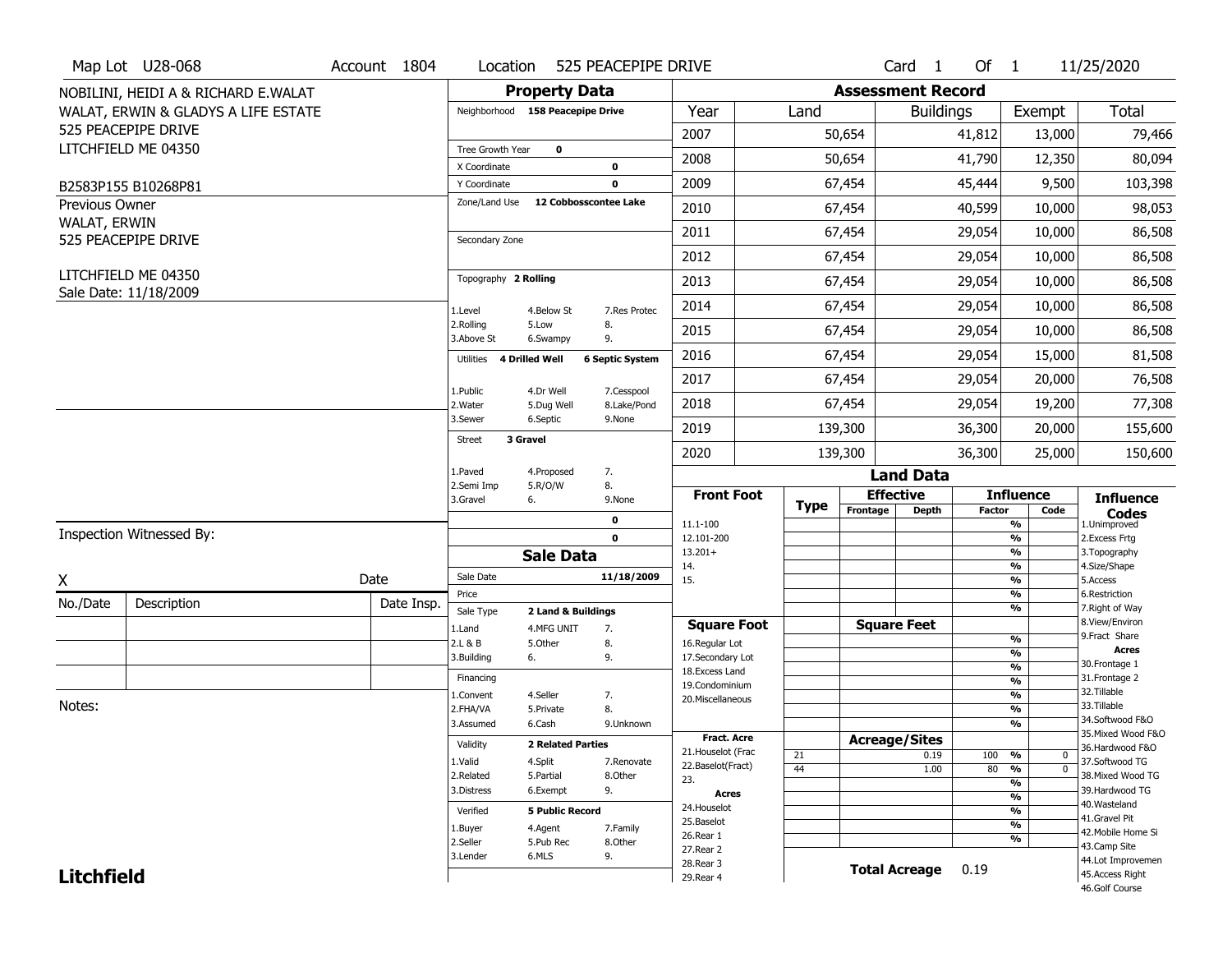|                   | Map Lot U28-068                              | Account 1804 |            | Location                |                                  | 525 PEACEPIPE DRIVE    |                                    |             |                          | $Card \t1$       | Of $1$        |                                   | 11/25/2020                            |
|-------------------|----------------------------------------------|--------------|------------|-------------------------|----------------------------------|------------------------|------------------------------------|-------------|--------------------------|------------------|---------------|-----------------------------------|---------------------------------------|
|                   | NOBILINI, HEIDI A & RICHARD E.WALAT          |              |            |                         | <b>Property Data</b>             |                        |                                    |             | <b>Assessment Record</b> |                  |               |                                   |                                       |
|                   | WALAT, ERWIN & GLADYS A LIFE ESTATE          |              |            |                         | Neighborhood 158 Peacepipe Drive |                        | Year                               | Land        |                          | <b>Buildings</b> |               | Exempt                            | <b>Total</b>                          |
|                   | 525 PEACEPIPE DRIVE                          |              |            |                         |                                  |                        | 2007                               |             | 50,654                   |                  | 41,812        | 13,000                            | 79,466                                |
|                   | LITCHFIELD ME 04350                          |              |            | Tree Growth Year        | $\mathbf 0$                      |                        |                                    |             |                          |                  |               |                                   |                                       |
|                   |                                              |              |            | X Coordinate            |                                  | 0                      | 2008                               |             | 50,654                   |                  | 41,790        | 12,350                            | 80,094                                |
|                   | B2583P155 B10268P81                          |              |            | Y Coordinate            |                                  | $\mathbf 0$            | 2009                               |             | 67,454                   |                  | 45,444        | 9,500                             | 103,398                               |
| Previous Owner    |                                              |              |            | Zone/Land Use           | 12 Cobbosscontee Lake            |                        | 2010                               |             | 67,454                   |                  | 40,599        | 10,000                            | 98,053                                |
| WALAT, ERWIN      | 525 PEACEPIPE DRIVE                          |              |            | Secondary Zone          |                                  |                        | 2011                               |             | 67,454                   |                  | 29,054        | 10,000                            | 86,508                                |
|                   |                                              |              |            |                         |                                  |                        | 2012                               |             | 67,454                   |                  | 29,054        | 10,000                            | 86,508                                |
|                   | LITCHFIELD ME 04350<br>Sale Date: 11/18/2009 |              |            | Topography 2 Rolling    |                                  |                        | 2013                               |             | 67,454                   |                  | 29,054        | 10,000                            | 86,508                                |
|                   |                                              |              |            | 1.Level                 | 4.Below St                       | 7.Res Protec           | 2014                               |             | 67,454                   |                  | 29,054        | 10,000                            | 86,508                                |
|                   |                                              |              |            | 2.Rolling<br>3.Above St | 5.Low<br>6.Swampy                | 8.<br>9.               | 2015                               |             | 67,454                   |                  | 29,054        | 10,000                            | 86,508                                |
|                   |                                              |              |            | Utilities               | 4 Drilled Well                   | <b>6 Septic System</b> | 2016                               |             | 67,454                   |                  | 29,054        | 15,000                            | 81,508                                |
|                   |                                              |              |            | 1.Public                | 4.Dr Well                        | 7.Cesspool             | 2017                               |             | 67,454                   |                  | 29,054        | 20,000                            | 76,508                                |
|                   |                                              |              |            | 2.Water                 | 5.Dug Well                       | 8.Lake/Pond            | 2018                               |             | 67,454                   |                  | 29,054        | 19,200                            | 77,308                                |
|                   |                                              |              |            | 3.Sewer                 | 6.Septic                         | 9.None                 | 2019                               |             | 139,300                  |                  | 36,300        | 20,000                            | 155,600                               |
|                   |                                              |              |            | <b>Street</b>           | 3 Gravel                         |                        | 2020                               |             | 139,300                  |                  | 36,300        | 25,000                            | 150,600                               |
|                   |                                              |              |            | 1.Paved                 | 4.Proposed                       | 7.                     |                                    |             |                          | <b>Land Data</b> |               |                                   |                                       |
|                   |                                              |              |            | 2.Semi Imp<br>3.Gravel  | 5.R/O/W<br>6.                    | 8.<br>9.None           | <b>Front Foot</b>                  |             | <b>Effective</b>         |                  |               | <b>Influence</b>                  | <b>Influence</b>                      |
|                   |                                              |              |            |                         |                                  | 0                      | 11.1-100                           | <b>Type</b> | Frontage                 | <b>Depth</b>     | <b>Factor</b> | Code<br>%                         | <b>Codes</b><br>1.Unimproved          |
|                   | Inspection Witnessed By:                     |              |            |                         |                                  | $\mathbf 0$            | 12.101-200                         |             |                          |                  |               | $\overline{\frac{9}{6}}$          | 2. Excess Frtg                        |
|                   |                                              |              |            |                         | <b>Sale Data</b>                 |                        | $13.201+$                          |             |                          |                  |               | %                                 | 3. Topography                         |
| X                 |                                              | Date         |            | Sale Date               |                                  | 11/18/2009             | 14.<br>15.                         |             |                          |                  |               | %<br>$\frac{9}{6}$                | 4.Size/Shape<br>5.Access              |
|                   |                                              |              |            | Price                   |                                  |                        |                                    |             |                          |                  |               | %                                 | 6.Restriction                         |
| No./Date          | Description                                  |              | Date Insp. | Sale Type               | 2 Land & Buildings               |                        |                                    |             |                          |                  |               | %                                 | 7. Right of Way<br>8.View/Environ     |
|                   |                                              |              |            | 1.Land                  | 4.MFG UNIT                       | 7.                     | <b>Square Foot</b>                 |             | <b>Square Feet</b>       |                  |               | $\frac{9}{6}$                     | 9. Fract Share                        |
|                   |                                              |              |            | 2.L & B<br>3.Building   | 5.Other<br>6.                    | 8.<br>9.               | 16.Regular Lot<br>17.Secondary Lot |             |                          |                  |               | $\overline{\frac{9}{6}}$          | <b>Acres</b>                          |
|                   |                                              |              |            |                         |                                  |                        | 18.Excess Land                     |             |                          |                  |               | $\frac{9}{6}$                     | 30.Frontage 1                         |
|                   |                                              |              |            | Financing               |                                  |                        | 19.Condominium                     |             |                          |                  |               | $\frac{9}{6}$                     | 31. Frontage 2                        |
| Notes:            |                                              |              |            | 1.Convent               | 4.Seller                         | 7.                     | 20.Miscellaneous                   |             |                          |                  |               | $\frac{9}{6}$                     | 32.Tillable<br>33.Tillable            |
|                   |                                              |              |            | 2.FHA/VA                | 5.Private                        | 8.                     |                                    |             |                          |                  |               | $\frac{9}{6}$                     | 34.Softwood F&O                       |
|                   |                                              |              |            | 3.Assumed               | 6.Cash                           | 9.Unknown              | <b>Fract. Acre</b>                 |             |                          |                  |               | %                                 | 35. Mixed Wood F&O                    |
|                   |                                              |              |            | Validity                | <b>2 Related Parties</b>         |                        | 21. Houselot (Frac                 |             | <b>Acreage/Sites</b>     |                  |               |                                   | 36.Hardwood F&O                       |
|                   |                                              |              |            | 1.Valid                 | 4.Split                          | 7.Renovate             | 22.Baselot(Fract)                  | 21          |                          | 0.19             | 100           | %<br>0                            | 37.Softwood TG                        |
|                   |                                              |              |            | 2.Related               | 5.Partial                        | 8.Other                | 23.                                | 44          |                          | 1.00             | 80            | $\frac{9}{6}$<br>$\mathbf 0$<br>% | 38. Mixed Wood TG                     |
|                   |                                              |              |            | 3.Distress              | 6.Exempt                         | 9.                     | <b>Acres</b>                       |             |                          |                  |               | $\frac{9}{6}$                     | 39.Hardwood TG                        |
|                   |                                              |              |            | Verified                | <b>5 Public Record</b>           |                        | 24. Houselot                       |             |                          |                  |               | %                                 | 40. Wasteland                         |
|                   |                                              |              |            |                         |                                  |                        | 25.Baselot                         |             |                          |                  |               | $\frac{9}{6}$                     | 41.Gravel Pit                         |
|                   |                                              |              |            | 1.Buyer<br>2.Seller     | 4.Agent<br>5.Pub Rec             | 7.Family<br>8.Other    | 26.Rear 1                          |             |                          |                  |               | %                                 | 42. Mobile Home Si                    |
|                   |                                              |              |            |                         |                                  |                        |                                    |             |                          |                  |               |                                   | 43.Camp Site                          |
|                   |                                              |              |            |                         |                                  |                        | 27.Rear 2                          |             |                          |                  |               |                                   |                                       |
| <b>Litchfield</b> |                                              |              |            | 3.Lender                | 6.MLS                            | 9.                     | 28. Rear 3<br>29. Rear 4           |             | <b>Total Acreage</b>     |                  | 0.19          |                                   | 44.Lot Improvemen<br>45. Access Right |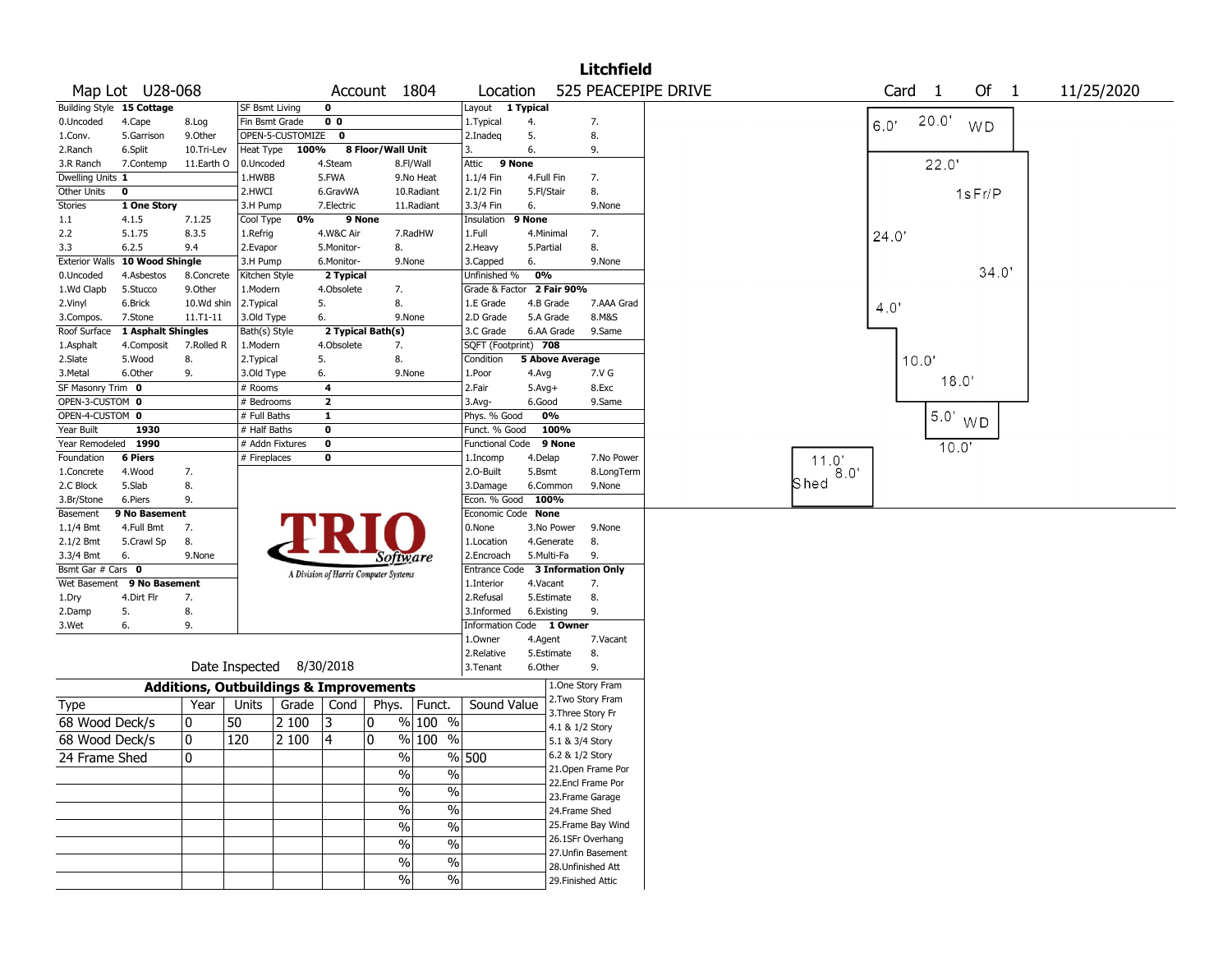|                           |                                         |             |                                                   |       |                                       |                   |               |                           |              |                           | <b>Litchfield</b>  |                     |        |       |                |           |            |
|---------------------------|-----------------------------------------|-------------|---------------------------------------------------|-------|---------------------------------------|-------------------|---------------|---------------------------|--------------|---------------------------|--------------------|---------------------|--------|-------|----------------|-----------|------------|
|                           | Map Lot U28-068                         |             |                                                   |       |                                       | Account 1804      |               | Location                  |              |                           |                    | 525 PEACEPIPE DRIVE |        | Card  | $\overline{1}$ | Of 1      | 11/25/2020 |
|                           | Building Style 15 Cottage               |             | <b>SF Bsmt Living</b>                             |       | $\mathbf 0$                           |                   |               | Layout 1 Typical          |              |                           |                    |                     |        |       |                |           |            |
| 0.Uncoded                 | 4.Cape                                  | 8.Log       | Fin Bsmt Grade                                    |       | 0 <sub>0</sub>                        |                   |               | 1. Typical                | 4.           |                           | 7.                 |                     |        | 6.0'  | 20.0'          | <b>WD</b> |            |
| 1.Conv.                   | 5.Garrison                              | 9.0ther     | OPEN-5-CUSTOMIZE                                  |       | 0                                     |                   |               | 2.Inadeg                  | 5.           |                           | 8.                 |                     |        |       |                |           |            |
| 2.Ranch                   | 6.Split                                 | 10.Tri-Lev  | Heat Type                                         | 100%  |                                       | 8 Floor/Wall Unit |               | 3.                        | 6.           |                           | 9.                 |                     |        |       |                |           |            |
| 3.R Ranch                 | 7.Contemp                               | 11.Earth O  | 0.Uncoded                                         |       | 4.Steam                               |                   | 8.Fl/Wall     | 9 None<br>Attic           |              |                           |                    |                     |        |       | 22.0'          |           |            |
| Dwelling Units 1          |                                         |             | 1.HWBB                                            |       | 5.FWA                                 |                   | 9.No Heat     | 1.1/4 Fin                 | 4.Full Fin   |                           | 7.                 |                     |        |       |                |           |            |
| Other Units               | 0                                       |             | 2.HWCI                                            |       | 6.GravWA                              |                   | 10.Radiant    | 2.1/2 Fin                 | 5.Fl/Stair   |                           | 8.                 |                     |        |       |                | 1sFr/P    |            |
| <b>Stories</b>            | 1 One Story                             |             | 3.H Pump                                          |       | 7.Electric                            |                   | 11.Radiant    | 3.3/4 Fin                 | 6.           |                           | 9.None             |                     |        |       |                |           |            |
| 1.1                       | 4.1.5                                   | 7.1.25      | Cool Type                                         | 0%    | 9 None                                |                   |               | Insulation                | 9 None       |                           |                    |                     |        |       |                |           |            |
| 2.2                       | 5.1.75                                  | 8.3.5       | 1.Refrig                                          |       | 4.W&C Air                             |                   | 7.RadHW       | 1.Full                    | 4.Minimal    |                           | 7.                 |                     |        | 24.0  |                |           |            |
| 3.3                       | 6.2.5<br>Exterior Walls 10 Wood Shingle | 9.4         | 2.Evapor                                          |       | 5.Monitor-                            | 8.                |               | 2. Heavy                  | 5.Partial    |                           | 8.<br>9.None       |                     |        |       |                |           |            |
| 0.Uncoded                 | 4.Asbestos                              | 8.Concrete  | 3.H Pump                                          |       | 6.Monitor-<br>2 Typical               |                   | 9.None        | 3.Capped<br>Unfinished %  | 6.<br>0%     |                           |                    |                     |        |       |                | 34.0      |            |
| 1.Wd Clapb                | 5.Stucco                                | 9.0ther     | Kitchen Style<br>1.Modern                         |       | 4.Obsolete                            | 7.                |               | Grade & Factor 2 Fair 90% |              |                           |                    |                     |        |       |                |           |            |
| 2.Vinyl                   | 6.Brick                                 | 10.Wd shin  | 2.Typical                                         |       | 5.                                    | 8.                |               | 1.E Grade                 | 4.B Grade    |                           | 7.AAA Grad         |                     |        |       |                |           |            |
|                           | 7.Stone                                 | 11.T1-11    | 3.Old Type                                        |       | 6.                                    |                   | 9.None        | 2.D Grade                 | 5.A Grade    |                           | 8.M&S              |                     |        | 4.0'  |                |           |            |
| 3.Compos.<br>Roof Surface | 1 Asphalt Shingles                      |             | Bath(s) Style                                     |       |                                       | 2 Typical Bath(s) |               | 3.C Grade                 |              | 6.AA Grade                | 9.Same             |                     |        |       |                |           |            |
| 1.Asphalt                 | 4.Composit                              | 7.Rolled R  | 1.Modern                                          |       | 4.Obsolete                            | 7.                |               | SQFT (Footprint) 708      |              |                           |                    |                     |        |       |                |           |            |
| 2.Slate                   | 5.Wood                                  | 8.          | 2.Typical                                         |       | 5.                                    | 8.                |               | Condition                 |              | <b>5 Above Average</b>    |                    |                     |        | 10.0' |                |           |            |
| 3.Metal                   | 6.Other                                 | 9.          | 3.Old Type                                        |       | 6.                                    |                   | 9.None        | 1.Poor                    | 4.Avg        |                           | 7.V G              |                     |        |       |                |           |            |
| SF Masonry Trim 0         |                                         |             | $#$ Rooms                                         |       | 4                                     |                   |               | 2.Fair                    | $5.$ Avg $+$ |                           | 8.Exc              |                     |        |       | 18.0'          |           |            |
| OPEN-3-CUSTOM 0           |                                         |             | # Bedrooms                                        |       | $\overline{\mathbf{2}}$               |                   |               | $3.$ Avg-                 | 6.Good       |                           | 9.Same             |                     |        |       |                |           |            |
| OPEN-4-CUSTOM 0           |                                         |             | # Full Baths                                      |       | 1                                     |                   |               | Phys. % Good              | 0%           |                           |                    |                     |        |       |                |           |            |
| Year Built                | 1930                                    |             | # Half Baths                                      |       | $\bf{0}$                              |                   |               | Funct. % Good             |              | 100%                      |                    |                     |        |       |                | $5.0'$ WD |            |
| Year Remodeled            | 1990                                    |             | # Addn Fixtures                                   |       | $\bf{0}$                              |                   |               | <b>Functional Code</b>    |              | 9 None                    |                    |                     |        |       | 10.0'          |           |            |
| Foundation                | <b>6 Piers</b>                          |             | # Fireplaces                                      |       | 0                                     |                   |               | 1.Incomp                  | 4.Delap      |                           | 7.No Power         |                     | 11.0'  |       |                |           |            |
| 1.Concrete                | 4.Wood                                  | 7.          |                                                   |       |                                       |                   |               | 2.0-Built                 | 5.Bsmt       |                           | 8.LongTerm         |                     | $8.0"$ |       |                |           |            |
| 2.C Block                 | 5.Slab                                  | 8.          |                                                   |       |                                       |                   |               | 3.Damage                  | 6.Common     |                           | 9.None             |                     | Shed   |       |                |           |            |
| 3.Br/Stone                | 6.Piers                                 | 9.          |                                                   |       |                                       |                   |               | Econ. % Good 100%         |              |                           |                    |                     |        |       |                |           |            |
| Basement                  | 9 No Basement                           |             |                                                   |       |                                       |                   |               | Economic Code None        |              |                           |                    |                     |        |       |                |           |            |
| 1.1/4 Bmt                 | 4.Full Bmt                              | 7.          |                                                   |       |                                       |                   |               | 0.None                    |              | 3.No Power                | 9.None             |                     |        |       |                |           |            |
| 2.1/2 Bmt                 | 5.Crawl Sp                              | 8.          |                                                   |       |                                       |                   |               | 1.Location                |              | 4.Generate                | 8.                 |                     |        |       |                |           |            |
| 3.3/4 Bmt                 | 6.                                      | 9.None      |                                                   |       |                                       | Software          |               | 2.Encroach                | 5.Multi-Fa   |                           | 9.                 |                     |        |       |                |           |            |
| Bsmt Gar # Cars 0         |                                         |             |                                                   |       | A Division of Harris Computer Systems |                   |               | <b>Entrance Code</b>      |              | <b>3 Information Only</b> |                    |                     |        |       |                |           |            |
| Wet Basement              | 9 No Basement                           |             |                                                   |       |                                       |                   |               | 1.Interior                | 4.Vacant     |                           | 7.                 |                     |        |       |                |           |            |
| 1.Dry                     | 4.Dirt Flr                              | 7.          |                                                   |       |                                       |                   |               | 2.Refusal                 |              | 5.Estimate                | 8.                 |                     |        |       |                |           |            |
| 2.Damp                    | 5.                                      | 8.          |                                                   |       |                                       |                   |               | 3.Informed                | 6.Existing   |                           | 9.                 |                     |        |       |                |           |            |
| 3.Wet                     | 6.                                      | 9.          |                                                   |       |                                       |                   |               | Information Code 1 Owner  |              |                           |                    |                     |        |       |                |           |            |
|                           |                                         |             |                                                   |       |                                       |                   |               | 1.0wner                   | 4.Agent      |                           | 7.Vacant           |                     |        |       |                |           |            |
|                           |                                         |             |                                                   |       |                                       |                   |               | 2.Relative                |              | 5.Estimate                | 8.                 |                     |        |       |                |           |            |
|                           |                                         |             | Date Inspected 8/30/2018                          |       |                                       |                   |               | 3.Tenant                  | 6.Other      |                           | 9.                 |                     |        |       |                |           |            |
|                           |                                         |             | <b>Additions, Outbuildings &amp; Improvements</b> |       |                                       |                   |               |                           |              | 1.One Story Fram          |                    |                     |        |       |                |           |            |
| Type                      |                                         | Year        | Units                                             |       | Grade   Cond                          | Phys.             | Funct.        | Sound Value               |              | 2. Two Story Fram         |                    |                     |        |       |                |           |            |
| 68 Wood Deck/s            |                                         | 10          | 50                                                | 2 100 | 13                                    | 0                 | % 100 %       |                           |              | 3. Three Story Fr         |                    |                     |        |       |                |           |            |
| 68 Wood Deck/s            |                                         | $\mathbf 0$ | 120                                               | 2 100 | 4                                     | 0                 | $%100$ %      |                           |              | 4.1 & 1/2 Story           |                    |                     |        |       |                |           |            |
|                           |                                         |             |                                                   |       |                                       |                   |               |                           |              | 5.1 & 3/4 Story           |                    |                     |        |       |                |           |            |
| 24 Frame Shed             |                                         | 0           |                                                   |       |                                       | $\frac{9}{6}$     |               | $%$ 500                   |              | 6.2 & 1/2 Story           | 21. Open Frame Por |                     |        |       |                |           |            |
|                           |                                         |             |                                                   |       |                                       | $\%$              | %             |                           |              | 22.Encl Frame Por         |                    |                     |        |       |                |           |            |
|                           |                                         |             |                                                   |       |                                       | $\frac{0}{6}$     | $\frac{1}{2}$ |                           |              | 23. Frame Garage          |                    |                     |        |       |                |           |            |
|                           |                                         |             |                                                   |       |                                       | $\frac{1}{2}$     | $\frac{1}{2}$ |                           |              | 24.Frame Shed             |                    |                     |        |       |                |           |            |
|                           |                                         |             |                                                   |       |                                       |                   | $\frac{0}{6}$ |                           |              |                           | 25. Frame Bay Wind |                     |        |       |                |           |            |
|                           |                                         |             |                                                   |       |                                       | $\frac{1}{2}$     |               |                           |              | 26.1SFr Overhang          |                    |                     |        |       |                |           |            |
|                           |                                         |             |                                                   |       |                                       | $\%$              | $\frac{1}{2}$ |                           |              |                           | 27. Unfin Basement |                     |        |       |                |           |            |
|                           |                                         |             |                                                   |       |                                       | $\%$              | $\%$          |                           |              | 28.Unfinished Att         |                    |                     |        |       |                |           |            |
|                           |                                         |             |                                                   |       |                                       | $\frac{0}{0}$     | $\%$          |                           |              | 29. Finished Attic        |                    |                     |        |       |                |           |            |
|                           |                                         |             |                                                   |       |                                       |                   |               |                           |              |                           |                    |                     |        |       |                |           |            |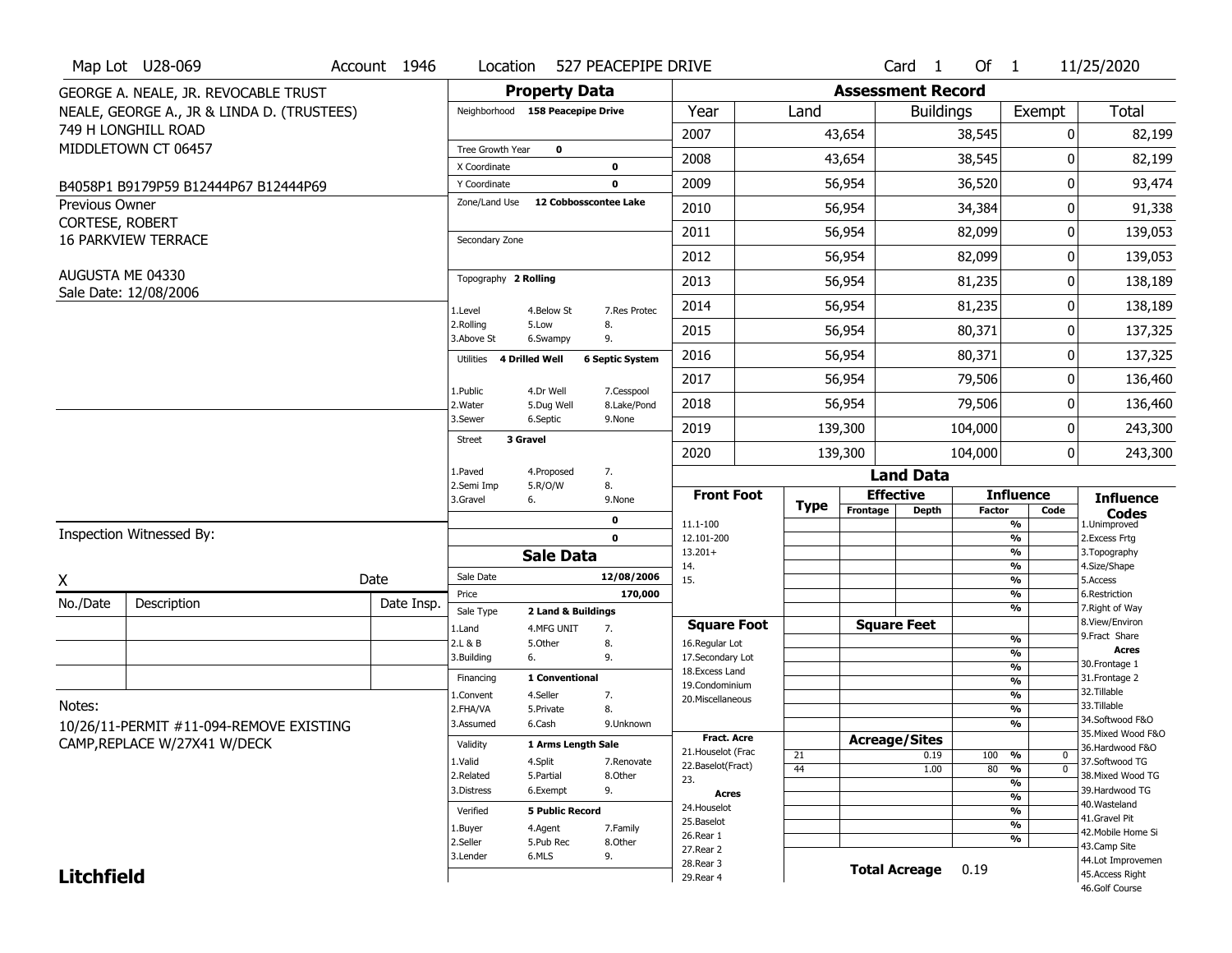|                                          | Map Lot U28-069                            | Account 1946 | Location                           |                         | 527 PEACEPIPE DRIVE       |                                     |             |                          | Card <sub>1</sub>    | Of $1$        |                                          | 11/25/2020                          |
|------------------------------------------|--------------------------------------------|--------------|------------------------------------|-------------------------|---------------------------|-------------------------------------|-------------|--------------------------|----------------------|---------------|------------------------------------------|-------------------------------------|
|                                          | GEORGE A. NEALE, JR. REVOCABLE TRUST       |              |                                    | <b>Property Data</b>    |                           |                                     |             | <b>Assessment Record</b> |                      |               |                                          |                                     |
|                                          | NEALE, GEORGE A., JR & LINDA D. (TRUSTEES) |              | Neighborhood 158 Peacepipe Drive   |                         |                           | Year                                | Land        |                          | <b>Buildings</b>     |               | Exempt                                   | Total                               |
|                                          | 749 H LONGHILL ROAD                        |              |                                    |                         |                           | 2007                                |             | 43,654                   |                      | 38,545        | 0                                        | 82,199                              |
|                                          | MIDDLETOWN CT 06457                        |              | Tree Growth Year                   | $\mathbf 0$             |                           | 2008                                |             | 43,654                   |                      | 38,545        | 0                                        | 82,199                              |
|                                          |                                            |              | X Coordinate                       |                         | 0                         | 2009                                |             |                          |                      |               | 0                                        |                                     |
|                                          | B4058P1 B9179P59 B12444P67 B12444P69       |              | Y Coordinate<br>Zone/Land Use      | 12 Cobbosscontee Lake   | $\mathbf 0$               |                                     |             | 56,954                   |                      | 36,520        |                                          | 93,474                              |
| <b>Previous Owner</b><br>CORTESE, ROBERT |                                            |              |                                    |                         |                           | 2010                                |             | 56,954                   |                      | 34,384        | 0                                        | 91,338                              |
|                                          | <b>16 PARKVIEW TERRACE</b>                 |              | Secondary Zone                     |                         |                           | 2011                                |             | 56,954                   |                      | 82,099        | 0                                        | 139,053                             |
|                                          |                                            |              |                                    |                         |                           | 2012                                |             | 56,954                   |                      | 82,099        | 0                                        | 139,053                             |
|                                          | AUGUSTA ME 04330                           |              | Topography 2 Rolling               |                         |                           | 2013                                |             | 56,954                   |                      | 81,235        | 0                                        | 138,189                             |
|                                          | Sale Date: 12/08/2006                      |              | 1.Level                            | 4.Below St              | 7.Res Protec              | 2014                                |             | 56,954                   |                      | 81,235        | 0                                        | 138,189                             |
|                                          |                                            |              | 2.Rolling<br>3.Above St            | 5.Low<br>6.Swampy       | 8.<br>9.                  | 2015                                |             | 56,954                   |                      | 80,371        | 0                                        | 137,325                             |
|                                          |                                            |              | <b>4 Drilled Well</b><br>Utilities |                         | <b>6 Septic System</b>    | 2016                                |             | 56,954                   |                      | 80,371        | 0                                        | 137,325                             |
|                                          |                                            |              |                                    |                         |                           | 2017                                |             | 56,954                   |                      | 79,506        | 0                                        | 136,460                             |
|                                          |                                            |              | 1.Public<br>2. Water               | 4.Dr Well<br>5.Dug Well | 7.Cesspool<br>8.Lake/Pond | 2018                                |             | 56,954                   |                      | 79,506        | 0                                        | 136,460                             |
|                                          |                                            |              | 3.Sewer                            | 6.Septic                | 9.None                    | 2019                                |             | 139,300                  |                      | 104,000       | 0                                        | 243,300                             |
|                                          |                                            |              | 3 Gravel<br><b>Street</b>          |                         |                           | 2020                                |             | 139,300                  |                      | 104,000       | 0                                        | 243,300                             |
|                                          |                                            |              | 1.Paved                            | 4.Proposed              | 7.                        |                                     |             |                          | <b>Land Data</b>     |               |                                          |                                     |
|                                          |                                            |              | 2.Semi Imp<br>3.Gravel             | 5.R/O/W<br>6.           | 8.<br>9.None              | <b>Front Foot</b>                   | <b>Type</b> |                          | <b>Effective</b>     |               | <b>Influence</b>                         | <b>Influence</b>                    |
|                                          |                                            |              |                                    |                         | 0                         | 11.1-100                            |             | Frontage                 | <b>Depth</b>         | <b>Factor</b> | Code<br>%                                | <b>Codes</b><br>1.Unimproved        |
|                                          | Inspection Witnessed By:                   |              |                                    |                         | $\mathbf 0$               | 12.101-200                          |             |                          |                      |               | $\frac{9}{6}$                            | 2.Excess Frtg                       |
|                                          |                                            |              |                                    | <b>Sale Data</b>        |                           | $13.201+$<br>14.                    |             |                          |                      |               | $\frac{9}{6}$<br>$\frac{9}{6}$           | 3. Topography<br>4.Size/Shape       |
| X                                        |                                            | Date         | Sale Date                          |                         | 12/08/2006                | 15.                                 |             |                          |                      |               | $\frac{9}{6}$                            | 5.Access                            |
| No./Date                                 | Description                                | Date Insp.   | Price<br>Sale Type                 | 2 Land & Buildings      | 170,000                   |                                     |             |                          |                      |               | %<br>%                                   | 6.Restriction<br>7. Right of Way    |
|                                          |                                            |              | 1.Land                             | 4.MFG UNIT              | 7.                        | <b>Square Foot</b>                  |             |                          | <b>Square Feet</b>   |               |                                          | 8.View/Environ                      |
|                                          |                                            |              | 2.L & B                            | 5.0ther                 | 8.                        | 16.Regular Lot                      |             |                          |                      |               | $\frac{9}{6}$<br>%                       | 9. Fract Share<br><b>Acres</b>      |
|                                          |                                            |              | 3.Building                         | 6.                      | 9.                        | 17.Secondary Lot<br>18. Excess Land |             |                          |                      |               | %                                        | 30. Frontage 1                      |
|                                          |                                            |              | Financing                          | 1 Conventional          |                           | 19.Condominium                      |             |                          |                      |               | $\frac{9}{6}$                            | 31. Frontage 2                      |
| Notes:                                   |                                            |              | 1.Convent                          | 4.Seller                | 7.                        | 20. Miscellaneous                   |             |                          |                      |               | $\frac{9}{6}$                            | 32.Tillable<br>33.Tillable          |
|                                          |                                            |              | 2.FHA/VA                           | 5.Private               | 8.                        |                                     |             |                          |                      |               | %                                        | 34.Softwood F&O                     |
|                                          | 10/26/11-PERMIT #11-094-REMOVE EXISTING    |              | 3.Assumed                          | 6.Cash                  | 9.Unknown                 | <b>Fract. Acre</b>                  |             |                          |                      |               | %                                        | 35. Mixed Wood F&O                  |
|                                          | CAMP, REPLACE W/27X41 W/DECK               |              | Validity                           | 1 Arms Length Sale      |                           | 21. Houselot (Frac                  |             |                          | <b>Acreage/Sites</b> |               |                                          | 36.Hardwood F&O                     |
|                                          |                                            |              | 1.Valid                            | 4.Split                 | 7.Renovate                | 22.Baselot(Fract)                   | 21<br>44    |                          | 0.19<br>1.00         | 100<br>80     | %<br>0<br>$\overline{\mathfrak{o}}$<br>% | 37.Softwood TG                      |
|                                          |                                            |              | 2.Related                          | 5.Partial               | 8.Other                   | 23.                                 |             |                          |                      |               | $\overline{\frac{9}{6}}$                 | 38. Mixed Wood TG                   |
|                                          |                                            |              | 3.Distress                         | 6.Exempt                | 9.                        | Acres                               |             |                          |                      |               | $\frac{9}{6}$                            | 39.Hardwood TG                      |
|                                          |                                            |              | Verified                           | <b>5 Public Record</b>  |                           | 24. Houselot                        |             |                          |                      |               | $\frac{9}{6}$                            | 40. Wasteland                       |
|                                          |                                            |              | 1.Buyer                            | 4.Agent                 | 7.Family                  | 25.Baselot                          |             |                          |                      |               | $\frac{9}{6}$                            | 41.Gravel Pit<br>42. Mobile Home Si |
|                                          |                                            |              | 2.Seller                           | 5.Pub Rec               | 8.Other                   | 26.Rear 1<br>27. Rear 2             |             |                          |                      |               | %                                        | 43.Camp Site                        |
|                                          |                                            |              | 3.Lender                           | 6.MLS                   | 9.                        | 28.Rear 3                           |             |                          |                      |               |                                          | 44.Lot Improvemen                   |
| <b>Litchfield</b>                        |                                            |              |                                    |                         |                           | 29. Rear 4                          |             |                          | <b>Total Acreage</b> | 0.19          |                                          | 45.Access Right<br>46.Golf Course   |
|                                          |                                            |              |                                    |                         |                           |                                     |             |                          |                      |               |                                          |                                     |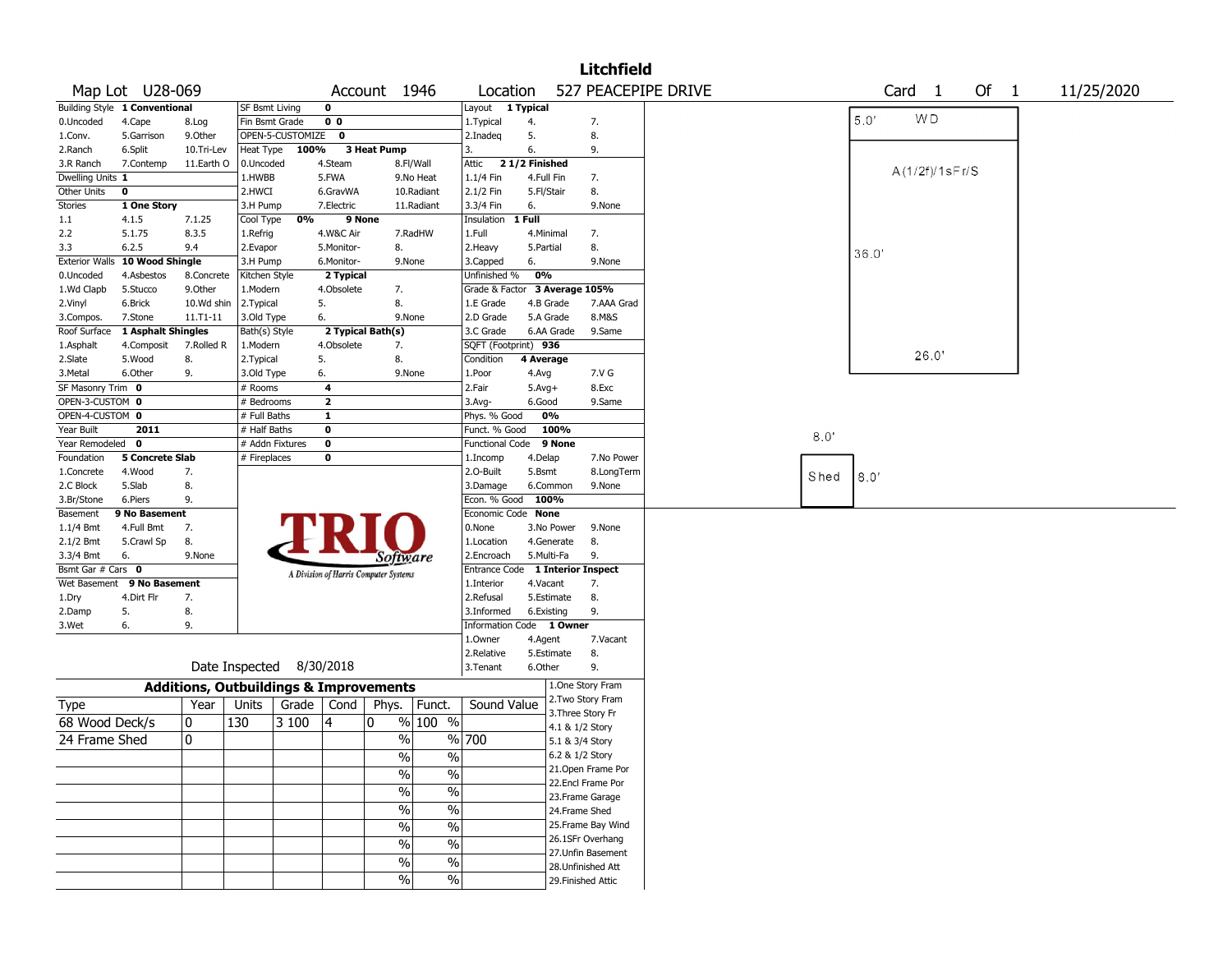|                       |                               |                                                   |                       |                  |                |                                       |                          |                                  |               |                 | <b>Litchfield</b>  |                     |      |       |                   |       |        |  |            |  |
|-----------------------|-------------------------------|---------------------------------------------------|-----------------------|------------------|----------------|---------------------------------------|--------------------------|----------------------------------|---------------|-----------------|--------------------|---------------------|------|-------|-------------------|-------|--------|--|------------|--|
|                       | Map Lot U28-069               |                                                   |                       |                  |                | Account 1946                          |                          | Location                         |               |                 |                    | 527 PEACEPIPE DRIVE |      |       | Card <sub>1</sub> |       | Of $1$ |  | 11/25/2020 |  |
|                       | Building Style 1 Conventional |                                                   | <b>SF Bsmt Living</b> |                  | $\mathbf 0$    |                                       |                          | Layout 1 Typical                 |               |                 |                    |                     |      |       |                   |       |        |  |            |  |
| 0.Uncoded             | 4.Cape                        | 8.Log                                             | Fin Bsmt Grade        |                  | 0 <sub>0</sub> |                                       |                          | 1. Typical                       | 4.            |                 | 7.                 |                     |      | 5.0'  | <b>WD</b>         |       |        |  |            |  |
| 1.Conv.               | 5.Garrison                    | 9.Other                                           |                       | OPEN-5-CUSTOMIZE | 0              |                                       |                          | 2.Inadeg                         | 5.            |                 | 8.                 |                     |      |       |                   |       |        |  |            |  |
| 2.Ranch               | 6.Split                       | 10.Tri-Lev                                        | Heat Type             | 100%             |                | 3 Heat Pump                           |                          | 3.                               | 6.            |                 | 9.                 |                     |      |       |                   |       |        |  |            |  |
| 3.R Ranch             | 7.Contemp                     | 11.Earth O                                        | 0.Uncoded             |                  | 4.Steam        |                                       | 8.Fl/Wall                | Attic                            | 21/2 Finished |                 |                    |                     |      |       | A(1/2f)/1sFr/S    |       |        |  |            |  |
| Dwelling Units 1      |                               |                                                   | 1.HWBB                |                  | 5.FWA          |                                       | 9.No Heat                | $1.1/4$ Fin                      | 4.Full Fin    |                 | 7.                 |                     |      |       |                   |       |        |  |            |  |
| Other Units           | 0                             |                                                   | 2.HWCI                |                  | 6.GravWA       |                                       | 10.Radiant               | 2.1/2 Fin                        | 5.Fl/Stair    |                 | 8.                 |                     |      |       |                   |       |        |  |            |  |
| <b>Stories</b>        | 1 One Story                   |                                                   | 3.H Pump              |                  | 7.Electric     |                                       | 11.Radiant               | 3.3/4 Fin                        | 6.            |                 | 9.None             |                     |      |       |                   |       |        |  |            |  |
| 1.1                   | 4.1.5                         | 7.1.25                                            | Cool Type             | 0%               | 9 None         |                                       |                          | Insulation                       | 1 Full        |                 |                    |                     |      |       |                   |       |        |  |            |  |
| 2.2                   | 5.1.75                        | 8.3.5                                             | 1.Refrig              |                  | 4.W&C Air      |                                       | 7.RadHW                  | 1.Full                           | 4.Minimal     |                 | 7.                 |                     |      |       |                   |       |        |  |            |  |
| 3.3                   | 6.2.5                         | 9.4                                               | 2.Evapor              |                  | 5.Monitor-     | 8.                                    |                          | 2. Heavy                         | 5.Partial     |                 | 8.                 |                     |      | 36.0' |                   |       |        |  |            |  |
| <b>Exterior Walls</b> | 10 Wood Shingle               |                                                   | 3.H Pump              |                  | 6.Monitor-     | 9.None                                |                          | 3.Capped                         | 6.            |                 | 9.None             |                     |      |       |                   |       |        |  |            |  |
| 0.Uncoded             | 4.Asbestos                    | 8.Concrete                                        | Kitchen Style         |                  | 2 Typical      |                                       |                          | Unfinished %                     | 0%            |                 |                    |                     |      |       |                   |       |        |  |            |  |
| 1.Wd Clapb            | 5.Stucco                      | 9.0ther                                           | 1.Modern              |                  | 4.Obsolete     | 7.                                    |                          | Grade & Factor 3 Average 105%    |               |                 |                    |                     |      |       |                   |       |        |  |            |  |
| 2.Vinyl               | 6.Brick                       | 10.Wd shin                                        | 2.Typical             |                  | 5.             | 8.                                    |                          | 1.E Grade                        |               | 4.B Grade       | 7.AAA Grad         |                     |      |       |                   |       |        |  |            |  |
| 3.Compos.             | 7.Stone                       | $11.71 - 11$                                      | 3.Old Type            |                  | 6.             | 9.None                                |                          | 2.D Grade                        |               | 5.A Grade       | 8.M&S              |                     |      |       |                   |       |        |  |            |  |
| Roof Surface          | 1 Asphalt Shingles            |                                                   | Bath(s) Style         |                  |                | 2 Typical Bath(s)                     |                          | 3.C Grade                        |               | 6.AA Grade      | 9.Same             |                     |      |       |                   |       |        |  |            |  |
| 1.Asphalt             | 4.Composit                    | 7.Rolled R                                        | 1.Modern              |                  | 4.Obsolete     | 7.                                    |                          | SQFT (Footprint) 936             |               |                 |                    |                     |      |       |                   |       |        |  |            |  |
| 2.Slate               | 5.Wood                        | 8.                                                | 2. Typical            |                  | 5.             | 8.                                    |                          | Condition                        | 4 Average     |                 |                    |                     |      |       |                   | 26.0' |        |  |            |  |
| 3. Metal              | 6.Other                       | 9.                                                | 3.Old Type            |                  | 6.             | 9.None                                |                          | 1.Poor                           | 4.Avg         |                 | 7.V G              |                     |      |       |                   |       |        |  |            |  |
| SF Masonry Trim 0     |                               |                                                   | $#$ Rooms             |                  | 4              |                                       |                          | 2.Fair                           | $5.Avg+$      |                 | 8.Exc              |                     |      |       |                   |       |        |  |            |  |
| OPEN-3-CUSTOM 0       |                               |                                                   | # Bedrooms            |                  | $\mathbf{2}$   |                                       |                          | $3.$ Avg-                        | 6.Good        |                 | 9.Same             |                     |      |       |                   |       |        |  |            |  |
| OPEN-4-CUSTOM 0       |                               |                                                   | # Full Baths          |                  | $\mathbf{1}$   |                                       |                          | Phys. % Good                     |               | 0%              |                    |                     |      |       |                   |       |        |  |            |  |
| Year Built            | 2011                          |                                                   | # Half Baths          |                  | $\bf o$        |                                       |                          | Funct. % Good                    |               | 100%            |                    |                     |      |       |                   |       |        |  |            |  |
| Year Remodeled 0      |                               |                                                   | # Addn Fixtures       |                  | $\mathbf 0$    |                                       |                          | <b>Functional Code</b>           |               | 9 None          |                    |                     | 8.0' |       |                   |       |        |  |            |  |
| Foundation            | 5 Concrete Slab               |                                                   | # Fireplaces          |                  | $\bf o$        |                                       |                          | 1.Incomp                         | 4.Delap       |                 | 7.No Power         |                     |      |       |                   |       |        |  |            |  |
| 1.Concrete            | 4.Wood                        | 7.                                                |                       |                  |                |                                       |                          | 2.0-Built                        | 5.Bsmt        |                 | 8.LongTerm         |                     |      |       |                   |       |        |  |            |  |
| 2.C Block             | 5.Slab                        | 8.                                                |                       |                  |                |                                       |                          | 3.Damage                         |               | 6.Common        | 9.None             |                     | Shed | 8.0'  |                   |       |        |  |            |  |
| 3.Br/Stone            | 6.Piers                       | 9.                                                |                       |                  |                |                                       |                          | Econ. % Good                     | 100%          |                 |                    |                     |      |       |                   |       |        |  |            |  |
| Basement              | 9 No Basement                 |                                                   |                       |                  |                |                                       |                          | Economic Code None               |               |                 |                    |                     |      |       |                   |       |        |  |            |  |
| $1.1/4$ Bmt           | 4.Full Bmt                    | 7.                                                |                       |                  |                |                                       |                          | 0.None                           |               | 3.No Power      | 9.None             |                     |      |       |                   |       |        |  |            |  |
| 2.1/2 Bmt             | 5.Crawl Sp                    | 8.                                                |                       |                  |                |                                       |                          | 1.Location                       |               | 4.Generate      | 8.                 |                     |      |       |                   |       |        |  |            |  |
| 3.3/4 Bmt             | 6.                            | 9.None                                            |                       |                  |                |                                       |                          | 2.Encroach                       |               | 5.Multi-Fa      | 9.                 |                     |      |       |                   |       |        |  |            |  |
| Bsmt Gar # Cars 0     |                               |                                                   |                       |                  |                | Software                              |                          | Entrance Code 1 Interior Inspect |               |                 |                    |                     |      |       |                   |       |        |  |            |  |
| Wet Basement          | 9 No Basement                 |                                                   |                       |                  |                | A Division of Harris Computer Systems |                          | 1.Interior                       | 4.Vacant      |                 | 7.                 |                     |      |       |                   |       |        |  |            |  |
| 1.Dry                 | 4.Dirt Flr                    | 7.                                                |                       |                  |                |                                       |                          | 2.Refusal                        |               | 5.Estimate      | 8.                 |                     |      |       |                   |       |        |  |            |  |
| 2.Damp                | 5.                            | 8.                                                |                       |                  |                |                                       |                          | 3.Informed                       | 6.Existing    |                 | 9.                 |                     |      |       |                   |       |        |  |            |  |
| 3.Wet                 | 6.                            | 9.                                                |                       |                  |                |                                       |                          | Information Code 1 Owner         |               |                 |                    |                     |      |       |                   |       |        |  |            |  |
|                       |                               |                                                   |                       |                  |                |                                       |                          | 1.0wner                          | 4.Agent       |                 | 7.Vacant           |                     |      |       |                   |       |        |  |            |  |
|                       |                               |                                                   |                       |                  |                |                                       |                          | 2.Relative                       |               | 5.Estimate      | 8.                 |                     |      |       |                   |       |        |  |            |  |
|                       |                               |                                                   | Date Inspected        |                  | 8/30/2018      |                                       |                          | 3. Tenant                        | 6.Other       |                 | 9.                 |                     |      |       |                   |       |        |  |            |  |
|                       |                               |                                                   |                       |                  |                |                                       |                          |                                  |               |                 |                    |                     |      |       |                   |       |        |  |            |  |
|                       |                               | <b>Additions, Outbuildings &amp; Improvements</b> |                       |                  |                |                                       |                          |                                  |               |                 | 1.One Story Fram   |                     |      |       |                   |       |        |  |            |  |
| Type                  |                               | Year                                              | Units                 | Grade            | Cond           | Phys.                                 | Funct.                   | Sound Value                      |               |                 | 2. Two Story Fram  |                     |      |       |                   |       |        |  |            |  |
| 68 Wood Deck/s        |                               | 0                                                 | 130                   | 3 100            | 14             | 0                                     | % 100 %                  |                                  |               |                 | 3. Three Story Fr  |                     |      |       |                   |       |        |  |            |  |
|                       |                               |                                                   |                       |                  |                |                                       |                          |                                  |               | 4.1 & 1/2 Story |                    |                     |      |       |                   |       |        |  |            |  |
| 24 Frame Shed         |                               | 0                                                 |                       |                  |                | %                                     |                          | % 700                            |               | 5.1 & 3/4 Story |                    |                     |      |       |                   |       |        |  |            |  |
|                       |                               |                                                   |                       |                  |                | $\sqrt{20}$                           | $\%$                     |                                  |               | 6.2 & 1/2 Story |                    |                     |      |       |                   |       |        |  |            |  |
|                       |                               |                                                   |                       |                  |                | $\frac{0}{0}$                         | $\%$                     |                                  |               |                 | 21. Open Frame Por |                     |      |       |                   |       |        |  |            |  |
|                       |                               |                                                   |                       |                  |                |                                       |                          |                                  |               |                 | 22.Encl Frame Por  |                     |      |       |                   |       |        |  |            |  |
|                       |                               |                                                   |                       |                  |                | $\frac{9}{6}$                         | $\overline{\frac{0}{6}}$ |                                  |               |                 | 23. Frame Garage   |                     |      |       |                   |       |        |  |            |  |
|                       |                               |                                                   |                       |                  |                | $\sqrt{20}$                           | $\%$                     |                                  |               |                 | 24.Frame Shed      |                     |      |       |                   |       |        |  |            |  |
|                       |                               |                                                   |                       |                  |                | $\sqrt{2}$                            | $\frac{9}{6}$            |                                  |               |                 | 25. Frame Bay Wind |                     |      |       |                   |       |        |  |            |  |
|                       |                               |                                                   |                       |                  |                | $\sqrt{2}$                            |                          |                                  |               |                 | 26.1SFr Overhang   |                     |      |       |                   |       |        |  |            |  |
|                       |                               |                                                   |                       |                  |                |                                       | $\%$                     |                                  |               |                 | 27. Unfin Basement |                     |      |       |                   |       |        |  |            |  |
|                       |                               |                                                   |                       |                  |                | $\%$                                  | $\%$                     |                                  |               |                 | 28. Unfinished Att |                     |      |       |                   |       |        |  |            |  |
|                       |                               |                                                   |                       |                  |                | $\%$                                  | %                        |                                  |               |                 | 29. Finished Attic |                     |      |       |                   |       |        |  |            |  |
|                       |                               |                                                   |                       |                  |                |                                       |                          |                                  |               |                 |                    |                     |      |       |                   |       |        |  |            |  |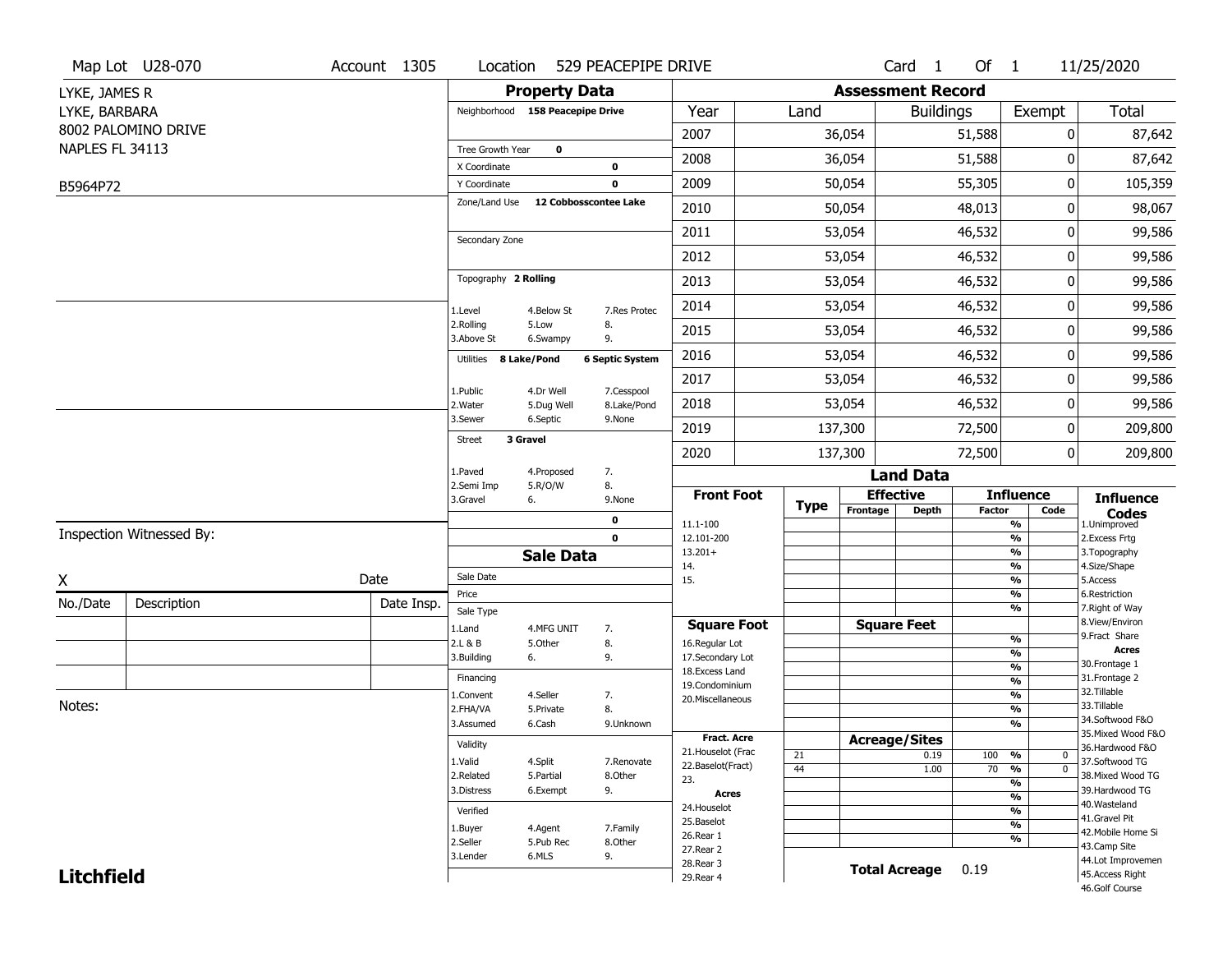|                   | Map Lot U28-070          | Account 1305 | Location                         |                         | 529 PEACEPIPE DRIVE       |                                     |             |                          | Card <sub>1</sub>  | Of 1          |                                           | 11/25/2020                                                  |
|-------------------|--------------------------|--------------|----------------------------------|-------------------------|---------------------------|-------------------------------------|-------------|--------------------------|--------------------|---------------|-------------------------------------------|-------------------------------------------------------------|
| LYKE, JAMES R     |                          |              |                                  | <b>Property Data</b>    |                           |                                     |             | <b>Assessment Record</b> |                    |               |                                           |                                                             |
| LYKE, BARBARA     |                          |              | Neighborhood 158 Peacepipe Drive |                         |                           | Year                                | Land        |                          | <b>Buildings</b>   |               | Exempt                                    | Total                                                       |
|                   | 8002 PALOMINO DRIVE      |              |                                  |                         |                           | 2007                                |             | 36,054                   |                    | 51,588        | 0                                         | 87,642                                                      |
| NAPLES FL 34113   |                          |              | Tree Growth Year                 | $\bf o$                 |                           | 2008                                |             | 36,054                   |                    | 51,588        | 0                                         | 87,642                                                      |
|                   |                          |              | X Coordinate<br>Y Coordinate     |                         | 0<br>$\mathbf 0$          | 2009                                |             | 50,054                   |                    | 55,305        | 0                                         | 105,359                                                     |
| B5964P72          |                          |              | Zone/Land Use                    |                         | 12 Cobbosscontee Lake     |                                     |             |                          |                    |               |                                           |                                                             |
|                   |                          |              |                                  |                         |                           | 2010                                |             | 50,054                   |                    | 48,013        | 0                                         | 98,067                                                      |
|                   |                          |              | Secondary Zone                   |                         |                           | 2011                                |             | 53,054                   |                    | 46,532        | 0                                         | 99,586                                                      |
|                   |                          |              |                                  |                         |                           | 2012                                |             | 53,054                   |                    | 46,532        | 0                                         | 99,586                                                      |
|                   |                          |              | Topography 2 Rolling             |                         |                           | 2013                                |             | 53,054                   |                    | 46,532        | 0                                         | 99,586                                                      |
|                   |                          |              | 1.Level                          | 4.Below St              | 7.Res Protec              | 2014                                |             | 53,054                   |                    | 46,532        | 0                                         | 99,586                                                      |
|                   |                          |              | 2.Rolling<br>3.Above St          | 5.Low<br>6.Swampy       | 8.<br>9.                  | 2015                                |             | 53,054                   |                    | 46,532        | 0                                         | 99,586                                                      |
|                   |                          |              | 8 Lake/Pond<br>Utilities         |                         | <b>6 Septic System</b>    | 2016                                |             | 53,054                   |                    | 46,532        | 0                                         | 99,586                                                      |
|                   |                          |              |                                  |                         |                           | 2017                                |             | 53,054                   |                    | 46,532        | 0                                         | 99,586                                                      |
|                   |                          |              | 1.Public<br>2. Water             | 4.Dr Well<br>5.Dug Well | 7.Cesspool<br>8.Lake/Pond | 2018                                |             | 53,054                   |                    | 46,532        | 0                                         | 99,586                                                      |
|                   |                          |              | 3.Sewer                          | 6.Septic                | 9.None                    | 2019                                |             | 137,300                  |                    | 72,500        | 0                                         | 209,800                                                     |
|                   |                          |              | 3 Gravel<br><b>Street</b>        |                         |                           | 2020                                |             | 137,300                  |                    | 72,500        | 0                                         | 209,800                                                     |
|                   |                          |              | 1.Paved                          | 4.Proposed              | 7.                        |                                     |             |                          | <b>Land Data</b>   |               |                                           |                                                             |
|                   |                          |              | 2.Semi Imp<br>3.Gravel<br>6.     | 5.R/O/W                 | 8.<br>9.None              | <b>Front Foot</b>                   |             | <b>Effective</b>         |                    |               | <b>Influence</b>                          | <b>Influence</b>                                            |
|                   |                          |              |                                  |                         | 0                         | 11.1-100                            | <b>Type</b> | Frontage                 | <b>Depth</b>       | <b>Factor</b> | Code<br>$\overline{\frac{9}{6}}$          | $\mathop{{\textbf{Codes}}}\limits_{\text{1.Uniformproved}}$ |
|                   | Inspection Witnessed By: |              |                                  |                         | $\mathbf 0$               | 12.101-200                          |             |                          |                    |               | $\frac{9}{6}$                             | 2.Excess Frtg                                               |
|                   |                          |              |                                  | <b>Sale Data</b>        |                           | $13.201+$<br>14.                    |             |                          |                    |               | $\frac{9}{6}$<br>$\frac{9}{6}$            | 3. Topography<br>4.Size/Shape                               |
| X                 |                          | Date         | Sale Date                        |                         |                           | 15.                                 |             |                          |                    |               | $\overline{\frac{9}{6}}$                  | 5.Access                                                    |
| No./Date          | Description              | Date Insp.   | Price                            |                         |                           |                                     |             |                          |                    |               | $\frac{9}{6}$<br>$\overline{\frac{9}{6}}$ | 6.Restriction<br>7. Right of Way                            |
|                   |                          |              | Sale Type<br>1.Land              | 4.MFG UNIT              | 7.                        | <b>Square Foot</b>                  |             |                          | <b>Square Feet</b> |               |                                           | 8.View/Environ                                              |
|                   |                          |              | 2.L & B                          | 5.Other                 | 8.                        | 16.Regular Lot                      |             |                          |                    |               | $\frac{9}{6}$                             | 9.Fract Share<br>Acres                                      |
|                   |                          |              | 3.Building<br>6.                 |                         | 9.                        | 17.Secondary Lot<br>18. Excess Land |             |                          |                    |               | $\frac{9}{6}$<br>$\frac{9}{6}$            | 30. Frontage 1                                              |
|                   |                          |              | Financing                        |                         |                           | 19.Condominium                      |             |                          |                    |               | $\frac{9}{6}$                             | 31. Frontage 2                                              |
|                   |                          |              | 1.Convent                        | 4.Seller                | 7.                        | 20.Miscellaneous                    |             |                          |                    |               | $\frac{9}{6}$                             | 32.Tillable<br>33.Tillable                                  |
| Notes:            |                          |              | 2.FHA/VA                         | 5.Private               | 8.                        |                                     |             |                          |                    |               | $\overline{\frac{9}{6}}$                  | 34.Softwood F&O                                             |
|                   |                          |              | 3.Assumed                        | 6.Cash                  | 9.Unknown                 | <b>Fract. Acre</b>                  |             |                          |                    |               | %                                         | 35. Mixed Wood F&O                                          |
|                   |                          |              | Validity                         |                         |                           | 21. Houselot (Frac                  | 21          | <b>Acreage/Sites</b>     | 0.19               | 100 %         | 0                                         | 36.Hardwood F&O                                             |
|                   |                          |              | 1.Valid                          | 4.Split                 | 7.Renovate                | 22.Baselot(Fract)                   | 44          |                          | 1.00               | $70 - 9/6$    | $\overline{\mathfrak{o}}$                 | 37.Softwood TG                                              |
|                   |                          |              | 2.Related                        | 5.Partial               | 8.Other                   | 23.                                 |             |                          |                    |               | $\overline{\frac{9}{6}}$                  | 38. Mixed Wood TG                                           |
|                   |                          |              | 3.Distress                       | 6.Exempt                | 9.                        | <b>Acres</b>                        |             |                          |                    |               | $\frac{9}{6}$                             | 39.Hardwood TG<br>40. Wasteland                             |
|                   |                          |              | Verified                         |                         |                           | 24. Houselot<br>25.Baselot          |             |                          |                    |               | %                                         | 41.Gravel Pit                                               |
|                   |                          |              | 1.Buyer                          | 4.Agent                 | 7.Family                  | 26.Rear 1                           |             |                          |                    |               | $\overline{\frac{9}{6}}$                  | 42. Mobile Home Si                                          |
|                   |                          |              | 2.Seller                         | 5.Pub Rec               | 8.Other                   | 27.Rear 2                           |             |                          |                    |               | %                                         | 43.Camp Site                                                |
| <b>Litchfield</b> |                          |              | 3.Lender                         | 6.MLS                   | 9.                        |                                     |             |                          |                    |               |                                           | 44.Lot Improvemen                                           |
|                   |                          |              |                                  |                         |                           | 28. Rear 3<br>29. Rear 4            |             | <b>Total Acreage</b>     |                    | 0.19          |                                           | 45.Access Right                                             |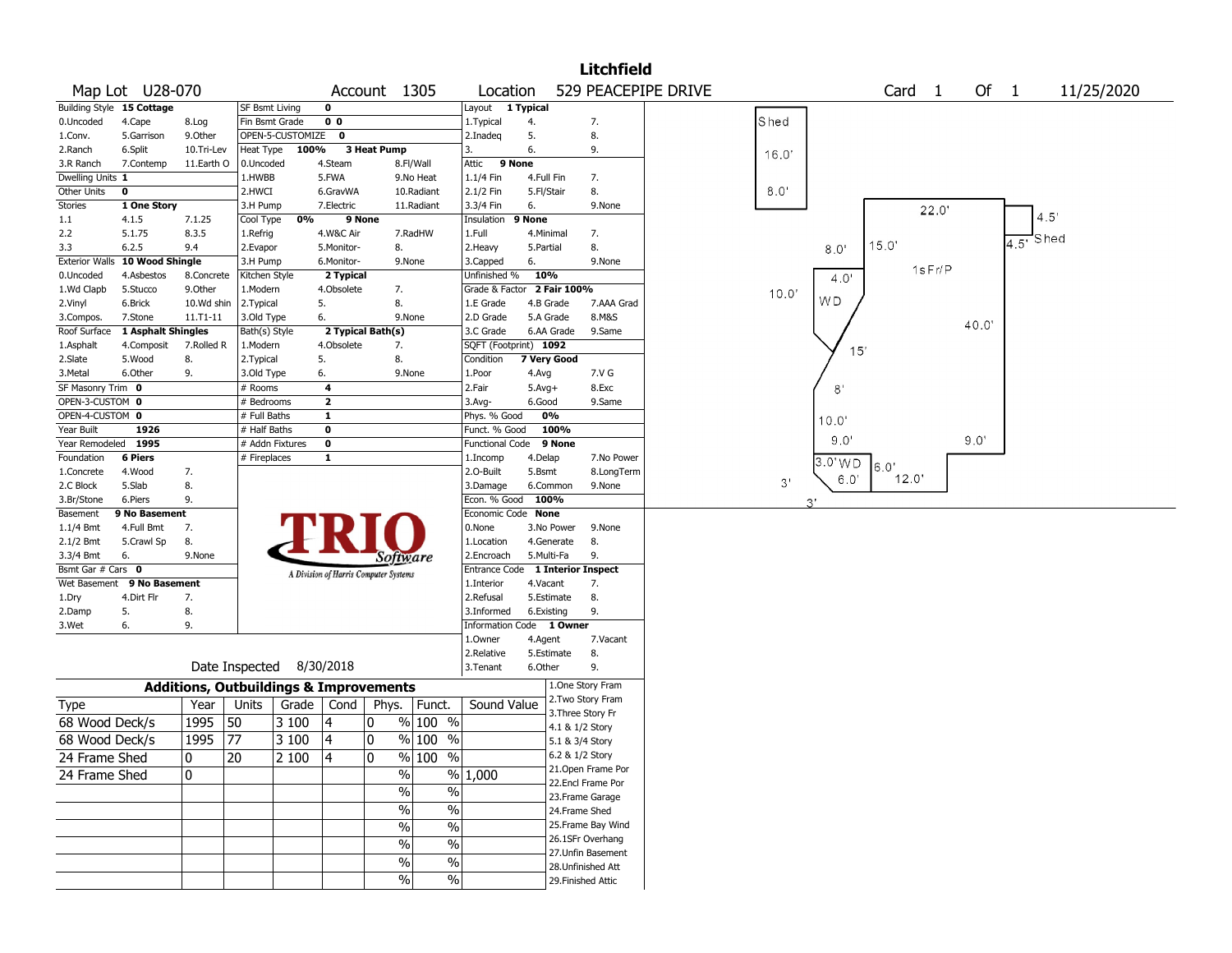|                       |                           |            |                                                   |                                       |                   |                               |                                  |            |                                    | <b>Litchfield</b>  |                     |       |                                         |
|-----------------------|---------------------------|------------|---------------------------------------------------|---------------------------------------|-------------------|-------------------------------|----------------------------------|------------|------------------------------------|--------------------|---------------------|-------|-----------------------------------------|
|                       | Map Lot U28-070           |            |                                                   |                                       |                   | Account 1305                  | Location                         |            |                                    |                    | 529 PEACEPIPE DRIVE |       | Of 1<br>Card <sub>1</sub><br>11/25/2020 |
|                       | Building Style 15 Cottage |            | SF Bsmt Living                                    | $\mathbf 0$                           |                   |                               | Layout 1 Typical                 |            |                                    |                    |                     |       |                                         |
| 0.Uncoded             | 4.Cape                    | 8.Log      | Fin Bsmt Grade                                    | 0 <sub>0</sub>                        |                   |                               | 1. Typical                       | 4.         |                                    | 7.                 |                     | Shed  |                                         |
| 1.Conv.               | 5.Garrison                | 9.Other    | OPEN-5-CUSTOMIZE                                  |                                       | $\mathbf{o}$      |                               | 2.Inadeg                         | 5.         |                                    | 8.                 |                     |       |                                         |
| 2.Ranch               | 6.Split                   | 10.Tri-Lev | Heat Type                                         | 100%                                  | 3 Heat Pump       |                               | 3.                               | 6.         |                                    | 9.                 |                     | 16.0  |                                         |
| 3.R Ranch             | 7.Contemp                 | 11.Earth O | 0.Uncoded                                         | 4.Steam                               |                   | 8.Fl/Wall                     | Attic                            | 9 None     |                                    |                    |                     |       |                                         |
| Dwelling Units 1      |                           |            | 1.HWBB                                            | 5.FWA                                 |                   | 9.No Heat                     | 1.1/4 Fin                        |            | 4.Full Fin                         | 7.                 |                     |       |                                         |
| Other Units           | $\mathbf 0$               |            | 2.HWCI                                            | 6.GravWA                              |                   | 10.Radiant                    | 2.1/2 Fin                        | 5.Fl/Stair |                                    | 8.                 |                     | 8.0'  |                                         |
| <b>Stories</b>        | 1 One Story               |            | 3.H Pump                                          | 7.Electric                            |                   | 11.Radiant                    | 3.3/4 Fin                        | 6.         |                                    | 9.None             |                     |       | 22.0'                                   |
| $1.1\,$               | 4.1.5                     | 7.1.25     | Cool Type                                         | 0%                                    | 9 None            |                               | Insulation                       | 9 None     |                                    |                    |                     |       | 4.5                                     |
| 2.2                   | 5.1.75                    | 8.3.5      | 1.Refrig                                          | 4.W&C Air                             |                   | 7.RadHW                       | 1.Full                           |            | 4.Minimal                          | 7.                 |                     |       | Shed                                    |
| 3.3                   | 6.2.5                     | 9.4        | 2.Evapor                                          | 5.Monitor-                            |                   | 8.                            | 2. Heavy                         | 5.Partial  |                                    | 8.                 |                     |       | 4.5'<br>15.0'<br>8.0                    |
| <b>Exterior Walls</b> | 10 Wood Shingle           |            | 3.H Pump                                          | 6.Monitor-                            |                   | 9.None                        | 3.Capped                         | 6.         |                                    | 9.None             |                     |       |                                         |
| 0.Uncoded             | 4.Asbestos                | 8.Concrete | Kitchen Style                                     |                                       | 2 Typical         |                               | Unfinished %                     | 10%        |                                    |                    |                     |       | 1sFr/P<br>4.0'                          |
| 1.Wd Clapb            | 5.Stucco                  | 9.0ther    | 1.Modern                                          | 4.Obsolete                            |                   | 7.                            | Grade & Factor 2 Fair 100%       |            |                                    |                    |                     | 10.0' |                                         |
| 2.Vinyl               | 6.Brick                   | 10.Wd shin | 2. Typical                                        | 5.                                    |                   | 8.                            | 1.E Grade                        |            | 4.B Grade                          | 7.AAA Grad         |                     |       | W D                                     |
| 3.Compos.             | 7.Stone                   | 11.T1-11   | 3.Old Type                                        | 6.                                    |                   | 9.None                        | 2.D Grade                        |            | 5.A Grade                          | 8.M&S              |                     |       |                                         |
| Roof Surface          | 1 Asphalt Shingles        |            | Bath(s) Style                                     |                                       | 2 Typical Bath(s) |                               | 3.C Grade                        |            | 6.AA Grade                         | 9.Same             |                     |       | 40.0'                                   |
| 1.Asphalt             | 4.Composit                | 7.Rolled R | 1.Modern                                          | 4.Obsolete                            |                   | 7.                            | SQFT (Footprint) 1092            |            |                                    |                    |                     |       | 15'                                     |
| 2.Slate               | 5.Wood                    | 8.         | 2. Typical                                        | 5.                                    |                   | 8.                            | Condition                        |            | 7 Very Good                        |                    |                     |       |                                         |
| 3.Metal               | 6.Other                   | 9.         | 3.Old Type                                        | 6.                                    |                   | 9.None                        | 1.Poor                           | 4.Avg      |                                    | 7.V G              |                     |       |                                         |
| SF Masonry Trim 0     |                           |            | # Rooms                                           | 4                                     |                   |                               | 2.Fair                           | $5.Avg+$   |                                    | 8.Exc              |                     |       | 8'                                      |
| OPEN-3-CUSTOM 0       |                           |            | # Bedrooms                                        | $\mathbf{2}$                          |                   |                               | 3.Avg-                           | 6.Good     |                                    | 9.Same             |                     |       |                                         |
| OPEN-4-CUSTOM 0       |                           |            | # Full Baths                                      | 1                                     |                   |                               | Phys. % Good                     |            | 0%                                 |                    |                     |       | 10.0'                                   |
| Year Built            | 1926                      |            | # Half Baths                                      | $\bf{0}$                              |                   |                               | Funct. % Good                    |            | 100%                               |                    |                     |       |                                         |
| Year Remodeled        | 1995                      |            | # Addn Fixtures                                   | $\bf o$                               |                   |                               | Functional Code                  |            | 9 None                             |                    |                     |       | 9.0'<br>9.0'                            |
| Foundation            | <b>6 Piers</b>            |            | # Fireplaces                                      | $\mathbf{1}$                          |                   |                               | 1.Incomp                         | 4.Delap    |                                    | 7.No Power         |                     |       | 3.0' WD                                 |
| 1.Concrete            | 4.Wood                    | 7.         |                                                   |                                       |                   |                               | 2.O-Built                        | 5.Bsmt     |                                    | 8.LongTerm         |                     |       | 6.0"                                    |
| 2.C Block             | 5.Slab                    | 8.         |                                                   |                                       |                   |                               | 3.Damage                         |            | 6.Common                           | 9.None             |                     | 3'    | 12.0'<br>6.0'                           |
| 3.Br/Stone            | 6.Piers                   | 9.         |                                                   |                                       |                   |                               | Econ. % Good                     |            | 100%                               |                    |                     |       | 3'                                      |
| Basement              | 9 No Basement             |            |                                                   |                                       |                   |                               | Economic Code None               |            |                                    |                    |                     |       |                                         |
| $1.1/4$ Bmt           | 4.Full Bmt                | 7.         |                                                   |                                       |                   |                               | 0.None                           |            | 3.No Power                         | 9.None             |                     |       |                                         |
| 2.1/2 Bmt             | 5.Crawl Sp                | 8.         |                                                   |                                       |                   |                               | 1.Location                       |            | 4.Generate                         | 8.                 |                     |       |                                         |
| 3.3/4 Bmt             | 6.                        | 9.None     |                                                   |                                       |                   | Software                      | 2.Encroach                       |            | 5.Multi-Fa                         | 9.                 |                     |       |                                         |
| Bsmt Gar # Cars 0     |                           |            |                                                   |                                       |                   |                               | Entrance Code 1 Interior Inspect |            |                                    |                    |                     |       |                                         |
| Wet Basement          | 9 No Basement             |            |                                                   | A Division of Harris Computer Systems |                   |                               | 1.Interior                       | 4.Vacant   |                                    | 7.                 |                     |       |                                         |
| 1.Dry                 | 4.Dirt Flr                | 7.         |                                                   |                                       |                   |                               | 2.Refusal                        |            | 5.Estimate                         | 8.                 |                     |       |                                         |
| 2.Damp                | 5.                        | 8.         |                                                   |                                       |                   |                               | 3.Informed                       |            | 6.Existing                         | 9.                 |                     |       |                                         |
| 3.Wet                 | 6.                        | 9.         |                                                   |                                       |                   |                               | Information Code 1 Owner         |            |                                    |                    |                     |       |                                         |
|                       |                           |            |                                                   |                                       |                   |                               | 1.0wner                          | 4.Agent    |                                    | 7.Vacant           |                     |       |                                         |
|                       |                           |            |                                                   |                                       |                   |                               | 2.Relative                       |            | 5.Estimate                         | 8.                 |                     |       |                                         |
|                       |                           |            | Date Inspected                                    | 8/30/2018                             |                   |                               | 3.Tenant                         | 6.Other    |                                    | 9.                 |                     |       |                                         |
|                       |                           |            | <b>Additions, Outbuildings &amp; Improvements</b> |                                       |                   |                               |                                  |            |                                    | 1.One Story Fram   |                     |       |                                         |
| Type                  |                           | Year       | Units                                             | Grade $\vert$ Cond $\vert$            |                   | Phys.   Funct.                | Sound Value                      |            |                                    | 2. Two Story Fram  |                     |       |                                         |
| 68 Wood Deck/s        |                           | 1995       | 50                                                | 3 100<br> 4                           | 0                 | $%100$ %                      |                                  |            |                                    | 3. Three Story Fr  |                     |       |                                         |
| 68 Wood Deck/s        |                           | 1995       | 77                                                | 3 100<br> 4                           | 0                 | % 100 %                       |                                  |            | 4.1 & 1/2 Story                    |                    |                     |       |                                         |
|                       |                           |            |                                                   |                                       |                   |                               |                                  |            | 5.1 & 3/4 Story<br>6.2 & 1/2 Story |                    |                     |       |                                         |
| 24 Frame Shed         |                           | 0          | 20                                                | 2 100<br>14                           | 0                 | $%100$ %                      |                                  |            |                                    | 21.Open Frame Por  |                     |       |                                         |
| 24 Frame Shed         |                           | 0          |                                                   |                                       |                   | %                             | $\frac{9}{6}$ 1,000              |            |                                    | 22.Encl Frame Por  |                     |       |                                         |
|                       |                           |            |                                                   |                                       |                   | %<br>$\%$                     |                                  |            |                                    | 23. Frame Garage   |                     |       |                                         |
|                       |                           |            |                                                   |                                       |                   | $\%$<br>$\%$                  |                                  |            |                                    |                    |                     |       |                                         |
|                       |                           |            |                                                   |                                       |                   |                               |                                  |            | 24.Frame Shed                      |                    |                     |       |                                         |
|                       |                           |            |                                                   |                                       |                   | $\frac{1}{2}$<br>$\%$         |                                  |            |                                    | 25. Frame Bay Wind |                     |       |                                         |
|                       |                           |            |                                                   |                                       |                   | $\overline{\frac{0}{6}}$<br>% |                                  |            |                                    | 26.1SFr Overhang   |                     |       |                                         |
|                       |                           |            |                                                   |                                       |                   | $\%$<br>$\%$                  |                                  |            |                                    | 27.Unfin Basement  |                     |       |                                         |
|                       |                           |            |                                                   |                                       |                   | $\sqrt{6}$<br>$\%$            |                                  |            |                                    | 28. Unfinished Att |                     |       |                                         |
|                       |                           |            |                                                   |                                       |                   |                               |                                  |            |                                    | 29. Finished Attic |                     |       |                                         |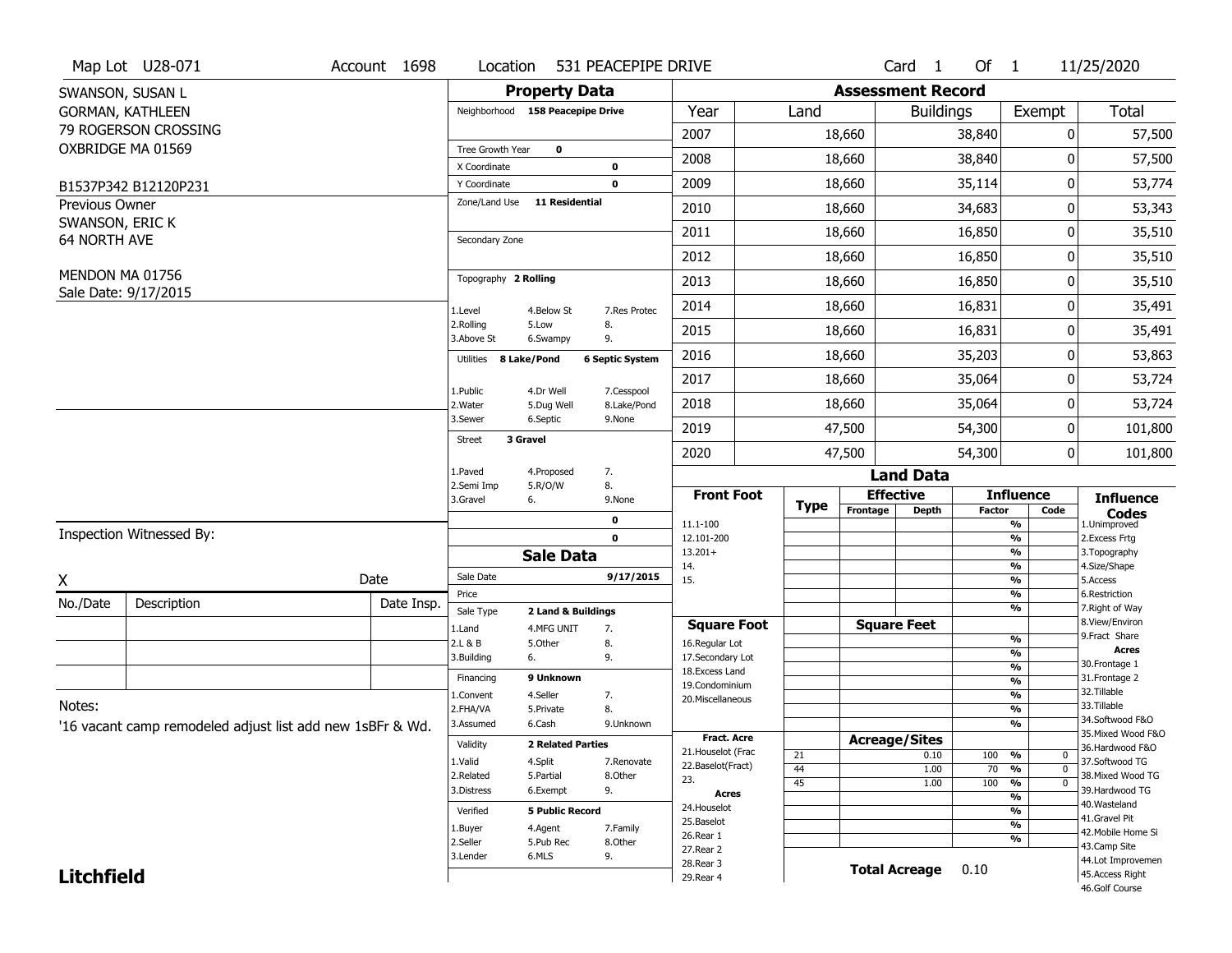|                     | Map Lot U28-071                                           | Account 1698 | Location                      |                                  | 531 PEACEPIPE DRIVE       |                                    |             |                          | Card <sub>1</sub>    | Of $1$        |                                        | 11/25/2020                           |
|---------------------|-----------------------------------------------------------|--------------|-------------------------------|----------------------------------|---------------------------|------------------------------------|-------------|--------------------------|----------------------|---------------|----------------------------------------|--------------------------------------|
|                     | SWANSON, SUSAN L                                          |              |                               | <b>Property Data</b>             |                           |                                    |             | <b>Assessment Record</b> |                      |               |                                        |                                      |
|                     | <b>GORMAN, KATHLEEN</b>                                   |              |                               | Neighborhood 158 Peacepipe Drive |                           | Year                               | Land        |                          | <b>Buildings</b>     |               | Exempt                                 | <b>Total</b>                         |
|                     | 79 ROGERSON CROSSING                                      |              |                               |                                  |                           | 2007                               |             | 18,660                   |                      | 38,840        | 0                                      | 57,500                               |
|                     | OXBRIDGE MA 01569                                         |              | Tree Growth Year              | 0                                |                           | 2008                               |             | 18,660                   |                      | 38,840        | 0                                      | 57,500                               |
|                     |                                                           |              | X Coordinate                  |                                  | 0<br>0                    | 2009                               |             | 18,660                   |                      | 35,114        | 0                                      | 53,774                               |
| Previous Owner      | B1537P342 B12120P231                                      |              | Y Coordinate<br>Zone/Land Use | <b>11 Residential</b>            |                           |                                    |             |                          |                      |               |                                        |                                      |
| SWANSON, ERIC K     |                                                           |              |                               |                                  |                           | 2010                               |             | 18,660                   |                      | 34,683        | 0                                      | 53,343                               |
| <b>64 NORTH AVE</b> |                                                           |              | Secondary Zone                |                                  |                           | 2011                               |             | 18,660                   |                      | 16,850        | 0                                      | 35,510                               |
|                     |                                                           |              |                               |                                  |                           | 2012                               |             | 18,660                   |                      | 16,850        | 0                                      | 35,510                               |
|                     | MENDON MA 01756<br>Sale Date: 9/17/2015                   |              | Topography 2 Rolling          |                                  |                           | 2013                               |             | 18,660                   |                      | 16,850        | 0                                      | 35,510                               |
|                     |                                                           |              | 1.Level                       | 4.Below St                       | 7.Res Protec              | 2014                               |             | 18,660                   |                      | 16,831        | 0                                      | 35,491                               |
|                     |                                                           |              | 2.Rolling<br>3.Above St       | 5.Low<br>6.Swampy                | 8.<br>9.                  | 2015                               |             | 18,660                   |                      | 16,831        | 0                                      | 35,491                               |
|                     |                                                           |              | Utilities                     | 8 Lake/Pond                      | <b>6 Septic System</b>    | 2016                               |             | 18,660                   |                      | 35,203        | 0                                      | 53,863                               |
|                     |                                                           |              |                               |                                  |                           | 2017                               |             | 18,660                   |                      | 35,064        | 0                                      | 53,724                               |
|                     |                                                           |              | 1.Public<br>2. Water          | 4.Dr Well<br>5.Dug Well          | 7.Cesspool<br>8.Lake/Pond | 2018                               |             | 18,660                   |                      | 35,064        | 0                                      | 53,724                               |
|                     |                                                           |              | 3.Sewer                       | 6.Septic                         | 9.None                    | 2019                               |             | 47,500                   |                      | 54,300        | 0                                      | 101,800                              |
|                     |                                                           |              | Street                        | 3 Gravel                         |                           | 2020                               |             | 47,500                   |                      | 54,300        | 0                                      | 101,800                              |
|                     |                                                           |              | 1.Paved                       | 4.Proposed                       | 7.                        |                                    |             |                          | <b>Land Data</b>     |               |                                        |                                      |
|                     |                                                           |              | 2.Semi Imp<br>3.Gravel        | 5.R/O/W<br>6.                    | 8.<br>9.None              | <b>Front Foot</b>                  | <b>Type</b> |                          | <b>Effective</b>     |               | <b>Influence</b>                       | <b>Influence</b>                     |
|                     |                                                           |              |                               |                                  | 0                         | 11.1-100                           |             | Frontage                 | <b>Depth</b>         | <b>Factor</b> | Code<br>%                              | <b>Codes</b><br>1.Unimproved         |
|                     | Inspection Witnessed By:                                  |              |                               |                                  | $\mathbf 0$               | 12.101-200                         |             |                          |                      |               | $\frac{9}{6}$                          | 2.Excess Frtg                        |
|                     |                                                           |              |                               | <b>Sale Data</b>                 |                           | $13.201+$<br>14.                   |             |                          |                      |               | %<br>%                                 | 3. Topography<br>4.Size/Shape        |
| X                   |                                                           | Date         | Sale Date                     |                                  | 9/17/2015                 | 15.                                |             |                          |                      |               | %                                      | 5.Access                             |
| No./Date            | Description                                               | Date Insp.   | Price<br>Sale Type            | 2 Land & Buildings               |                           |                                    |             |                          |                      |               | $\frac{9}{6}$<br>%                     | 6.Restriction<br>7. Right of Way     |
|                     |                                                           |              | 1.Land                        | 4.MFG UNIT                       | 7.                        | <b>Square Foot</b>                 |             |                          | <b>Square Feet</b>   |               |                                        | 8.View/Environ                       |
|                     |                                                           |              | 2.L & B                       | 5.Other                          | 8.                        | 16.Regular Lot                     |             |                          |                      |               | $\frac{9}{6}$<br>$\frac{9}{6}$         | 9. Fract Share<br><b>Acres</b>       |
|                     |                                                           |              | 3.Building                    | 6.                               | 9.                        | 17.Secondary Lot<br>18.Excess Land |             |                          |                      |               | $\frac{9}{6}$                          | 30. Frontage 1                       |
|                     |                                                           |              | Financing                     | 9 Unknown                        |                           | 19.Condominium                     |             |                          |                      |               | $\overline{\frac{9}{6}}$               | 31. Frontage 2                       |
| Notes:              |                                                           |              | 1.Convent                     | 4.Seller                         | 7.                        | 20.Miscellaneous                   |             |                          |                      |               | $\frac{9}{6}$                          | 32. Tillable<br>33.Tillable          |
|                     |                                                           |              | 2.FHA/VA                      | 5.Private<br>6.Cash              | 8.<br>9.Unknown           |                                    |             |                          |                      |               | $\frac{9}{6}$<br>%                     | 34.Softwood F&O                      |
|                     |                                                           |              |                               |                                  |                           |                                    |             |                          |                      |               |                                        |                                      |
|                     | '16 vacant camp remodeled adjust list add new 1sBFr & Wd. |              | 3.Assumed                     |                                  |                           | <b>Fract. Acre</b>                 |             |                          |                      |               |                                        | 35. Mixed Wood F&O                   |
|                     |                                                           |              | Validity                      | <b>2 Related Parties</b>         |                           | 21. Houselot (Frac                 |             | <b>Acreage/Sites</b>     |                      |               |                                        | 36.Hardwood F&O                      |
|                     |                                                           |              | 1.Valid                       | 4.Split                          | 7.Renovate                | 22.Baselot(Fract)                  | 21<br>44    |                          | 0.10<br>1.00         | 100<br>70     | %<br>0<br>$\overline{0}$<br>%          | 37.Softwood TG                       |
|                     |                                                           |              | 2.Related                     | 5.Partial                        | 8.Other                   | 23.                                | 45          |                          | 1.00                 | 100           | $\frac{1}{\sqrt{6}}$<br>$\overline{0}$ | 38. Mixed Wood TG                    |
|                     |                                                           |              | 3.Distress                    | 6.Exempt                         | 9.                        | <b>Acres</b>                       |             |                          |                      |               | $\frac{9}{6}$                          | 39.Hardwood TG<br>40. Wasteland      |
|                     |                                                           |              | Verified                      | <b>5 Public Record</b>           |                           | 24. Houselot                       |             |                          |                      |               | %                                      | 41.Gravel Pit                        |
|                     |                                                           |              | 1.Buyer                       | 4.Agent                          | 7.Family                  | 25.Baselot<br>26.Rear 1            |             |                          |                      |               | %                                      | 42. Mobile Home Si                   |
|                     |                                                           |              | 2.Seller                      | 5.Pub Rec                        | 8.0ther                   | 27.Rear 2                          |             |                          |                      |               | %                                      | 43.Camp Site                         |
| <b>Litchfield</b>   |                                                           |              | 3.Lender                      | 6.MLS                            | 9.                        | 28. Rear 3<br>29. Rear 4           |             |                          | <b>Total Acreage</b> | 0.10          |                                        | 44.Lot Improvemen<br>45.Access Right |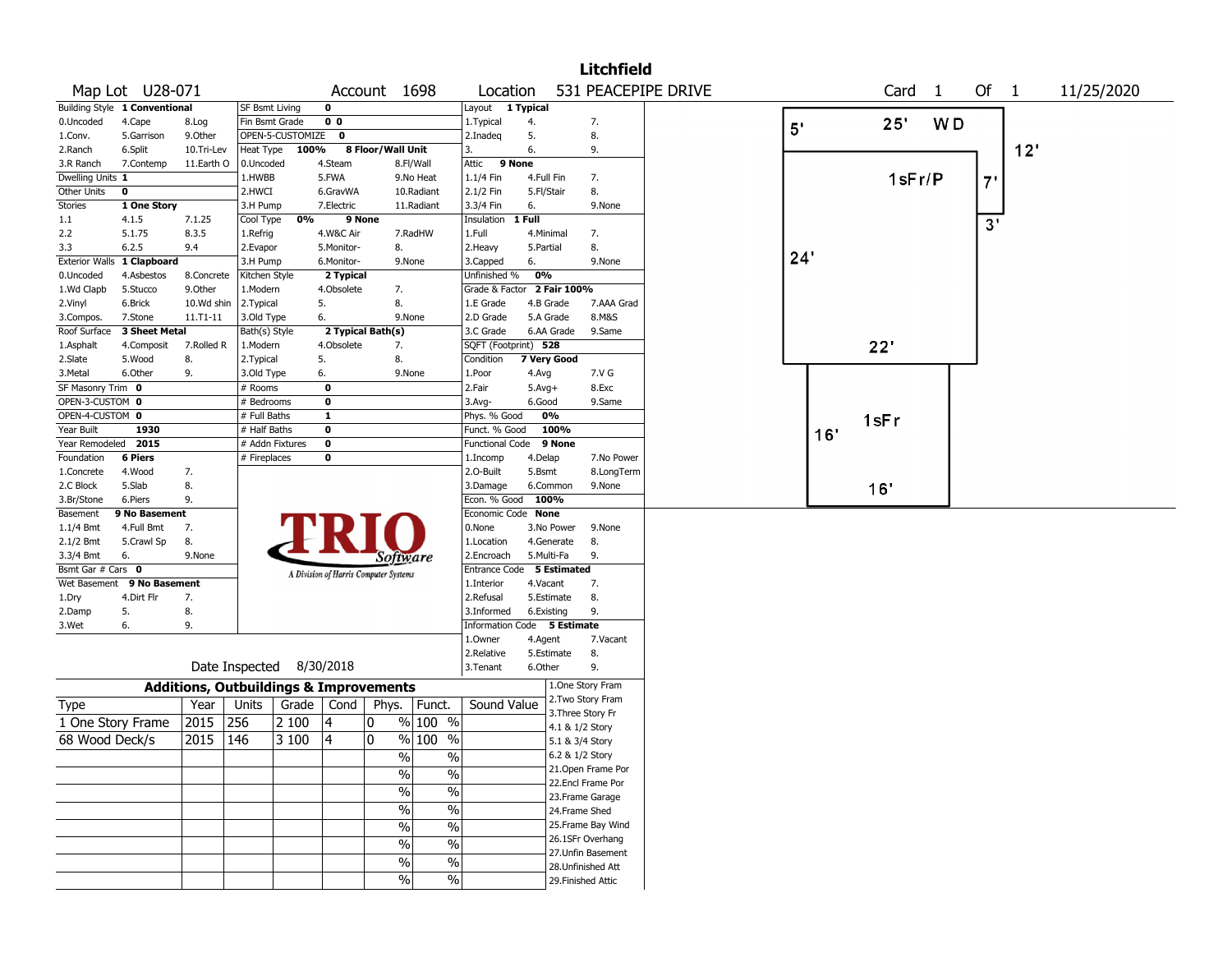|                       |                               |                                                   |                           |                  |                         |                                       |               |                                            |            |                 | <b>Litchfield</b>  |                     |     |     |      |                   |    |        |     |            |
|-----------------------|-------------------------------|---------------------------------------------------|---------------------------|------------------|-------------------------|---------------------------------------|---------------|--------------------------------------------|------------|-----------------|--------------------|---------------------|-----|-----|------|-------------------|----|--------|-----|------------|
|                       | Map Lot U28-071               |                                                   |                           |                  |                         | Account 1698                          |               | Location                                   |            |                 |                    | 531 PEACEPIPE DRIVE |     |     |      | Card <sub>1</sub> |    | Of $1$ |     | 11/25/2020 |
|                       | Building Style 1 Conventional |                                                   | <b>SF Bsmt Living</b>     |                  | $\mathbf 0$             |                                       |               | Layout 1 Typical                           |            |                 |                    |                     |     |     |      |                   |    |        |     |            |
| 0.Uncoded             | 4.Cape                        | 8.Log                                             | Fin Bsmt Grade            |                  | 0 <sub>0</sub>          |                                       |               | 1. Typical                                 | 4.         |                 | 7.                 |                     | 5'  |     |      | 25"               | WD |        |     |            |
| 1.Conv.               | 5.Garrison                    | 9.Other                                           |                           | OPEN-5-CUSTOMIZE | $\mathbf 0$             |                                       |               | 2.Inadeq                                   | 5.         |                 | 8.                 |                     |     |     |      |                   |    |        |     |            |
| 2.Ranch               | 6.Split                       | 10.Tri-Lev                                        | Heat Type                 | 100%             |                         | 8 Floor/Wall Unit                     |               | 3.                                         | 6.         |                 | 9.                 |                     |     |     |      |                   |    |        | 12' |            |
| 3.R Ranch             | 7.Contemp                     | 11.Earth O                                        | 0.Uncoded                 |                  | 4.Steam                 |                                       | 8.Fl/Wall     | 9 None<br>Attic                            |            |                 |                    |                     |     |     |      |                   |    |        |     |            |
| Dwelling Units 1      |                               |                                                   | 1.HWBB                    |                  | 5.FWA                   |                                       | 9.No Heat     | 1.1/4 Fin                                  |            | 4.Full Fin      | 7.                 |                     |     |     |      | $1$ sFr/P         |    | 7'     |     |            |
| Other Units           | $\mathbf 0$                   |                                                   | 2.HWCI                    |                  | 6.GravWA                |                                       | 10.Radiant    | 2.1/2 Fin                                  | 5.Fl/Stair |                 | 8.                 |                     |     |     |      |                   |    |        |     |            |
| Stories               | 1 One Story                   |                                                   | 3.H Pump                  |                  | 7.Electric              |                                       | 11.Radiant    | 3.3/4 Fin                                  | 6.         |                 | 9.None             |                     |     |     |      |                   |    |        |     |            |
| 1.1                   | 4.1.5                         | 7.1.25                                            | Cool Type                 | 0%               | 9 None                  |                                       |               | Insulation                                 | 1 Full     |                 |                    |                     |     |     |      |                   |    | 3'     |     |            |
| 2.2                   | 5.1.75                        | 8.3.5                                             | 1.Refrig                  |                  | 4.W&C Air               |                                       | 7.RadHW       | 1.Full                                     |            | 4.Minimal       | 7.                 |                     |     |     |      |                   |    |        |     |            |
| 3.3                   | 6.2.5                         | 9.4                                               | 2.Evapor                  |                  | 5.Monitor-              | 8.                                    |               | 2. Heavy                                   | 5.Partial  |                 | 8.                 |                     | 24' |     |      |                   |    |        |     |            |
| <b>Exterior Walls</b> | 1 Clapboard                   |                                                   | 3.H Pump                  |                  | 6.Monitor-              |                                       | 9.None        | 3.Capped                                   | 6.<br>0%   |                 | 9.None             |                     |     |     |      |                   |    |        |     |            |
| 0.Uncoded             | 4.Asbestos<br>5.Stucco        | 8.Concrete<br>9.0ther                             | Kitchen Style<br>1.Modern |                  | 2 Typical<br>4.Obsolete | 7.                                    |               | Unfinished %<br>Grade & Factor 2 Fair 100% |            |                 |                    |                     |     |     |      |                   |    |        |     |            |
| 1.Wd Clapb<br>2.Vinyl | 6.Brick                       | 10.Wd shin                                        | 2. Typical                |                  | 5.                      | 8.                                    |               | 1.E Grade                                  |            | 4.B Grade       | 7.AAA Grad         |                     |     |     |      |                   |    |        |     |            |
| 3.Compos.             | 7.Stone                       | 11.T1-11                                          | 3.Old Type                |                  | 6.                      |                                       | 9.None        | 2.D Grade                                  |            | 5.A Grade       | 8.M&S              |                     |     |     |      |                   |    |        |     |            |
| Roof Surface          | 3 Sheet Metal                 |                                                   | Bath(s) Style             |                  |                         | 2 Typical Bath(s)                     |               | 3.C Grade                                  |            | 6.AA Grade      | 9.Same             |                     |     |     |      |                   |    |        |     |            |
| 1.Asphalt             | 4.Composit                    | 7.Rolled R                                        | 1.Modern                  |                  | 4.Obsolete              | 7.                                    |               | SQFT (Footprint) 528                       |            |                 |                    |                     |     |     | 22'  |                   |    |        |     |            |
| 2.Slate               | 5.Wood                        | 8.                                                | 2. Typical                |                  | 5.                      | 8.                                    |               | Condition                                  |            | 7 Very Good     |                    |                     |     |     |      |                   |    |        |     |            |
| 3.Metal               | 6.Other                       | 9.                                                | 3.Old Type                |                  | 6.                      |                                       | 9.None        | 1.Poor                                     | 4.Avg      |                 | 7.V G              |                     |     |     |      |                   |    |        |     |            |
| SF Masonry Trim 0     |                               |                                                   | # Rooms                   |                  | $\mathbf 0$             |                                       |               | 2.Fair                                     | $5.Avg+$   |                 | 8.Exc              |                     |     |     |      |                   |    |        |     |            |
| OPEN-3-CUSTOM 0       |                               |                                                   | # Bedrooms                |                  | $\mathbf 0$             |                                       |               | 3.Avg-                                     | 6.Good     |                 | 9.Same             |                     |     |     |      |                   |    |        |     |            |
| OPEN-4-CUSTOM 0       |                               |                                                   | # Full Baths              |                  | $\mathbf{1}$            |                                       |               | Phys. % Good                               |            | 0%              |                    |                     |     |     | 1sFr |                   |    |        |     |            |
| Year Built            | 1930                          |                                                   | # Half Baths              |                  | $\mathbf 0$             |                                       |               | Funct. % Good                              |            | 100%            |                    |                     |     | 16' |      |                   |    |        |     |            |
| Year Remodeled        | 2015                          |                                                   | # Addn Fixtures           |                  | $\mathbf 0$             |                                       |               | <b>Functional Code</b>                     |            | 9 None          |                    |                     |     |     |      |                   |    |        |     |            |
| Foundation            | <b>6 Piers</b>                |                                                   | # Fireplaces              |                  | 0                       |                                       |               | 1.Incomp                                   | 4.Delap    |                 | 7.No Power         |                     |     |     |      |                   |    |        |     |            |
| 1.Concrete            | 4.Wood                        | 7.                                                |                           |                  |                         |                                       |               | 2.0-Built                                  | 5.Bsmt     |                 | 8.LongTerm         |                     |     |     |      |                   |    |        |     |            |
| 2.C Block             | 5.Slab                        | 8.                                                |                           |                  |                         |                                       |               | 3.Damage                                   |            | 6.Common        | 9.None             |                     |     |     | 16'  |                   |    |        |     |            |
| 3.Br/Stone            | 6.Piers                       | 9.                                                |                           |                  |                         |                                       |               | Econ. % Good                               |            | 100%            |                    |                     |     |     |      |                   |    |        |     |            |
| Basement              | 9 No Basement                 |                                                   |                           |                  |                         |                                       |               | Economic Code None                         |            |                 |                    |                     |     |     |      |                   |    |        |     |            |
| 1.1/4 Bmt             | 4.Full Bmt                    | 7.                                                |                           |                  |                         |                                       |               | 0.None                                     |            | 3.No Power      | 9.None             |                     |     |     |      |                   |    |        |     |            |
| 2.1/2 Bmt             | 5.Crawl Sp                    | 8.                                                |                           |                  |                         |                                       |               | 1.Location                                 |            | 4.Generate      | 8.                 |                     |     |     |      |                   |    |        |     |            |
| 3.3/4 Bmt             | 6.                            | 9.None                                            |                           |                  |                         | Software                              |               | 2.Encroach                                 |            | 5.Multi-Fa      | 9.                 |                     |     |     |      |                   |    |        |     |            |
| Bsmt Gar # Cars 0     |                               |                                                   |                           |                  |                         | A Division of Harris Computer Systems |               | <b>Entrance Code</b>                       |            | 5 Estimated     |                    |                     |     |     |      |                   |    |        |     |            |
|                       | Wet Basement 9 No Basement    |                                                   |                           |                  |                         |                                       |               | 1.Interior                                 | 4.Vacant   |                 | 7.                 |                     |     |     |      |                   |    |        |     |            |
| 1.Dry                 | 4.Dirt Flr                    | 7.                                                |                           |                  |                         |                                       |               | 2.Refusal                                  |            | 5.Estimate      | 8.                 |                     |     |     |      |                   |    |        |     |            |
| 2.Damp                | 5.                            | 8.                                                |                           |                  |                         |                                       |               | 3.Informed                                 |            | 6.Existing      | 9.                 |                     |     |     |      |                   |    |        |     |            |
| 3.Wet                 | 6.                            | 9.                                                |                           |                  |                         |                                       |               | Information Code 5 Estimate                |            |                 |                    |                     |     |     |      |                   |    |        |     |            |
|                       |                               |                                                   |                           |                  |                         |                                       |               | 1.Owner                                    | 4.Agent    |                 | 7.Vacant           |                     |     |     |      |                   |    |        |     |            |
|                       |                               |                                                   | Date Inspected 8/30/2018  |                  |                         |                                       |               | 2.Relative<br>3.Tenant                     | 6.Other    | 5.Estimate      | 8.<br>9.           |                     |     |     |      |                   |    |        |     |            |
|                       |                               |                                                   |                           |                  |                         |                                       |               |                                            |            |                 | 1.One Story Fram   |                     |     |     |      |                   |    |        |     |            |
|                       |                               | <b>Additions, Outbuildings &amp; Improvements</b> |                           |                  |                         |                                       |               |                                            |            |                 | 2. Two Story Fram  |                     |     |     |      |                   |    |        |     |            |
| <b>Type</b>           |                               | Year                                              | Units                     | Grade            | Cond                    | Phys.                                 | Funct.        | Sound Value                                |            |                 | 3. Three Story Fr  |                     |     |     |      |                   |    |        |     |            |
| 1 One Story Frame     |                               | 2015                                              | 256                       | 2 100            | 4                       | 0                                     | % 100 %       |                                            |            | 4.1 & 1/2 Story |                    |                     |     |     |      |                   |    |        |     |            |
| 68 Wood Deck/s        |                               | 2015                                              | 146                       | 3 100            | 4                       | 0                                     | % 100 %       |                                            |            | 5.1 & 3/4 Story |                    |                     |     |     |      |                   |    |        |     |            |
|                       |                               |                                                   |                           |                  |                         | %                                     | %             |                                            |            |                 | 6.2 & 1/2 Story    |                     |     |     |      |                   |    |        |     |            |
|                       |                               |                                                   |                           |                  |                         | $\frac{0}{6}$                         | $\frac{9}{6}$ |                                            |            |                 | 21. Open Frame Por |                     |     |     |      |                   |    |        |     |            |
|                       |                               |                                                   |                           |                  |                         |                                       | $\frac{9}{6}$ |                                            |            |                 | 22.Encl Frame Por  |                     |     |     |      |                   |    |        |     |            |
|                       |                               |                                                   |                           |                  |                         | $\frac{1}{2}$                         |               |                                            |            |                 | 23. Frame Garage   |                     |     |     |      |                   |    |        |     |            |
|                       |                               |                                                   |                           |                  |                         | $\frac{1}{2}$                         | $\frac{9}{6}$ |                                            |            | 24.Frame Shed   |                    |                     |     |     |      |                   |    |        |     |            |
|                       |                               |                                                   |                           |                  |                         | $\%$                                  | $\frac{1}{2}$ |                                            |            |                 | 25. Frame Bay Wind |                     |     |     |      |                   |    |        |     |            |
|                       |                               |                                                   |                           |                  |                         | $\%$                                  | $\frac{1}{2}$ |                                            |            |                 | 26.1SFr Overhang   |                     |     |     |      |                   |    |        |     |            |
|                       |                               |                                                   |                           |                  |                         | $\%$                                  | $\%$          |                                            |            |                 | 27.Unfin Basement  |                     |     |     |      |                   |    |        |     |            |
|                       |                               |                                                   |                           |                  |                         |                                       | $\sqrt{20}$   |                                            |            |                 | 28. Unfinished Att |                     |     |     |      |                   |    |        |     |            |
|                       |                               |                                                   |                           |                  |                         | $\frac{0}{0}$                         |               |                                            |            |                 | 29. Finished Attic |                     |     |     |      |                   |    |        |     |            |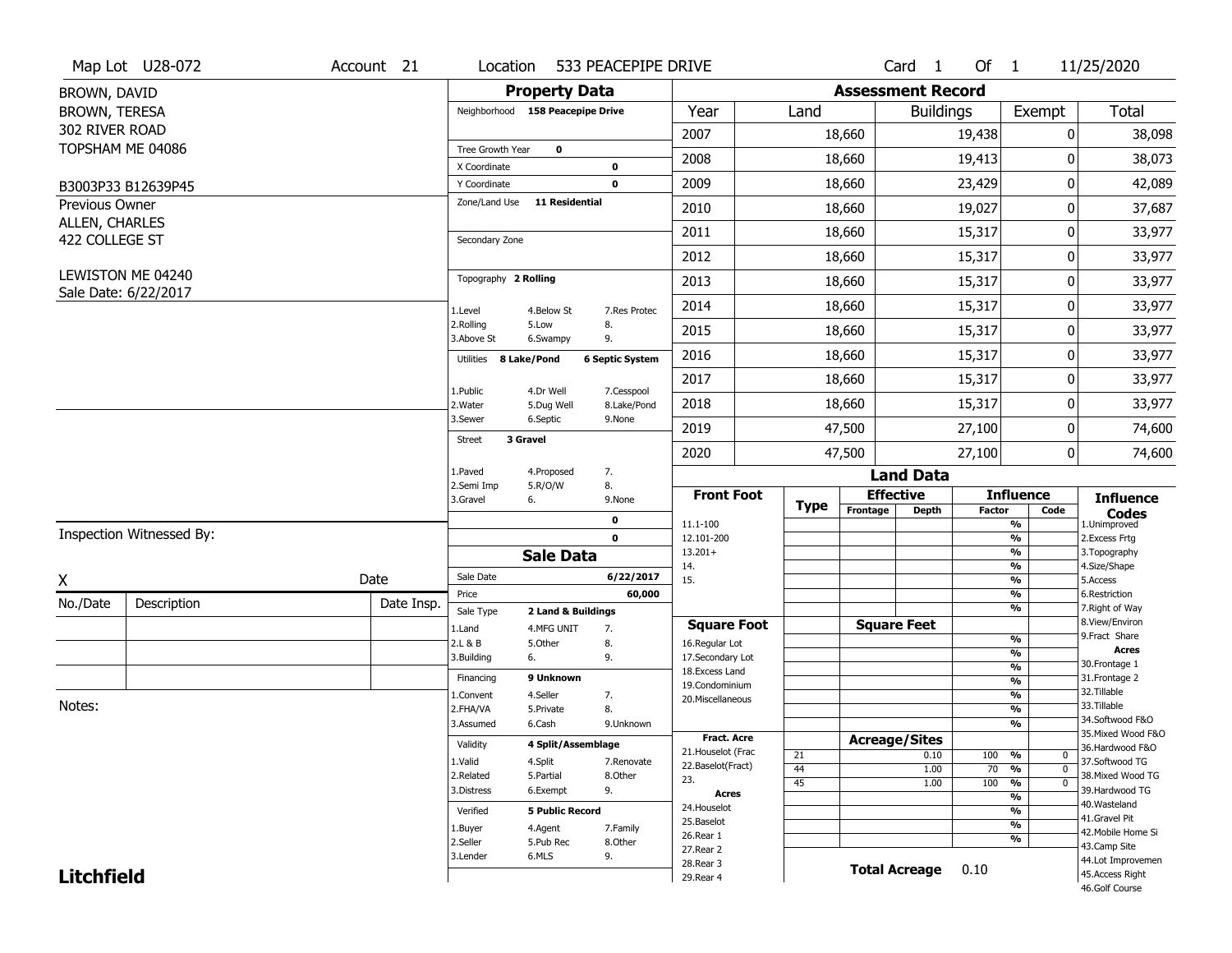|                                  | Map Lot U28-072          | Account 21 | Location                  | 533 PEACEPIPE DRIVE                                  |                                    |             |                              | Card 1           | Of $1$        |                                | 11/25/2020                            |
|----------------------------------|--------------------------|------------|---------------------------|------------------------------------------------------|------------------------------------|-------------|------------------------------|------------------|---------------|--------------------------------|---------------------------------------|
| BROWN, DAVID                     |                          |            |                           | <b>Property Data</b>                                 |                                    |             | <b>Assessment Record</b>     |                  |               |                                |                                       |
| BROWN, TERESA                    |                          |            |                           | Neighborhood 158 Peacepipe Drive                     | Year                               | Land        |                              | <b>Buildings</b> |               | Exempt                         | <b>Total</b>                          |
| 302 RIVER ROAD                   |                          |            |                           |                                                      | 2007                               |             | 18,660                       |                  | 19,438        | 0                              | 38,098                                |
| TOPSHAM ME 04086                 |                          |            | Tree Growth Year          | $\mathbf 0$                                          | 2008                               |             |                              |                  |               | 0                              | 38,073                                |
|                                  |                          |            | X Coordinate              | $\mathbf 0$                                          |                                    |             | 18,660                       |                  | 19,413        |                                |                                       |
|                                  | B3003P33 B12639P45       |            | Y Coordinate              | $\mathbf 0$                                          | 2009                               |             | 18,660                       |                  | 23,429        | 0                              | 42,089                                |
| Previous Owner                   |                          |            | Zone/Land Use             | <b>11 Residential</b>                                | 2010                               |             | 18,660                       |                  | 19,027        | 0                              | 37,687                                |
| ALLEN, CHARLES<br>422 COLLEGE ST |                          |            | Secondary Zone            |                                                      | 2011                               |             | 18,660                       |                  | 15,317        | 0                              | 33,977                                |
|                                  |                          |            |                           |                                                      | 2012                               |             | 18,660                       |                  | 15,317        | 0                              | 33,977                                |
|                                  | LEWISTON ME 04240        |            | Topography 2 Rolling      |                                                      | 2013                               |             | 18,660                       |                  | 15,317        | 0                              | 33,977                                |
|                                  | Sale Date: 6/22/2017     |            |                           |                                                      |                                    |             |                              |                  |               |                                |                                       |
|                                  |                          |            | 1.Level<br>2.Rolling      | 4.Below St<br>7.Res Protec<br>5.Low<br>8.            | 2014                               |             | 18,660                       |                  | 15,317        | 0                              | 33,977                                |
|                                  |                          |            | 3.Above St                | 9.<br>6.Swampy                                       | 2015                               |             | 18,660                       |                  | 15,317        | 0                              | 33,977                                |
|                                  |                          |            | Utilities                 | 8 Lake/Pond<br><b>6 Septic System</b>                | 2016                               |             | 18,660                       |                  | 15,317        | 0                              | 33,977                                |
|                                  |                          |            |                           |                                                      | 2017                               |             | 18,660                       |                  | 15,317        | 0                              | 33,977                                |
|                                  |                          |            | 1.Public<br>2. Water      | 7.Cesspool<br>4.Dr Well<br>5.Dug Well<br>8.Lake/Pond | 2018                               |             | 18,660                       |                  | 15,317        | 0                              | 33,977                                |
|                                  |                          |            | 3.Sewer                   | 6.Septic<br>9.None                                   | 2019                               |             | 47,500                       |                  | 27,100        | 0                              | 74,600                                |
|                                  |                          |            | 3 Gravel<br><b>Street</b> |                                                      | 2020                               |             | 47,500                       |                  | 27,100        | 0                              | 74,600                                |
|                                  |                          |            | 1.Paved                   | 7.<br>4.Proposed                                     |                                    |             |                              | <b>Land Data</b> |               |                                |                                       |
|                                  |                          |            | 2.Semi Imp                |                                                      |                                    |             |                              |                  |               |                                |                                       |
|                                  |                          |            |                           | 8.<br>5.R/O/W                                        |                                    |             |                              |                  |               |                                |                                       |
|                                  |                          |            | 3.Gravel                  | 6.<br>9.None                                         | <b>Front Foot</b>                  | <b>Type</b> | <b>Effective</b><br>Frontage | <b>Depth</b>     | <b>Factor</b> | <b>Influence</b><br>Code       | <b>Influence</b>                      |
|                                  |                          |            |                           | $\mathbf 0$                                          | 11.1-100                           |             |                              |                  |               | %                              | <b>Codes</b><br>1.Unimproved          |
|                                  | Inspection Witnessed By: |            |                           | $\mathbf 0$                                          | 12.101-200<br>$13.201+$            |             |                              |                  |               | $\frac{9}{6}$<br>$\frac{9}{6}$ | 2. Excess Frtg<br>3. Topography       |
|                                  |                          |            |                           | <b>Sale Data</b>                                     | 14.                                |             |                              |                  |               | $\frac{9}{6}$                  | 4.Size/Shape                          |
| X                                |                          | Date       | Sale Date<br>Price        | 6/22/2017                                            | 15.<br>60,000                      |             |                              |                  |               | $\frac{9}{6}$<br>%             | 5.Access<br>6.Restriction             |
| No./Date                         | Description              | Date Insp. | Sale Type                 | 2 Land & Buildings                                   |                                    |             |                              |                  |               | %                              | 7. Right of Way                       |
|                                  |                          |            | 1.Land                    | 4.MFG UNIT<br>7.                                     | <b>Square Foot</b>                 |             | <b>Square Feet</b>           |                  |               |                                | 8.View/Environ<br>9. Fract Share      |
|                                  |                          |            | 2.L & B                   | 5.Other<br>8.                                        | 16.Regular Lot                     |             |                              |                  |               | $\frac{9}{6}$<br>$\frac{9}{6}$ | <b>Acres</b>                          |
|                                  |                          |            | 3.Building                | 9.<br>6.                                             | 17.Secondary Lot<br>18.Excess Land |             |                              |                  |               | $\frac{9}{6}$                  | 30. Frontage 1                        |
|                                  |                          |            | Financing                 | 9 Unknown                                            | 19.Condominium                     |             |                              |                  |               | $\frac{9}{6}$                  | 31. Frontage 2                        |
| Notes:                           |                          |            | 1.Convent                 | 4.Seller<br>7.                                       | 20.Miscellaneous                   |             |                              |                  |               | $\frac{9}{6}$                  | 32.Tillable<br>33.Tillable            |
|                                  |                          |            | 2.FHA/VA<br>3.Assumed     | 8.<br>5.Private<br>6.Cash<br>9.Unknown               |                                    |             |                              |                  |               | $\frac{9}{6}$<br>$\frac{9}{6}$ | 34.Softwood F&O                       |
|                                  |                          |            |                           |                                                      | <b>Fract. Acre</b>                 |             |                              |                  |               |                                | 35. Mixed Wood F&O                    |
|                                  |                          |            | Validity                  | 4 Split/Assemblage                                   | 21. Houselot (Frac                 | 21          | <b>Acreage/Sites</b>         | 0.10             | 100           | %<br>0                         | 36.Hardwood F&O                       |
|                                  |                          |            | 1.Valid                   | 4.Split<br>7.Renovate                                | 22.Baselot(Fract)                  | 44          |                              | 1.00             | 70            | $\frac{9}{6}$<br>$\mathbf 0$   | 37.Softwood TG                        |
|                                  |                          |            | 2.Related<br>3.Distress   | 5.Partial<br>8.Other<br>6.Exempt                     | 23.                                | 45          |                              | 1.00             | 100           | $\frac{9}{6}$<br>0             | 38. Mixed Wood TG<br>39.Hardwood TG   |
|                                  |                          |            |                           | 9.                                                   | <b>Acres</b>                       |             |                              |                  |               | $\frac{9}{6}$                  | 40. Wasteland                         |
|                                  |                          |            | Verified                  | <b>5 Public Record</b>                               | 24. Houselot<br>25.Baselot         |             |                              |                  |               | $\frac{9}{6}$                  | 41.Gravel Pit                         |
|                                  |                          |            | 1.Buyer                   | 4.Agent<br>7.Family                                  | 26.Rear 1                          |             |                              |                  |               | $\frac{9}{6}$<br>%             | 42. Mobile Home Si                    |
|                                  |                          |            | 2.Seller                  | 5.Pub Rec<br>8.Other                                 | 27.Rear 2                          |             |                              |                  |               |                                | 43.Camp Site                          |
| <b>Litchfield</b>                |                          |            | 3.Lender                  | 6.MLS<br>9.                                          | 28. Rear 3<br>29. Rear 4           |             | <b>Total Acreage</b>         |                  | 0.10          |                                | 44.Lot Improvemen<br>45. Access Right |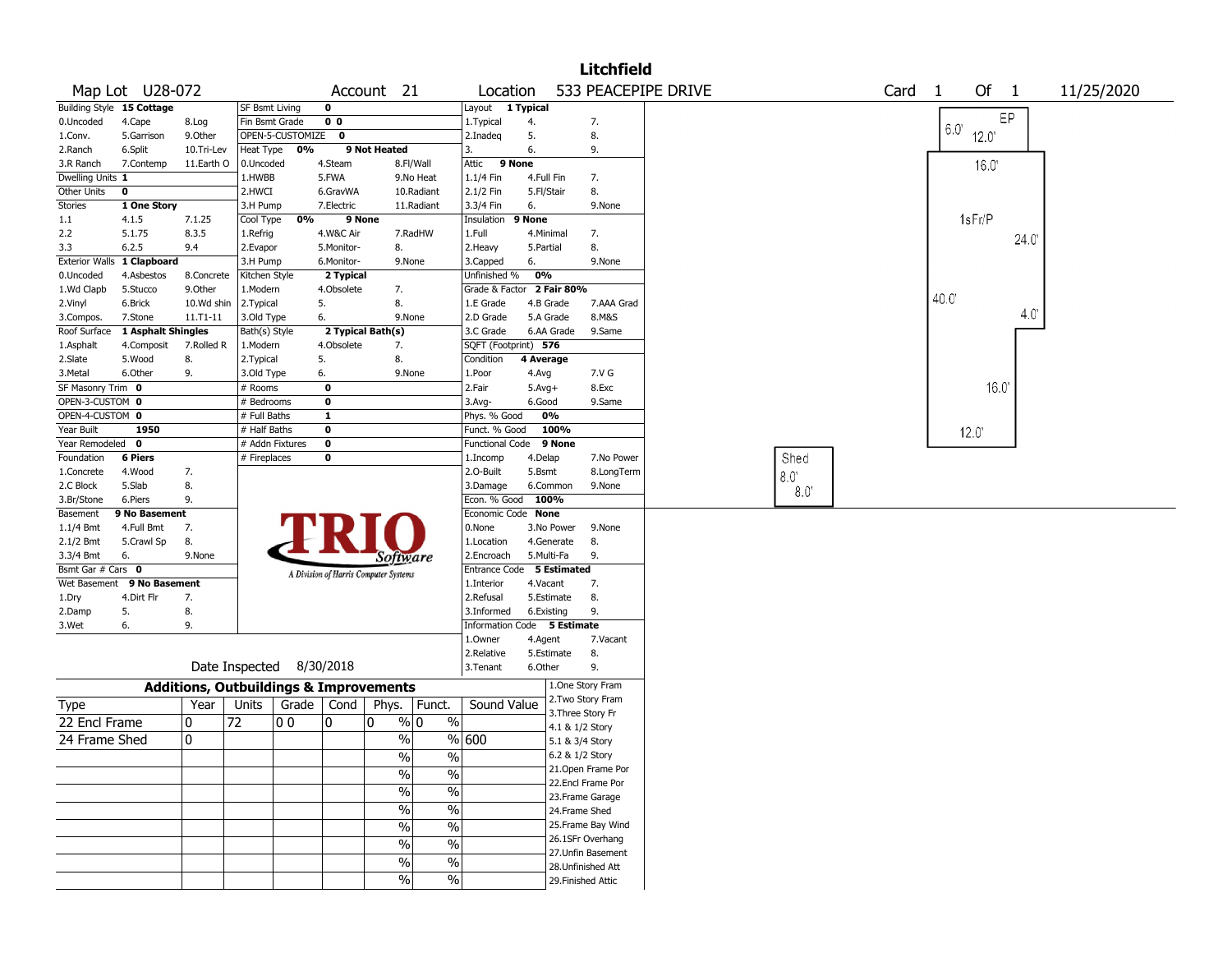|                              |                            |            |                          |                  |                   |                                                            |                         |                             |            |             | <b>Litchfield</b>                       |                     |             |      |              |             |             |            |
|------------------------------|----------------------------|------------|--------------------------|------------------|-------------------|------------------------------------------------------------|-------------------------|-----------------------------|------------|-------------|-----------------------------------------|---------------------|-------------|------|--------------|-------------|-------------|------------|
|                              | Map Lot U28-072            |            |                          |                  |                   | Account 21                                                 |                         | Location                    |            |             |                                         | 533 PEACEPIPE DRIVE |             | Card | $\mathbf{1}$ | Of 1        |             | 11/25/2020 |
|                              | Building Style 15 Cottage  |            | SF Bsmt Living           |                  | $\mathbf 0$       |                                                            |                         | Layout 1 Typical            |            |             |                                         |                     |             |      |              |             |             |            |
| 0.Uncoded                    | 4.Cape                     | 8.Log      | Fin Bsmt Grade           |                  | $\overline{0}$ 0  |                                                            |                         | 1. Typical                  | 4.         |             | 7.                                      |                     |             |      | $6.0^\circ$  |             | EP          |            |
| 1.Conv.                      | 5.Garrison                 | 9.Other    |                          | OPEN-5-CUSTOMIZE | 0                 |                                                            |                         | 2.Inadeg                    | 5.         |             | 8.                                      |                     |             |      |              | $120^\circ$ |             |            |
| 2.Ranch                      | 6.Split                    | 10.Tri-Lev | Heat Type                | 0%               |                   | 9 Not Heated                                               |                         | 3.                          | 6.         |             | 9.                                      |                     |             |      |              |             |             |            |
| 3.R Ranch                    | 7.Contemp                  | 11.Earth O | 0.Uncoded                |                  | 4.Steam           | 8.Fl/Wall                                                  |                         | Attic                       | 9 None     |             |                                         |                     |             |      |              | 16.0        |             |            |
| Dwelling Units 1             |                            |            | 1.HWBB                   |                  | 5.FWA             | 9.No Heat                                                  |                         | 1.1/4 Fin                   |            | 4.Full Fin  | 7.                                      |                     |             |      |              |             |             |            |
| Other Units                  | $\mathbf 0$                |            | 2.HWCI                   |                  | 6.GravWA          | 10.Radiant                                                 |                         | 2.1/2 Fin                   | 5.Fl/Stair |             | 8.                                      |                     |             |      |              |             |             |            |
| Stories                      | 1 One Story                |            | 3.H Pump                 |                  | 7.Electric        | 11.Radiant                                                 |                         | 3.3/4 Fin                   | 6.         |             | 9.None                                  |                     |             |      |              |             |             |            |
| $1.1\,$                      | 4.1.5                      | 7.1.25     | Cool Type                | 0%               | 9 None            |                                                            |                         | Insulation                  | 9 None     |             |                                         |                     |             |      |              | 1sFr/P      |             |            |
| 2.2                          | 5.1.75                     | 8.3.5      | 1.Refrig                 |                  | 4.W&C Air         | 7.RadHW                                                    |                         | 1.Full                      |            | 4.Minimal   | 7.                                      |                     |             |      |              |             | 24.0        |            |
| 3.3                          | 6.2.5                      | 9.4        | 2.Evapor                 |                  | 5.Monitor-        | 8.                                                         |                         | 2. Heavy                    | 5.Partial  |             | 8.                                      |                     |             |      |              |             |             |            |
|                              | Exterior Walls 1 Clapboard |            | 3.H Pump                 |                  | 6.Monitor-        | 9.None                                                     |                         | 3.Capped                    | 6.         |             | 9.None                                  |                     |             |      |              |             |             |            |
| 0.Uncoded                    | 4.Asbestos                 | 8.Concrete | Kitchen Style            |                  | 2 Typical         |                                                            |                         | Unfinished %                | 0%         |             |                                         |                     |             |      |              |             |             |            |
| 1.Wd Clapb                   | 5.Stucco                   | 9.Other    | 1.Modern                 |                  | 4.Obsolete        | 7.                                                         |                         | Grade & Factor 2 Fair 80%   |            |             |                                         |                     |             |      |              |             |             |            |
| 2.Vinyl                      | 6.Brick                    | 10.Wd shin | 2. Typical               |                  | 5.                | 8.                                                         |                         | 1.E Grade                   |            | 4.B Grade   | 7.AAA Grad                              |                     |             |      | 40.0         |             |             |            |
| 3.Compos.                    | 7.Stone                    | 11.T1-11   | 3.Old Type               |                  | 6.                | 9.None                                                     |                         | 2.D Grade                   |            | 5.A Grade   | 8.M&S                                   |                     |             |      |              |             | $4.0^\circ$ |            |
| Roof Surface                 | 1 Asphalt Shingles         |            | Bath(s) Style            |                  | 2 Typical Bath(s) |                                                            |                         | 3.C Grade                   |            | 6.AA Grade  | 9.Same                                  |                     |             |      |              |             |             |            |
| 1.Asphalt                    | 4.Composit                 | 7.Rolled R | 1.Modern                 |                  | 4.Obsolete        | 7.                                                         |                         | SQFT (Footprint) 576        |            |             |                                         |                     |             |      |              |             |             |            |
| 2.Slate                      | 5.Wood                     | 8.         | 2. Typical               |                  | 5.                | 8.                                                         |                         | Condition                   | 4 Average  |             |                                         |                     |             |      |              |             |             |            |
| 3. Metal                     | 6.Other                    | 9.         | 3.Old Type               |                  | 6.                | 9.None                                                     |                         | 1.Poor                      | 4.Avg      |             | 7.V G                                   |                     |             |      |              |             |             |            |
| SF Masonry Trim 0            |                            |            | # Rooms                  |                  | $\mathbf 0$       |                                                            |                         | 2.Fair                      | $5.Avg+$   |             | 8.Exc                                   |                     |             |      |              | 16.0        |             |            |
| OPEN-3-CUSTOM 0              |                            |            | # Bedrooms               |                  | $\mathbf 0$       |                                                            |                         | 3.Avg-                      | 6.Good     |             | 9.Same                                  |                     |             |      |              |             |             |            |
| OPEN-4-CUSTOM 0              |                            |            | # Full Baths             |                  | $\mathbf{1}$      |                                                            |                         | Phys. % Good                |            | 0%          |                                         |                     |             |      |              |             |             |            |
| Year Built                   | 1950                       |            | # Half Baths             |                  | $\mathbf 0$       |                                                            |                         | Funct. % Good               |            | 100%        |                                         |                     |             |      |              | 12.0        |             |            |
| Year Remodeled               | 0                          |            | # Addn Fixtures          |                  | $\mathbf 0$       |                                                            |                         | Functional Code             |            | 9 None      |                                         |                     |             |      |              |             |             |            |
| Foundation                   | <b>6 Piers</b>             |            | # Fireplaces             |                  | $\mathbf 0$       |                                                            |                         | 1.Incomp                    | 4.Delap    |             | 7.No Power                              |                     | Shed        |      |              |             |             |            |
| 1.Concrete                   | 4.Wood                     | 7.         |                          |                  |                   |                                                            |                         | 2.O-Built                   | 5.Bsmt     |             | 8.LongTerm                              |                     |             |      |              |             |             |            |
| 2.C Block                    | 5.Slab                     | 8.         |                          |                  |                   |                                                            |                         | 3.Damage                    |            | 6.Common    | 9.None                                  |                     | $8.0^\circ$ |      |              |             |             |            |
| 3.Br/Stone                   | 6.Piers                    | 9.         |                          |                  |                   |                                                            |                         | Econ. % Good                | 100%       |             |                                         |                     | 8.0         |      |              |             |             |            |
| Basement                     | 9 No Basement              |            |                          |                  |                   |                                                            |                         | Economic Code None          |            |             |                                         |                     |             |      |              |             |             |            |
| 1.1/4 Bmt                    | 4.Full Bmt                 | 7.         |                          |                  |                   |                                                            |                         | 0.None                      |            | 3.No Power  | 9.None                                  |                     |             |      |              |             |             |            |
| 2.1/2 Bmt                    | 5.Crawl Sp                 | 8.         |                          |                  |                   |                                                            |                         | 1.Location                  |            | 4.Generate  | 8.                                      |                     |             |      |              |             |             |            |
| 3.3/4 Bmt                    | 6.                         | 9.None     |                          |                  |                   |                                                            |                         | 2.Encroach                  |            | 5.Multi-Fa  | 9.                                      |                     |             |      |              |             |             |            |
| Bsmt Gar # Cars 0            |                            |            |                          |                  |                   | Software                                                   |                         | Entrance Code               |            | 5 Estimated |                                         |                     |             |      |              |             |             |            |
|                              | Wet Basement 9 No Basement |            |                          |                  |                   | A Division of Harris Computer Systems                      |                         | 1.Interior                  | 4.Vacant   |             | 7.                                      |                     |             |      |              |             |             |            |
| 1.Dry                        | 4.Dirt Flr                 | 7.         |                          |                  |                   |                                                            |                         | 2.Refusal                   |            | 5.Estimate  | 8.                                      |                     |             |      |              |             |             |            |
| 2.Damp                       | 5.                         | 8.         |                          |                  |                   |                                                            |                         | 3.Informed                  |            | 6.Existing  | 9.                                      |                     |             |      |              |             |             |            |
| 3.Wet                        | 6.                         | 9.         |                          |                  |                   |                                                            |                         | Information Code 5 Estimate |            |             |                                         |                     |             |      |              |             |             |            |
|                              |                            |            |                          |                  |                   |                                                            |                         | 1.0wner                     | 4.Agent    |             | 7.Vacant                                |                     |             |      |              |             |             |            |
|                              |                            |            |                          |                  |                   |                                                            |                         | 2.Relative                  |            | 5.Estimate  | 8.                                      |                     |             |      |              |             |             |            |
|                              |                            |            | Date Inspected 8/30/2018 |                  |                   |                                                            |                         | 3.Tenant                    | 6.Other    |             | 9.                                      |                     |             |      |              |             |             |            |
|                              |                            |            |                          |                  |                   |                                                            |                         |                             |            |             | 1.One Story Fram                        |                     |             |      |              |             |             |            |
|                              |                            | Year       | Units                    | Grade            | Cond              | <b>Additions, Outbuildings &amp; Improvements</b><br>Phys. |                         | Sound Value                 |            |             | 2. Two Story Fram                       |                     |             |      |              |             |             |            |
| <b>Type</b><br>22 Encl Frame |                            | 0          | 72                       | 00               | 0                 | $\frac{9}{0}$ 0<br>10                                      | Funct.<br>$\frac{0}{0}$ |                             |            |             | 3. Three Story Fr                       |                     |             |      |              |             |             |            |
|                              |                            |            |                          |                  |                   |                                                            |                         |                             |            |             | 4.1 & 1/2 Story                         |                     |             |      |              |             |             |            |
| 24 Frame Shed                |                            | 0          |                          |                  |                   | $\%$                                                       |                         | % 600                       |            |             | 5.1 & 3/4 Story                         |                     |             |      |              |             |             |            |
|                              |                            |            |                          |                  |                   | $\%$                                                       | $\sqrt{2}$              |                             |            |             | 6.2 & 1/2 Story                         |                     |             |      |              |             |             |            |
|                              |                            |            |                          |                  |                   | $\%$                                                       | $\%$                    |                             |            |             | 21. Open Frame Por<br>22.Encl Frame Por |                     |             |      |              |             |             |            |
|                              |                            |            |                          |                  |                   | $\%$                                                       | $\frac{9}{6}$           |                             |            |             | 23. Frame Garage                        |                     |             |      |              |             |             |            |
|                              |                            |            |                          |                  |                   | $\%$                                                       | $\frac{9}{6}$           |                             |            |             | 24.Frame Shed                           |                     |             |      |              |             |             |            |
|                              |                            |            |                          |                  |                   | $\%$                                                       | $\frac{0}{6}$           |                             |            |             | 25. Frame Bay Wind                      |                     |             |      |              |             |             |            |
|                              |                            |            |                          |                  |                   | $\%$                                                       | $\sqrt{6}$              |                             |            |             | 26.1SFr Overhang                        |                     |             |      |              |             |             |            |
|                              |                            |            |                          |                  |                   | $\%$                                                       | $\sqrt{6}$              |                             |            |             | 27. Unfin Basement                      |                     |             |      |              |             |             |            |
|                              |                            |            |                          |                  |                   |                                                            |                         |                             |            |             | 28. Unfinished Att                      |                     |             |      |              |             |             |            |
|                              |                            |            |                          |                  |                   | $\%$                                                       | %                       |                             |            |             | 29. Finished Attic                      |                     |             |      |              |             |             |            |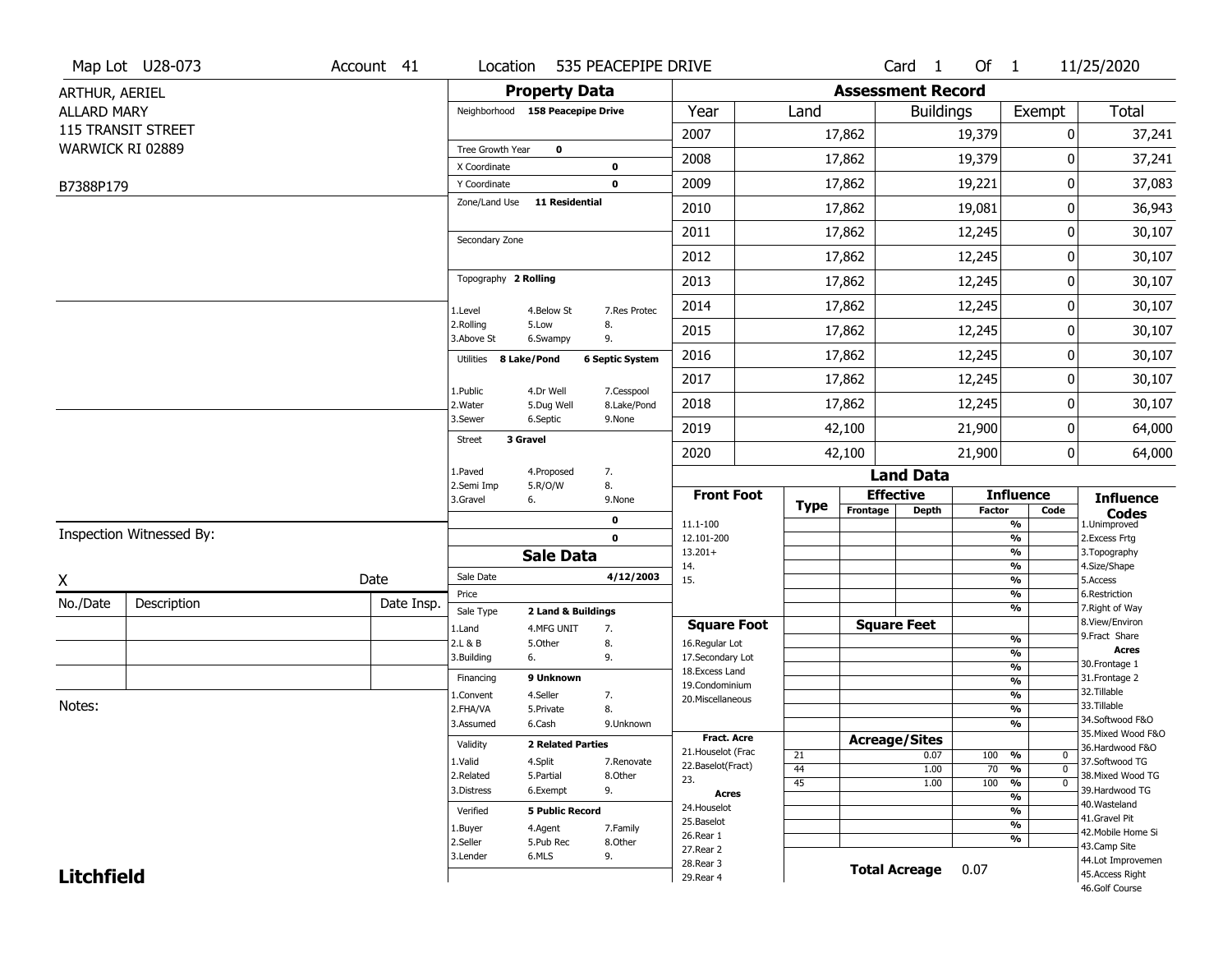|                    | Map Lot U28-073           | Account 41 | Location                         |                          | 535 PEACEPIPE DRIVE    |                                         |             |                          | Card <sub>1</sub>    | Of $1$        |                                               | 11/25/2020                            |
|--------------------|---------------------------|------------|----------------------------------|--------------------------|------------------------|-----------------------------------------|-------------|--------------------------|----------------------|---------------|-----------------------------------------------|---------------------------------------|
| ARTHUR, AERIEL     |                           |            |                                  | <b>Property Data</b>     |                        |                                         |             | <b>Assessment Record</b> |                      |               |                                               |                                       |
| <b>ALLARD MARY</b> |                           |            | Neighborhood 158 Peacepipe Drive |                          |                        | Year                                    | Land        |                          | <b>Buildings</b>     |               | Exempt                                        | <b>Total</b>                          |
|                    | <b>115 TRANSIT STREET</b> |            |                                  |                          |                        | 2007                                    |             | 17,862                   |                      | 19,379        | 0                                             | 37,241                                |
|                    | WARWICK RI 02889          |            | Tree Growth Year                 | $\mathbf 0$              |                        |                                         |             |                          |                      |               | 0                                             |                                       |
|                    |                           |            | X Coordinate                     |                          | $\mathbf 0$            | 2008                                    |             | 17,862                   |                      | 19,379        |                                               | 37,241                                |
| B7388P179          |                           |            | Y Coordinate                     |                          | $\mathbf 0$            | 2009                                    |             | 17,862                   |                      | 19,221        | 0                                             | 37,083                                |
|                    |                           |            | Zone/Land Use                    | <b>11 Residential</b>    |                        | 2010                                    |             | 17,862                   |                      | 19,081        | 0                                             | 36,943                                |
|                    |                           |            | Secondary Zone                   |                          |                        | 2011                                    |             | 17,862                   |                      | 12,245        | 0                                             | 30,107                                |
|                    |                           |            |                                  |                          |                        | 2012                                    |             | 17,862                   |                      | 12,245        | 0                                             | 30,107                                |
|                    |                           |            | Topography 2 Rolling             |                          |                        | 2013                                    |             | 17,862                   |                      | 12,245        | 0                                             | 30,107                                |
|                    |                           |            | 1.Level                          | 4.Below St               | 7.Res Protec           | 2014                                    |             | 17,862                   |                      | 12,245        | 0                                             | 30,107                                |
|                    |                           |            | 2.Rolling<br>3.Above St          | 5.Low<br>6.Swampy        | 8.<br>9.               | 2015                                    |             | 17,862                   |                      | 12,245        | 0                                             | 30,107                                |
|                    |                           |            | Utilities 8 Lake/Pond            |                          | <b>6 Septic System</b> | 2016                                    |             | 17,862                   |                      | 12,245        | 0                                             | 30,107                                |
|                    |                           |            | 1.Public                         | 4.Dr Well                | 7.Cesspool             | 2017                                    |             | 17,862                   |                      | 12,245        | 0                                             | 30,107                                |
|                    |                           |            | 2. Water                         | 5.Dug Well               | 8.Lake/Pond            | 2018                                    |             | 17,862                   |                      | 12,245        | 0                                             | 30,107                                |
|                    |                           |            | 3.Sewer<br>3 Gravel              | 6.Septic                 | 9.None                 | 2019                                    |             | 42,100                   |                      | 21,900        | 0                                             | 64,000                                |
|                    |                           |            | <b>Street</b>                    |                          |                        | 2020                                    |             | 42,100                   |                      | 21,900        | 0                                             | 64,000                                |
|                    |                           |            | 1.Paved                          | 4.Proposed               | 7.                     |                                         |             |                          | <b>Land Data</b>     |               |                                               |                                       |
|                    |                           |            | 2.Semi Imp<br>3.Gravel           | 5.R/O/W<br>6.            | 8.<br>9.None           | <b>Front Foot</b>                       | <b>Type</b> |                          | <b>Effective</b>     |               | <b>Influence</b>                              | <b>Influence</b>                      |
|                    |                           |            |                                  |                          | $\mathbf 0$            | 11.1-100                                |             | Frontage                 | <b>Depth</b>         | <b>Factor</b> | Code<br>%                                     | <b>Codes</b><br>1.Unimproved          |
|                    | Inspection Witnessed By:  |            |                                  |                          | $\mathbf 0$            | 12.101-200                              |             |                          |                      |               | $\frac{9}{6}$                                 | 2.Excess Frtg                         |
|                    |                           |            |                                  | <b>Sale Data</b>         |                        | $13.201+$<br>14.                        |             |                          |                      |               | $\frac{9}{6}$<br>%                            | 3. Topography<br>4.Size/Shape         |
| X                  |                           | Date       | Sale Date                        |                          | 4/12/2003              | 15.                                     |             |                          |                      |               | $\frac{9}{6}$                                 | 5.Access                              |
| No./Date           | Description               | Date Insp. | Price                            |                          |                        |                                         |             |                          |                      |               | $\frac{9}{6}$<br>%                            | 6.Restriction<br>7. Right of Way      |
|                    |                           |            | Sale Type                        | 2 Land & Buildings       |                        | <b>Square Foot</b>                      |             |                          | <b>Square Feet</b>   |               |                                               | 8.View/Environ                        |
|                    |                           |            | 1.Land<br>2.L & B                | 4.MFG UNIT<br>5.Other    | 7.<br>8.               | 16.Regular Lot                          |             |                          |                      |               | $\frac{9}{6}$                                 | 9.Fract Share                         |
|                    |                           |            | 3.Building                       | 6.                       | 9.                     | 17.Secondary Lot                        |             |                          |                      |               | $\frac{9}{6}$                                 | <b>Acres</b><br>30. Frontage 1        |
|                    |                           |            | Financing                        | 9 Unknown                |                        | 18.Excess Land                          |             |                          |                      |               | $\frac{9}{6}$<br>$\frac{9}{6}$                | 31. Frontage 2                        |
|                    |                           |            | 1.Convent                        | 4.Seller                 | 7.                     | 19.Condominium<br>20.Miscellaneous      |             |                          |                      |               | $\frac{9}{6}$                                 | 32. Tillable                          |
| Notes:             |                           |            | 2.FHA/VA                         | 5.Private                | 8.                     |                                         |             |                          |                      |               | $\frac{9}{6}$                                 | 33.Tillable                           |
|                    |                           |            | 3.Assumed                        | 6.Cash                   | 9.Unknown              |                                         |             |                          |                      |               | $\frac{9}{6}$                                 | 34.Softwood F&O                       |
|                    |                           |            | Validity                         | <b>2 Related Parties</b> |                        | <b>Fract. Acre</b>                      |             |                          | <b>Acreage/Sites</b> |               |                                               | 35. Mixed Wood F&O<br>36.Hardwood F&O |
|                    |                           |            | 1.Valid                          | 4.Split                  | 7.Renovate             | 21. Houselot (Frac<br>22.Baselot(Fract) | 21          |                          | 0.07                 | 100           | %<br>0                                        | 37.Softwood TG                        |
|                    |                           |            | 2.Related                        | 5.Partial                | 8.Other                | 23.                                     | 44          |                          | 1.00                 | 70            | $\frac{9}{6}$<br>$\mathbf 0$                  | 38. Mixed Wood TG                     |
|                    |                           |            | 3.Distress                       | 6.Exempt                 | 9.                     | <b>Acres</b>                            | 45          |                          | 1.00                 | 100           | $\frac{9}{6}$<br>$\mathbf 0$<br>$\frac{9}{6}$ | 39.Hardwood TG                        |
|                    |                           |            | Verified                         | <b>5 Public Record</b>   |                        | 24. Houselot                            |             |                          |                      |               | $\frac{9}{6}$                                 | 40. Wasteland                         |
|                    |                           |            |                                  | 4.Agent                  | 7.Family               | 25.Baselot                              |             |                          |                      |               | $\frac{9}{6}$                                 | 41.Gravel Pit                         |
|                    |                           |            | 1.Buyer<br>2.Seller              | 5.Pub Rec                | 8.Other                | 26.Rear 1                               |             |                          |                      |               | $\frac{9}{6}$                                 | 42. Mobile Home Si                    |
|                    |                           |            | 3.Lender                         | 6.MLS                    | 9.                     | 27.Rear 2                               |             |                          |                      |               |                                               | 43.Camp Site<br>44.Lot Improvemen     |
| <b>Litchfield</b>  |                           |            |                                  |                          |                        | 28. Rear 3<br>29. Rear 4                |             |                          | <b>Total Acreage</b> | 0.07          |                                               | 45.Access Right                       |
|                    |                           |            |                                  |                          |                        |                                         |             |                          |                      |               |                                               | 46.Golf Course                        |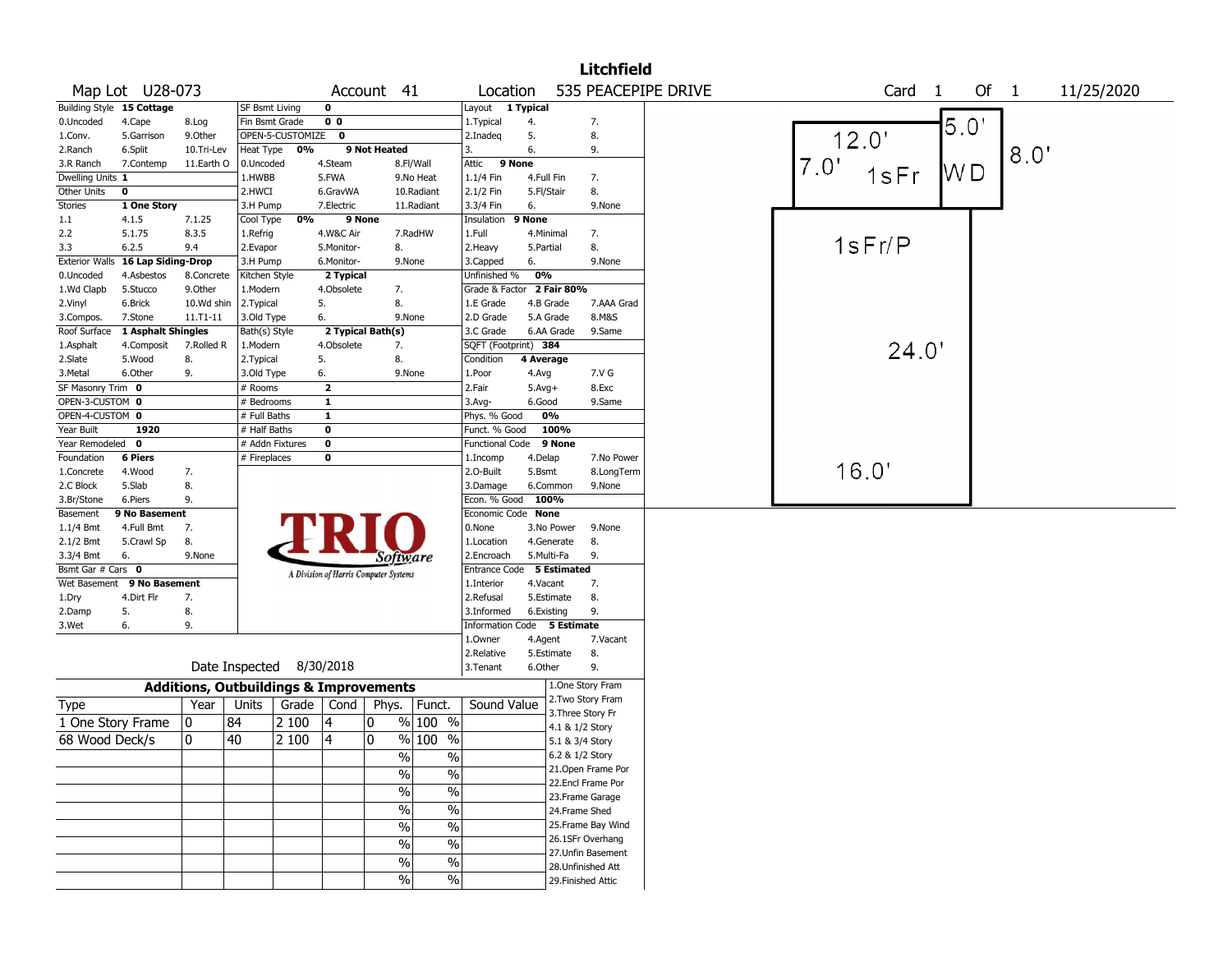|                                  |                           |                                                   |                       |                  |                                       |                   |               |                             |            |                    | <b>Litchfield</b>  |                     |      |        |                        |      |      |      |            |  |
|----------------------------------|---------------------------|---------------------------------------------------|-----------------------|------------------|---------------------------------------|-------------------|---------------|-----------------------------|------------|--------------------|--------------------|---------------------|------|--------|------------------------|------|------|------|------------|--|
|                                  | Map Lot U28-073           |                                                   |                       |                  |                                       | Account 41        |               | Location                    |            |                    |                    | 535 PEACEPIPE DRIVE |      |        | Card<br>$\overline{1}$ |      | Of 1 |      | 11/25/2020 |  |
| <b>Building Style</b>            | 15 Cottage                |                                                   | <b>SF Bsmt Living</b> |                  | 0                                     |                   |               | Layout 1 Typical            |            |                    |                    |                     |      |        |                        |      |      |      |            |  |
| 0.Uncoded                        | 4.Cape                    | 8.Log                                             | Fin Bsmt Grade        |                  | 0 <sub>0</sub>                        |                   |               | 1. Typical                  | 4.         |                    | 7.                 |                     |      |        |                        | 5.0' |      |      |            |  |
| 1.Conv.                          | 5.Garrison                | 9.Other                                           |                       | OPEN-5-CUSTOMIZE | $\mathbf 0$                           |                   |               | 2.Inadeq                    | 5.         |                    | 8.                 |                     |      | 12.0'  |                        |      |      |      |            |  |
| 2.Ranch                          | 6.Split                   | 10.Tri-Lev                                        | Heat Type             | 0%               |                                       | 9 Not Heated      |               | 3.                          | 6.         |                    | 9.                 |                     |      |        |                        |      |      | 8.0' |            |  |
| 3.R Ranch                        | 7.Contemp                 | 11.Earth O                                        | 0.Uncoded             |                  | 4.Steam                               |                   | 8.Fl/Wall     | Attic                       | 9 None     |                    |                    |                     | 7.0' |        |                        |      |      |      |            |  |
| Dwelling Units 1                 |                           |                                                   | 1.HWBB                |                  | 5.FWA                                 |                   | 9.No Heat     | 1.1/4 Fin                   | 4.Full Fin |                    | 7.                 |                     |      | 1sFr   |                        | W D  |      |      |            |  |
| Other Units                      | $\mathbf 0$               |                                                   | 2.HWCI                |                  | 6.GravWA                              |                   | 10.Radiant    | 2.1/2 Fin                   | 5.Fl/Stair |                    | 8.                 |                     |      |        |                        |      |      |      |            |  |
| Stories                          | 1 One Story               |                                                   | 3.H Pump              |                  | 7.Electric                            |                   | 11.Radiant    | 3.3/4 Fin                   | 6.         |                    | 9.None             |                     |      |        |                        |      |      |      |            |  |
| 1.1                              | 4.1.5                     | 7.1.25                                            | Cool Type             | 0%               | 9 None                                |                   |               | Insulation                  | 9 None     |                    |                    |                     |      |        |                        |      |      |      |            |  |
| 2.2                              | 5.1.75                    | 8.3.5                                             | 1.Refrig              |                  | 4.W&C Air                             |                   | 7.RadHW       | 1.Full                      |            | 4.Minimal          | 7.                 |                     |      |        |                        |      |      |      |            |  |
| 3.3                              | 6.2.5                     | 9.4                                               | 2.Evapor              |                  | 5.Monitor-                            | 8.                |               | 2. Heavy                    | 5.Partial  |                    | 8.                 |                     |      | 1sFr/P |                        |      |      |      |            |  |
| <b>Exterior Walls</b>            | <b>16 Lap Siding-Drop</b> |                                                   | 3.H Pump              |                  | 6.Monitor-                            |                   | 9.None        | 3.Capped                    | 6.         |                    | 9.None             |                     |      |        |                        |      |      |      |            |  |
| 0.Uncoded                        | 4.Asbestos                | 8.Concrete                                        | Kitchen Style         |                  | 2 Typical                             |                   |               | Unfinished %                | 0%         |                    |                    |                     |      |        |                        |      |      |      |            |  |
| 1.Wd Clapb                       | 5.Stucco                  | 9.0ther                                           | 1.Modern              |                  | 4.Obsolete                            | 7.                |               | Grade & Factor 2 Fair 80%   |            |                    |                    |                     |      |        |                        |      |      |      |            |  |
| 2.Vinyl                          | 6.Brick                   | 10.Wd shin                                        | 2. Typical            |                  | 5.                                    | 8.                |               | 1.E Grade                   |            | 4.B Grade          | 7.AAA Grad         |                     |      |        |                        |      |      |      |            |  |
| 3.Compos.                        | 7.Stone                   | 11.T1-11                                          | 3.Old Type            |                  | 6.                                    |                   | 9.None        | 2.D Grade                   |            | 5.A Grade          | 8.M&S              |                     |      |        |                        |      |      |      |            |  |
| Roof Surface                     | 1 Asphalt Shingles        |                                                   | Bath(s) Style         |                  |                                       | 2 Typical Bath(s) |               | 3.C Grade                   |            | 6.AA Grade         | 9.Same             |                     |      |        |                        |      |      |      |            |  |
| 1.Asphalt                        | 4.Composit                | 7.Rolled R                                        | 1.Modern              |                  | 4.Obsolete                            | 7.                |               | SQFT (Footprint) 384        |            |                    |                    |                     |      |        | 24.0'                  |      |      |      |            |  |
| 2.Slate                          | 5.Wood                    | 8.                                                | 2.Typical             |                  | 5.                                    | 8.                |               | Condition                   | 4 Average  |                    |                    |                     |      |        |                        |      |      |      |            |  |
| 3.Metal                          | 6.Other                   | 9.                                                | 3.Old Type            |                  | 6.                                    |                   | 9.None        | 1.Poor                      | 4.Avg      |                    | 7.V G              |                     |      |        |                        |      |      |      |            |  |
| SF Masonry Trim 0                |                           |                                                   | # Rooms               |                  | $\mathbf{2}$                          |                   |               | 2.Fair                      | $5.Avg+$   |                    | 8.Exc              |                     |      |        |                        |      |      |      |            |  |
| OPEN-3-CUSTOM 0                  |                           |                                                   | # Bedrooms            |                  | $\mathbf{1}$                          |                   |               | $3.$ Avg-                   | 6.Good     |                    | 9.Same             |                     |      |        |                        |      |      |      |            |  |
| OPEN-4-CUSTOM 0                  |                           |                                                   | # Full Baths          |                  | $\mathbf{1}$                          |                   |               | Phys. % Good                |            | 0%                 |                    |                     |      |        |                        |      |      |      |            |  |
| Year Built                       | 1920                      |                                                   | # Half Baths          |                  | 0                                     |                   |               | Funct. % Good               |            | 100%               |                    |                     |      |        |                        |      |      |      |            |  |
| Year Remodeled                   | 0                         |                                                   | # Addn Fixtures       |                  | 0                                     |                   |               | <b>Functional Code</b>      |            | 9 None             |                    |                     |      |        |                        |      |      |      |            |  |
| Foundation                       | <b>6 Piers</b>            |                                                   | # Fireplaces          |                  | 0                                     |                   |               | 1.Incomp                    | 4.Delap    |                    | 7.No Power         |                     |      |        |                        |      |      |      |            |  |
| 1.Concrete                       | 4.Wood                    | 7.                                                |                       |                  |                                       |                   |               | 2.0-Built                   | 5.Bsmt     |                    | 8.LongTerm         |                     |      | 16.0'  |                        |      |      |      |            |  |
| 2.C Block                        | 5.Slab                    | 8.                                                |                       |                  |                                       |                   |               | 3.Damage                    |            | 6.Common           | 9.None             |                     |      |        |                        |      |      |      |            |  |
| 3.Br/Stone                       | 6.Piers                   | 9.                                                |                       |                  |                                       |                   |               | Econ. % Good                |            | 100%               |                    |                     |      |        |                        |      |      |      |            |  |
| Basement                         | 9 No Basement             |                                                   |                       |                  |                                       |                   |               | Economic Code None          |            |                    |                    |                     |      |        |                        |      |      |      |            |  |
| 1.1/4 Bmt                        | 4.Full Bmt                | 7.                                                |                       |                  |                                       |                   |               | 0.None                      |            | 3.No Power         | 9.None             |                     |      |        |                        |      |      |      |            |  |
| 2.1/2 Bmt                        | 5.Crawl Sp                | 8.                                                |                       |                  |                                       |                   |               | 1.Location                  |            | 4.Generate         | 8.                 |                     |      |        |                        |      |      |      |            |  |
| 3.3/4 Bmt                        | 6.                        | 9.None                                            |                       |                  |                                       | Software          |               | 2.Encroach                  |            | 5.Multi-Fa         | 9.                 |                     |      |        |                        |      |      |      |            |  |
| Bsmt Gar $#$ Cars $\overline{0}$ |                           |                                                   |                       |                  | A Division of Harris Computer Systems |                   |               | <b>Entrance Code</b>        |            | <b>5 Estimated</b> |                    |                     |      |        |                        |      |      |      |            |  |
| Wet Basement                     | 9 No Basement             |                                                   |                       |                  |                                       |                   |               | 1.Interior                  | 4.Vacant   |                    | 7.                 |                     |      |        |                        |      |      |      |            |  |
| 1.Dry                            | 4.Dirt Flr                | 7.                                                |                       |                  |                                       |                   |               | 2.Refusal                   |            | 5.Estimate         | 8.                 |                     |      |        |                        |      |      |      |            |  |
| 2.Damp                           | 5.                        | 8.                                                |                       |                  |                                       |                   |               | 3.Informed                  |            | 6.Existing         | 9.                 |                     |      |        |                        |      |      |      |            |  |
| 3.Wet                            | 6.                        | 9.                                                |                       |                  |                                       |                   |               | Information Code 5 Estimate |            |                    |                    |                     |      |        |                        |      |      |      |            |  |
|                                  |                           |                                                   |                       |                  |                                       |                   |               | 1.0wner                     | 4.Agent    |                    | 7.Vacant           |                     |      |        |                        |      |      |      |            |  |
|                                  |                           |                                                   |                       |                  |                                       |                   |               | 2.Relative                  |            | 5.Estimate         | 8.                 |                     |      |        |                        |      |      |      |            |  |
|                                  |                           |                                                   | Date Inspected        |                  | 8/30/2018                             |                   |               | 3.Tenant                    | 6.Other    |                    | 9.                 |                     |      |        |                        |      |      |      |            |  |
|                                  |                           | <b>Additions, Outbuildings &amp; Improvements</b> |                       |                  |                                       |                   |               |                             |            |                    | 1.One Story Fram   |                     |      |        |                        |      |      |      |            |  |
| <b>Type</b>                      |                           | Year                                              | Units                 | Grade   Cond     |                                       | Phys.             | Funct.        | Sound Value                 |            |                    | 2. Two Story Fram  |                     |      |        |                        |      |      |      |            |  |
|                                  | 1 One Story Frame         | 0                                                 | 84                    | 2 100            | 14                                    | 10                | % 100 %       |                             |            | 4.1 & 1/2 Story    | 3. Three Story Fr  |                     |      |        |                        |      |      |      |            |  |
| 68 Wood Deck/s                   |                           | 0                                                 | 40                    | 2 100            | 4                                     | $\mathbf 0$       | % 100 %       |                             |            | 5.1 & 3/4 Story    |                    |                     |      |        |                        |      |      |      |            |  |
|                                  |                           |                                                   |                       |                  |                                       | $\%$              | $\%$          |                             |            | 6.2 & 1/2 Story    |                    |                     |      |        |                        |      |      |      |            |  |
|                                  |                           |                                                   |                       |                  |                                       |                   |               |                             |            |                    | 21. Open Frame Por |                     |      |        |                        |      |      |      |            |  |
|                                  |                           |                                                   |                       |                  |                                       | $\frac{0}{0}$     | $\frac{0}{0}$ |                             |            |                    | 22.Encl Frame Por  |                     |      |        |                        |      |      |      |            |  |
|                                  |                           |                                                   |                       |                  |                                       | $\frac{0}{6}$     | $\frac{0}{6}$ |                             |            |                    | 23.Frame Garage    |                     |      |        |                        |      |      |      |            |  |
|                                  |                           |                                                   |                       |                  |                                       | $\%$              | $\frac{0}{6}$ |                             |            | 24.Frame Shed      |                    |                     |      |        |                        |      |      |      |            |  |
|                                  |                           |                                                   |                       |                  |                                       | $\frac{1}{2}$     | $\frac{0}{6}$ |                             |            |                    | 25. Frame Bay Wind |                     |      |        |                        |      |      |      |            |  |
|                                  |                           |                                                   |                       |                  |                                       |                   |               |                             |            |                    | 26.1SFr Overhang   |                     |      |        |                        |      |      |      |            |  |
|                                  |                           |                                                   |                       |                  |                                       | $\frac{0}{0}$     | $\frac{1}{2}$ |                             |            |                    | 27. Unfin Basement |                     |      |        |                        |      |      |      |            |  |
|                                  |                           |                                                   |                       |                  |                                       | $\%$              | $\frac{1}{2}$ |                             |            |                    | 28. Unfinished Att |                     |      |        |                        |      |      |      |            |  |
|                                  |                           |                                                   |                       |                  |                                       | $\frac{0}{0}$     | $\%$          |                             |            |                    | 29.Finished Attic  |                     |      |        |                        |      |      |      |            |  |
|                                  |                           |                                                   |                       |                  |                                       |                   |               |                             |            |                    |                    |                     |      |        |                        |      |      |      |            |  |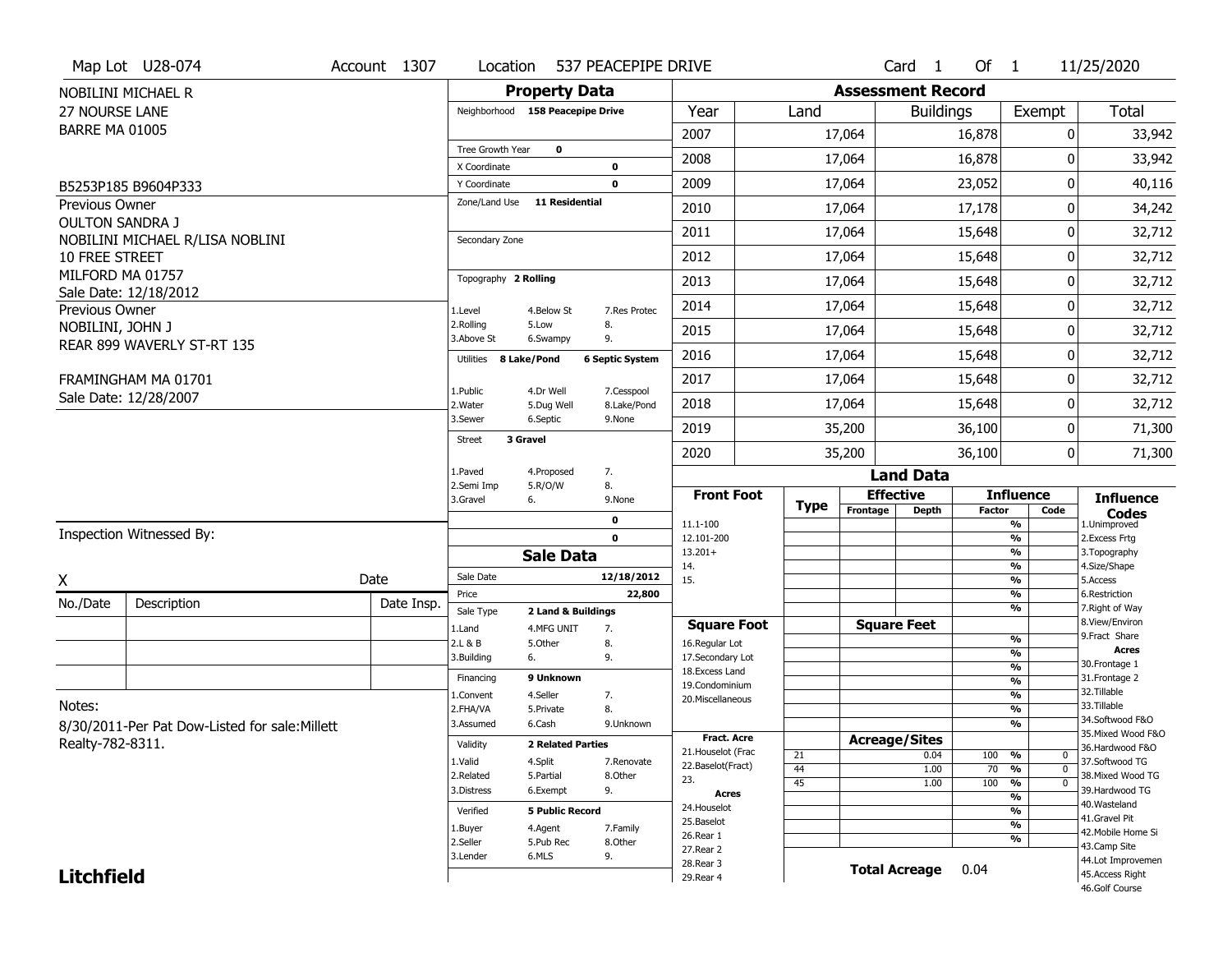| <b>Assessment Record</b><br><b>Property Data</b><br>NOBILINI MICHAEL R<br><b>Total</b><br>Year<br><b>27 NOURSE LANE</b><br>Neighborhood 158 Peacepipe Drive<br>Land<br><b>Buildings</b><br>Exempt<br><b>BARRE MA 01005</b><br>2007<br>17,064<br>16,878<br>0<br><b>Tree Growth Year</b><br>$\mathbf{o}$<br>2008<br>33,942<br>17,064<br>16,878<br>0<br>X Coordinate<br>0<br>2009<br>23,052<br>0<br>40,116<br>17,064<br>0<br>Y Coordinate<br>B5253P185 B9604P333<br>Zone/Land Use<br>11 Residential<br>Previous Owner<br>2010<br>17,064<br>17,178<br>34,242<br>0<br><b>OULTON SANDRA J</b><br>2011<br>32,712<br>17,064<br>15,648<br>0<br>NOBILINI MICHAEL R/LISA NOBLINI<br>Secondary Zone<br>2012<br>17,064<br>15,648<br>0<br>10 FREE STREET<br>MILFORD MA 01757<br>Topography 2 Rolling<br>2013<br>15,648<br>17,064<br>0<br>Sale Date: 12/18/2012<br>2014<br>15,648<br>0<br>17,064<br>Previous Owner<br>1.Level<br>4.Below St<br>7.Res Protec<br>2.Rolling<br>8.<br>5.Low<br>NOBILINI, JOHN J<br>2015<br>15,648<br>17,064<br>0<br>3.Above St<br>9.<br>6.Swampy<br>REAR 899 WAVERLY ST-RT 135<br>2016<br>17,064<br>15,648<br>0<br>8 Lake/Pond | Map Lot U28-074 | Account 1307 | Location  | 537 PEACEPIPE DRIVE    |  |  | Card <sub>1</sub> | Of $1$ | 11/25/2020 |
|---------------------------------------------------------------------------------------------------------------------------------------------------------------------------------------------------------------------------------------------------------------------------------------------------------------------------------------------------------------------------------------------------------------------------------------------------------------------------------------------------------------------------------------------------------------------------------------------------------------------------------------------------------------------------------------------------------------------------------------------------------------------------------------------------------------------------------------------------------------------------------------------------------------------------------------------------------------------------------------------------------------------------------------------------------------------------------------------------------------------------------------------|-----------------|--------------|-----------|------------------------|--|--|-------------------|--------|------------|
|                                                                                                                                                                                                                                                                                                                                                                                                                                                                                                                                                                                                                                                                                                                                                                                                                                                                                                                                                                                                                                                                                                                                             |                 |              |           |                        |  |  |                   |        |            |
|                                                                                                                                                                                                                                                                                                                                                                                                                                                                                                                                                                                                                                                                                                                                                                                                                                                                                                                                                                                                                                                                                                                                             |                 |              |           |                        |  |  |                   |        |            |
|                                                                                                                                                                                                                                                                                                                                                                                                                                                                                                                                                                                                                                                                                                                                                                                                                                                                                                                                                                                                                                                                                                                                             |                 |              |           |                        |  |  |                   |        | 33,942     |
|                                                                                                                                                                                                                                                                                                                                                                                                                                                                                                                                                                                                                                                                                                                                                                                                                                                                                                                                                                                                                                                                                                                                             |                 |              |           |                        |  |  |                   |        |            |
|                                                                                                                                                                                                                                                                                                                                                                                                                                                                                                                                                                                                                                                                                                                                                                                                                                                                                                                                                                                                                                                                                                                                             |                 |              |           |                        |  |  |                   |        |            |
|                                                                                                                                                                                                                                                                                                                                                                                                                                                                                                                                                                                                                                                                                                                                                                                                                                                                                                                                                                                                                                                                                                                                             |                 |              |           |                        |  |  |                   |        |            |
|                                                                                                                                                                                                                                                                                                                                                                                                                                                                                                                                                                                                                                                                                                                                                                                                                                                                                                                                                                                                                                                                                                                                             |                 |              |           |                        |  |  |                   |        |            |
|                                                                                                                                                                                                                                                                                                                                                                                                                                                                                                                                                                                                                                                                                                                                                                                                                                                                                                                                                                                                                                                                                                                                             |                 |              |           |                        |  |  |                   |        |            |
|                                                                                                                                                                                                                                                                                                                                                                                                                                                                                                                                                                                                                                                                                                                                                                                                                                                                                                                                                                                                                                                                                                                                             |                 |              |           |                        |  |  |                   |        | 32,712     |
|                                                                                                                                                                                                                                                                                                                                                                                                                                                                                                                                                                                                                                                                                                                                                                                                                                                                                                                                                                                                                                                                                                                                             |                 |              |           |                        |  |  |                   |        | 32,712     |
|                                                                                                                                                                                                                                                                                                                                                                                                                                                                                                                                                                                                                                                                                                                                                                                                                                                                                                                                                                                                                                                                                                                                             |                 |              |           |                        |  |  |                   |        | 32,712     |
|                                                                                                                                                                                                                                                                                                                                                                                                                                                                                                                                                                                                                                                                                                                                                                                                                                                                                                                                                                                                                                                                                                                                             |                 |              |           |                        |  |  |                   |        | 32,712     |
|                                                                                                                                                                                                                                                                                                                                                                                                                                                                                                                                                                                                                                                                                                                                                                                                                                                                                                                                                                                                                                                                                                                                             |                 |              | Utilities | <b>6 Septic System</b> |  |  |                   |        | 32,712     |
| 2017<br>17,064<br>15,648<br>0<br>FRAMINGHAM MA 01701<br>1.Public<br>4.Dr Well<br>7.Cesspool                                                                                                                                                                                                                                                                                                                                                                                                                                                                                                                                                                                                                                                                                                                                                                                                                                                                                                                                                                                                                                                 |                 |              |           |                        |  |  |                   |        | 32,712     |
| Sale Date: 12/28/2007<br>2018<br>17,064<br>15,648<br>0<br>2. Water<br>5.Dug Well<br>8.Lake/Pond                                                                                                                                                                                                                                                                                                                                                                                                                                                                                                                                                                                                                                                                                                                                                                                                                                                                                                                                                                                                                                             |                 |              |           |                        |  |  |                   |        | 32,712     |
| 3.Sewer<br>6.Septic<br>9.None<br>2019<br>35,200<br>36,100<br>0<br>3 Gravel                                                                                                                                                                                                                                                                                                                                                                                                                                                                                                                                                                                                                                                                                                                                                                                                                                                                                                                                                                                                                                                                  |                 |              |           |                        |  |  |                   |        | 71,300     |
| Street<br>2020<br>35,200<br>36,100<br>0                                                                                                                                                                                                                                                                                                                                                                                                                                                                                                                                                                                                                                                                                                                                                                                                                                                                                                                                                                                                                                                                                                     |                 |              |           |                        |  |  |                   |        | 71,300     |
| 7.<br>1.Paved<br>4.Proposed<br><b>Land Data</b><br>2.Semi Imp                                                                                                                                                                                                                                                                                                                                                                                                                                                                                                                                                                                                                                                                                                                                                                                                                                                                                                                                                                                                                                                                               |                 |              |           |                        |  |  |                   |        |            |
| 8.<br>5.R/O/W<br><b>Effective</b><br><b>Influence</b><br><b>Front Foot</b><br><b>Influence</b><br>3.Gravel<br>6.<br>9.None<br><b>Type</b><br>Frontage<br><b>Depth</b><br><b>Factor</b><br>Code                                                                                                                                                                                                                                                                                                                                                                                                                                                                                                                                                                                                                                                                                                                                                                                                                                                                                                                                              |                 |              |           |                        |  |  |                   |        |            |
| Codes<br>0<br>11.1-100<br>%<br>1.Unimproved                                                                                                                                                                                                                                                                                                                                                                                                                                                                                                                                                                                                                                                                                                                                                                                                                                                                                                                                                                                                                                                                                                 |                 |              |           |                        |  |  |                   |        |            |
| Inspection Witnessed By:<br>2. Excess Frtg<br>$\mathbf 0$<br>12.101-200<br>%<br>$13.201+$<br>%<br>3. Topography                                                                                                                                                                                                                                                                                                                                                                                                                                                                                                                                                                                                                                                                                                                                                                                                                                                                                                                                                                                                                             |                 |              |           |                        |  |  |                   |        |            |
| <b>Sale Data</b><br>14.<br>%<br>4.Size/Shape                                                                                                                                                                                                                                                                                                                                                                                                                                                                                                                                                                                                                                                                                                                                                                                                                                                                                                                                                                                                                                                                                                |                 |              |           |                        |  |  |                   |        |            |
| Sale Date<br>12/18/2012<br>Date<br>X<br>15.<br>%<br>5.Access<br>22,800<br>$\frac{9}{6}$<br>6.Restriction<br>Price                                                                                                                                                                                                                                                                                                                                                                                                                                                                                                                                                                                                                                                                                                                                                                                                                                                                                                                                                                                                                           |                 |              |           |                        |  |  |                   |        |            |
| No./Date<br>Description<br>Date Insp.<br>%<br>7. Right of Way<br>Sale Type<br>2 Land & Buildings                                                                                                                                                                                                                                                                                                                                                                                                                                                                                                                                                                                                                                                                                                                                                                                                                                                                                                                                                                                                                                            |                 |              |           |                        |  |  |                   |        |            |
| 8.View/Environ<br><b>Square Feet</b><br><b>Square Foot</b><br>1.Land<br>4.MFG UNIT<br>7.                                                                                                                                                                                                                                                                                                                                                                                                                                                                                                                                                                                                                                                                                                                                                                                                                                                                                                                                                                                                                                                    |                 |              |           |                        |  |  |                   |        |            |
| 9. Fract Share<br>$\frac{9}{6}$<br>2.L & B<br>5.Other<br>8.<br>16.Regular Lot<br><b>Acres</b>                                                                                                                                                                                                                                                                                                                                                                                                                                                                                                                                                                                                                                                                                                                                                                                                                                                                                                                                                                                                                                               |                 |              |           |                        |  |  |                   |        |            |
| %<br>3.Building<br>9.<br>17.Secondary Lot<br>6.<br>30. Frontage 1<br>$\frac{9}{6}$<br>18.Excess Land                                                                                                                                                                                                                                                                                                                                                                                                                                                                                                                                                                                                                                                                                                                                                                                                                                                                                                                                                                                                                                        |                 |              |           |                        |  |  |                   |        |            |
| 9 Unknown<br>31. Frontage 2<br>Financing<br>$\frac{9}{6}$<br>19.Condominium                                                                                                                                                                                                                                                                                                                                                                                                                                                                                                                                                                                                                                                                                                                                                                                                                                                                                                                                                                                                                                                                 |                 |              |           |                        |  |  |                   |        |            |
| 32. Tillable<br>4.Seller<br>$\frac{9}{6}$<br>7.<br>1.Convent<br>20.Miscellaneous                                                                                                                                                                                                                                                                                                                                                                                                                                                                                                                                                                                                                                                                                                                                                                                                                                                                                                                                                                                                                                                            |                 |              |           |                        |  |  |                   |        |            |
| Notes:<br>33.Tillable<br>8.<br>$\frac{9}{6}$<br>2.FHA/VA<br>5.Private<br>34.Softwood F&O                                                                                                                                                                                                                                                                                                                                                                                                                                                                                                                                                                                                                                                                                                                                                                                                                                                                                                                                                                                                                                                    |                 |              |           |                        |  |  |                   |        |            |
| 6.Cash<br>$\%$<br>3.Assumed<br>9.Unknown<br>8/30/2011-Per Pat Dow-Listed for sale: Millett<br>35. Mixed Wood F&O<br><b>Fract. Acre</b>                                                                                                                                                                                                                                                                                                                                                                                                                                                                                                                                                                                                                                                                                                                                                                                                                                                                                                                                                                                                      |                 |              |           |                        |  |  |                   |        |            |
| <b>Acreage/Sites</b><br>Realty-782-8311.<br>Validity<br><b>2 Related Parties</b><br>36.Hardwood F&O<br>21. Houselot (Frac                                                                                                                                                                                                                                                                                                                                                                                                                                                                                                                                                                                                                                                                                                                                                                                                                                                                                                                                                                                                                   |                 |              |           |                        |  |  |                   |        |            |
| 21<br>0.04<br>100<br>%<br>0<br>1.Valid<br>4.Split<br>37.Softwood TG<br>7.Renovate<br>22.Baselot(Fract)<br>44<br>$\overline{0}$<br>1.00<br>70<br>%                                                                                                                                                                                                                                                                                                                                                                                                                                                                                                                                                                                                                                                                                                                                                                                                                                                                                                                                                                                           |                 |              |           |                        |  |  |                   |        |            |
| 38. Mixed Wood TG<br>2.Related<br>5.Partial<br>8.Other<br>23.<br>45<br>100<br>$\frac{1}{\sqrt{6}}$<br>$\overline{0}$<br>1.00                                                                                                                                                                                                                                                                                                                                                                                                                                                                                                                                                                                                                                                                                                                                                                                                                                                                                                                                                                                                                |                 |              |           |                        |  |  |                   |        |            |
| 39.Hardwood TG<br>9.<br>3.Distress<br>6.Exempt<br><b>Acres</b><br>%                                                                                                                                                                                                                                                                                                                                                                                                                                                                                                                                                                                                                                                                                                                                                                                                                                                                                                                                                                                                                                                                         |                 |              |           |                        |  |  |                   |        |            |
| 40. Wasteland<br>24. Houselot<br><b>5 Public Record</b><br>%<br>Verified<br>41.Gravel Pit                                                                                                                                                                                                                                                                                                                                                                                                                                                                                                                                                                                                                                                                                                                                                                                                                                                                                                                                                                                                                                                   |                 |              |           |                        |  |  |                   |        |            |
| 25.Baselot<br>%<br>1.Buyer<br>4.Agent<br>7.Family<br>42. Mobile Home Si                                                                                                                                                                                                                                                                                                                                                                                                                                                                                                                                                                                                                                                                                                                                                                                                                                                                                                                                                                                                                                                                     |                 |              |           |                        |  |  |                   |        |            |
| 26.Rear 1<br>%<br>2.Seller<br>5.Pub Rec<br>8.0ther<br>43.Camp Site<br>27.Rear 2                                                                                                                                                                                                                                                                                                                                                                                                                                                                                                                                                                                                                                                                                                                                                                                                                                                                                                                                                                                                                                                             |                 |              |           |                        |  |  |                   |        |            |
| 6.MLS<br>9.<br>3.Lender<br>44.Lot Improvemen<br>28. Rear 3                                                                                                                                                                                                                                                                                                                                                                                                                                                                                                                                                                                                                                                                                                                                                                                                                                                                                                                                                                                                                                                                                  |                 |              |           |                        |  |  |                   |        |            |
| <b>Total Acreage</b><br>0.04<br><b>Litchfield</b><br>45.Access Right<br>29. Rear 4<br>46.Golf Course                                                                                                                                                                                                                                                                                                                                                                                                                                                                                                                                                                                                                                                                                                                                                                                                                                                                                                                                                                                                                                        |                 |              |           |                        |  |  |                   |        |            |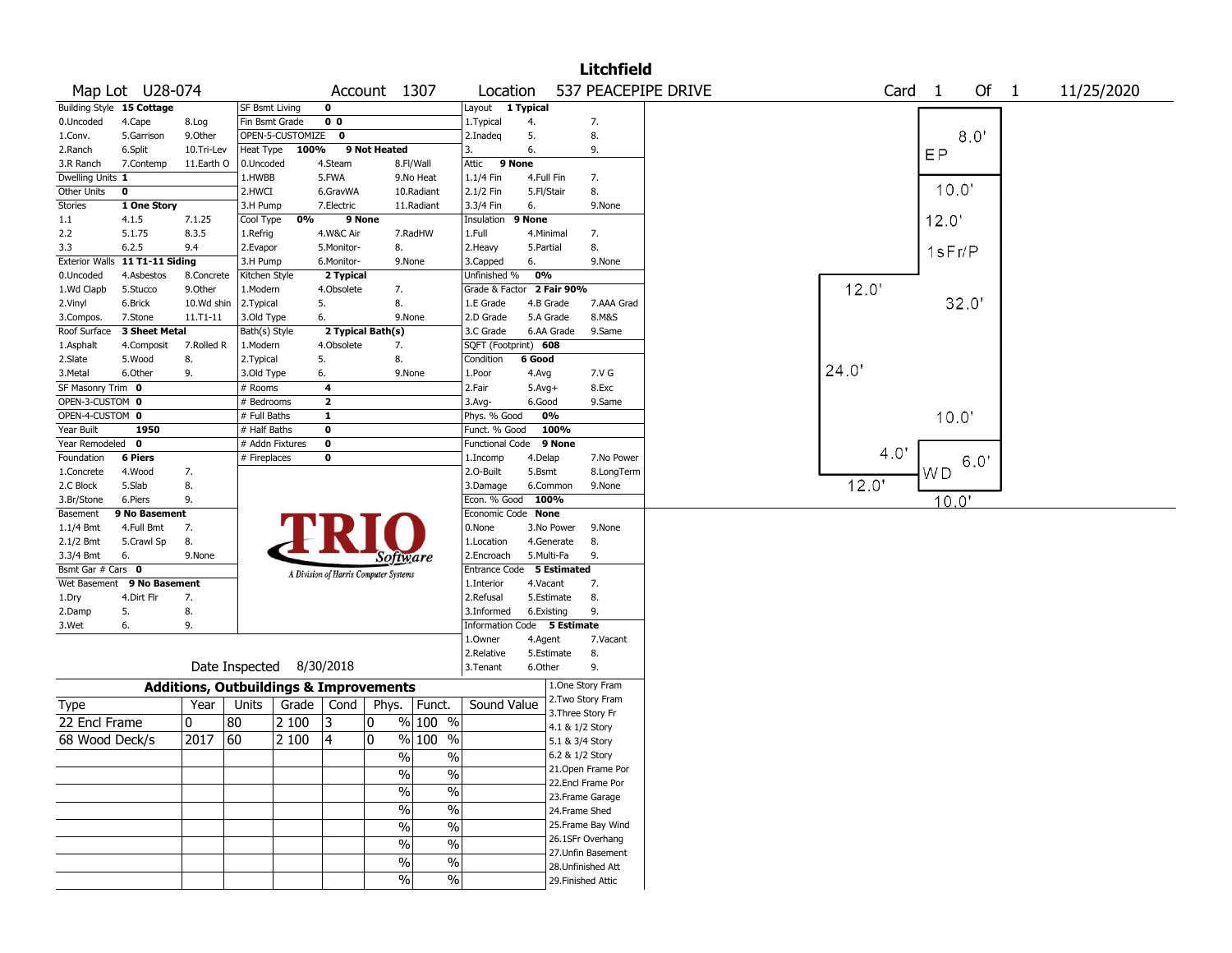|                   |                                |                                                   |                          |                  |                    |                                       |                          |                             |            |            | <b>Litchfield</b>  |                     |       |                   |        |        |            |  |
|-------------------|--------------------------------|---------------------------------------------------|--------------------------|------------------|--------------------|---------------------------------------|--------------------------|-----------------------------|------------|------------|--------------------|---------------------|-------|-------------------|--------|--------|------------|--|
|                   | Map Lot U28-074                |                                                   |                          |                  |                    | Account 1307                          |                          | Location                    |            |            |                    | 537 PEACEPIPE DRIVE |       | Card <sub>1</sub> |        | Of $1$ | 11/25/2020 |  |
|                   | Building Style 15 Cottage      |                                                   | <b>SF Bsmt Living</b>    |                  | $\mathbf 0$        |                                       |                          | Layout 1 Typical            |            |            |                    |                     |       |                   |        |        |            |  |
| 0.Uncoded         | 4.Cape                         | 8.Log                                             | Fin Bsmt Grade           |                  | 0 <sub>0</sub>     |                                       |                          | 1. Typical                  | 4.         |            | 7.                 |                     |       |                   |        |        |            |  |
| 1.Conv.           | 5.Garrison                     | 9.0ther                                           |                          | OPEN-5-CUSTOMIZE | 0                  |                                       |                          | 2.Inadeg                    | 5.         |            | 8.                 |                     |       |                   |        | 8.0'   |            |  |
| 2.Ranch           | 6.Split                        | 10.Tri-Lev                                        | Heat Type                | 100%             |                    | 9 Not Heated                          |                          | 3.                          | 6.         |            | 9.                 |                     |       |                   | EP     |        |            |  |
| 3.R Ranch         | 7.Contemp                      | 11.Earth O                                        | 0.Uncoded                |                  | 4.Steam            |                                       | 8.Fl/Wall                | 9 None<br>Attic             |            |            |                    |                     |       |                   |        |        |            |  |
| Dwelling Units 1  |                                |                                                   | 1.HWBB                   |                  | 5.FWA              |                                       | 9.No Heat                | 1.1/4 Fin                   | 4.Full Fin |            | 7.                 |                     |       |                   |        |        |            |  |
| Other Units       | 0                              |                                                   | 2.HWCI                   |                  | 6.GravWA           |                                       | 10.Radiant               | 2.1/2 Fin                   | 5.Fl/Stair |            | 8.                 |                     |       |                   | 10.0'  |        |            |  |
| <b>Stories</b>    | 1 One Story                    |                                                   | 3.H Pump                 |                  | 7.Electric         |                                       | 11.Radiant               | 3.3/4 Fin                   | 6.         |            | 9.None             |                     |       |                   |        |        |            |  |
| 1.1               | 4.1.5                          | 7.1.25                                            | Cool Type                | 0%               |                    | 9 None                                |                          | Insulation                  | 9 None     |            |                    |                     |       |                   | 12.0'  |        |            |  |
| 2.2               | 5.1.75                         | 8.3.5                                             | 1.Refrig                 |                  | 4.W&C Air          |                                       | 7.RadHW                  | 1.Full                      | 4.Minimal  |            | 7.                 |                     |       |                   |        |        |            |  |
| 3.3               | 6.2.5                          | 9.4                                               | 2.Evapor                 |                  | 5.Monitor-         | 8.                                    |                          | 2. Heavy                    | 5.Partial  |            | 8.                 |                     |       |                   | 1sFr/P |        |            |  |
|                   | Exterior Walls 11 T1-11 Siding |                                                   | 3.H Pump                 |                  | 6.Monitor-         | 9.None                                |                          | 3.Capped                    | 6.         |            | 9.None             |                     |       |                   |        |        |            |  |
| 0.Uncoded         | 4.Asbestos                     | 8.Concrete                                        | Kitchen Style            |                  | 2 Typical          |                                       |                          | Unfinished %                | 0%         |            |                    |                     |       |                   |        |        |            |  |
| 1.Wd Clapb        | 5.Stucco                       | 9.Other                                           | 1.Modern                 |                  | 4.Obsolete         | 7.                                    |                          | Grade & Factor              |            | 2 Fair 90% |                    |                     | 12.0  |                   |        |        |            |  |
| 2.Vinyl           | 6.Brick                        | 10.Wd shin                                        | 2.Typical                |                  | 5.                 | 8.                                    |                          | 1.E Grade                   | 4.B Grade  |            | 7.AAA Grad         |                     |       |                   |        | 32.0'  |            |  |
| 3.Compos.         | 7.Stone                        | 11.T1-11                                          | 3.Old Type               |                  | 6.                 | 9.None                                |                          | 2.D Grade                   | 5.A Grade  |            | 8.M&S              |                     |       |                   |        |        |            |  |
| Roof Surface      | <b>3 Sheet Metal</b>           |                                                   | Bath(s) Style            |                  |                    | 2 Typical Bath(s)                     |                          | 3.C Grade                   |            | 6.AA Grade | 9.Same             |                     |       |                   |        |        |            |  |
| 1.Asphalt         | 4.Composit                     | 7.Rolled R                                        | 1.Modern                 |                  | 4.Obsolete         | 7.                                    |                          | SQFT (Footprint) 608        |            |            |                    |                     |       |                   |        |        |            |  |
| 2.Slate           | 5.Wood                         | 8.                                                | 2.Typical                |                  | 5.                 | 8.                                    |                          | Condition                   | 6 Good     |            |                    |                     |       |                   |        |        |            |  |
| 3.Metal           | 6.Other                        | 9.                                                | 3.Old Type               |                  | 6.                 | 9.None                                |                          | 1.Poor                      | 4.Avg      |            | 7.V G              |                     | 24.0' |                   |        |        |            |  |
| SF Masonry Trim 0 |                                |                                                   | # Rooms                  |                  | 4                  |                                       |                          | 2.Fair                      | $5.Avg+$   |            | 8.Exc              |                     |       |                   |        |        |            |  |
| OPEN-3-CUSTOM 0   |                                |                                                   | # Bedrooms               |                  | $\mathbf{2}$       |                                       |                          | 3.Avg-                      | 6.Good     |            | 9.Same             |                     |       |                   |        |        |            |  |
| OPEN-4-CUSTOM 0   |                                |                                                   | # Full Baths             |                  | $\mathbf{1}$       |                                       |                          | Phys. % Good                | 0%         |            |                    |                     |       |                   | 10.0'  |        |            |  |
| Year Built        | 1950                           |                                                   | # Half Baths             |                  | 0                  |                                       |                          | Funct. % Good               |            | 100%       |                    |                     |       |                   |        |        |            |  |
| Year Remodeled 0  |                                |                                                   | # Addn Fixtures          |                  | $\pmb{0}$          |                                       |                          | Functional Code             |            | 9 None     |                    |                     |       |                   |        |        |            |  |
| Foundation        | <b>6 Piers</b>                 |                                                   | # Fireplaces             |                  | 0                  |                                       |                          | 1.Incomp                    | 4.Delap    |            | 7.No Power         |                     |       | 4.0'              |        | 6.0'   |            |  |
| 1.Concrete        | 4.Wood                         | 7.                                                |                          |                  |                    |                                       |                          | 2.0-Built                   | 5.Bsmt     |            | 8.LongTerm         |                     |       |                   | WD     |        |            |  |
| 2.C Block         | 5.Slab                         | 8.                                                |                          |                  |                    |                                       |                          | 3.Damage                    |            | 6.Common   | 9.None             |                     | 12.0' |                   |        |        |            |  |
| 3.Br/Stone        | 6.Piers                        | 9.                                                |                          |                  |                    |                                       |                          | Econ. % Good                | 100%       |            |                    |                     |       |                   | 10.0'  |        |            |  |
| Basement          | 9 No Basement                  |                                                   |                          |                  |                    |                                       |                          | Economic Code None          |            |            |                    |                     |       |                   |        |        |            |  |
| $1.1/4$ Bmt       | 4.Full Bmt                     | 7.                                                |                          |                  |                    |                                       |                          | 0.None                      |            | 3.No Power | 9.None             |                     |       |                   |        |        |            |  |
| 2.1/2 Bmt         | 5.Crawl Sp                     | 8.                                                |                          |                  |                    |                                       |                          | 1.Location                  |            | 4.Generate | 8.                 |                     |       |                   |        |        |            |  |
| 3.3/4 Bmt         | 6.                             | 9.None                                            |                          |                  |                    | Software                              |                          | 2.Encroach                  | 5.Multi-Fa |            | 9.                 |                     |       |                   |        |        |            |  |
| Bsmt Gar # Cars 0 |                                |                                                   |                          |                  |                    | A Division of Harris Computer Systems |                          | Entrance Code 5 Estimated   |            |            |                    |                     |       |                   |        |        |            |  |
| Wet Basement      | 9 No Basement                  |                                                   |                          |                  |                    |                                       |                          | 1.Interior                  | 4.Vacant   |            | 7.                 |                     |       |                   |        |        |            |  |
| 1.Dry             | 4.Dirt Flr                     | 7.                                                |                          |                  |                    |                                       |                          | 2.Refusal                   |            | 5.Estimate | 8.                 |                     |       |                   |        |        |            |  |
| 2.Damp            | 5.                             | 8.                                                |                          |                  |                    |                                       |                          | 3.Informed                  | 6.Existing |            | 9.                 |                     |       |                   |        |        |            |  |
| 3.Wet             | 6.                             | 9.                                                |                          |                  |                    |                                       |                          | Information Code 5 Estimate |            |            |                    |                     |       |                   |        |        |            |  |
|                   |                                |                                                   |                          |                  |                    |                                       |                          | 1.0wner                     | 4.Agent    |            | 7.Vacant           |                     |       |                   |        |        |            |  |
|                   |                                |                                                   |                          |                  |                    |                                       |                          | 2.Relative                  |            | 5.Estimate | 8.                 |                     |       |                   |        |        |            |  |
|                   |                                |                                                   | Date Inspected 8/30/2018 |                  |                    |                                       |                          | 3.Tenant                    | 6.Other    |            | 9.                 |                     |       |                   |        |        |            |  |
|                   |                                | <b>Additions, Outbuildings &amp; Improvements</b> |                          |                  |                    |                                       |                          |                             |            |            | 1.One Story Fram   |                     |       |                   |        |        |            |  |
| Type              |                                | Year                                              | Units                    |                  | Grade $\vert$ Cond | Phys.                                 | Funct.                   | Sound Value                 |            |            | 2. Two Story Fram  |                     |       |                   |        |        |            |  |
|                   |                                |                                                   |                          |                  |                    |                                       |                          |                             |            |            | 3. Three Story Fr  |                     |       |                   |        |        |            |  |
| 22 Encl Frame     |                                | 10                                                | 80                       | 2 100            | 3                  | 0                                     | % 100 %                  |                             |            |            | 4.1 & 1/2 Story    |                     |       |                   |        |        |            |  |
| 68 Wood Deck/s    |                                | 2017                                              | 60                       | 2 100            | 4                  | 0                                     | % 100 %                  |                             |            |            | 5.1 & 3/4 Story    |                     |       |                   |        |        |            |  |
|                   |                                |                                                   |                          |                  |                    | $\frac{0}{0}$                         | $\%$                     |                             |            |            | 6.2 & 1/2 Story    |                     |       |                   |        |        |            |  |
|                   |                                |                                                   |                          |                  |                    | $\%$                                  | $\frac{0}{0}$            |                             |            |            | 21. Open Frame Por |                     |       |                   |        |        |            |  |
|                   |                                |                                                   |                          |                  |                    |                                       |                          |                             |            |            | 22.Encl Frame Por  |                     |       |                   |        |        |            |  |
|                   |                                |                                                   |                          |                  |                    | $\sqrt{6}$                            | $\frac{0}{0}$            |                             |            |            | 23. Frame Garage   |                     |       |                   |        |        |            |  |
|                   |                                |                                                   |                          |                  |                    | $\overline{\frac{0}{0}}$              | $\overline{\frac{0}{0}}$ |                             |            |            | 24.Frame Shed      |                     |       |                   |        |        |            |  |
|                   |                                |                                                   |                          |                  |                    | $\overline{\frac{0}{0}}$              | $\overline{\frac{0}{0}}$ |                             |            |            | 25. Frame Bay Wind |                     |       |                   |        |        |            |  |
|                   |                                |                                                   |                          |                  |                    | $\overline{\frac{0}{0}}$              | $\overline{\frac{0}{0}}$ |                             |            |            | 26.1SFr Overhang   |                     |       |                   |        |        |            |  |
|                   |                                |                                                   |                          |                  |                    | $\frac{0}{0}$                         | $\%$                     |                             |            |            | 27. Unfin Basement |                     |       |                   |        |        |            |  |
|                   |                                |                                                   |                          |                  |                    |                                       |                          |                             |            |            |                    |                     |       |                   |        |        |            |  |
|                   |                                |                                                   |                          |                  |                    | $\%$                                  | $\%$                     |                             |            |            | 28. Unfinished Att |                     |       |                   |        |        |            |  |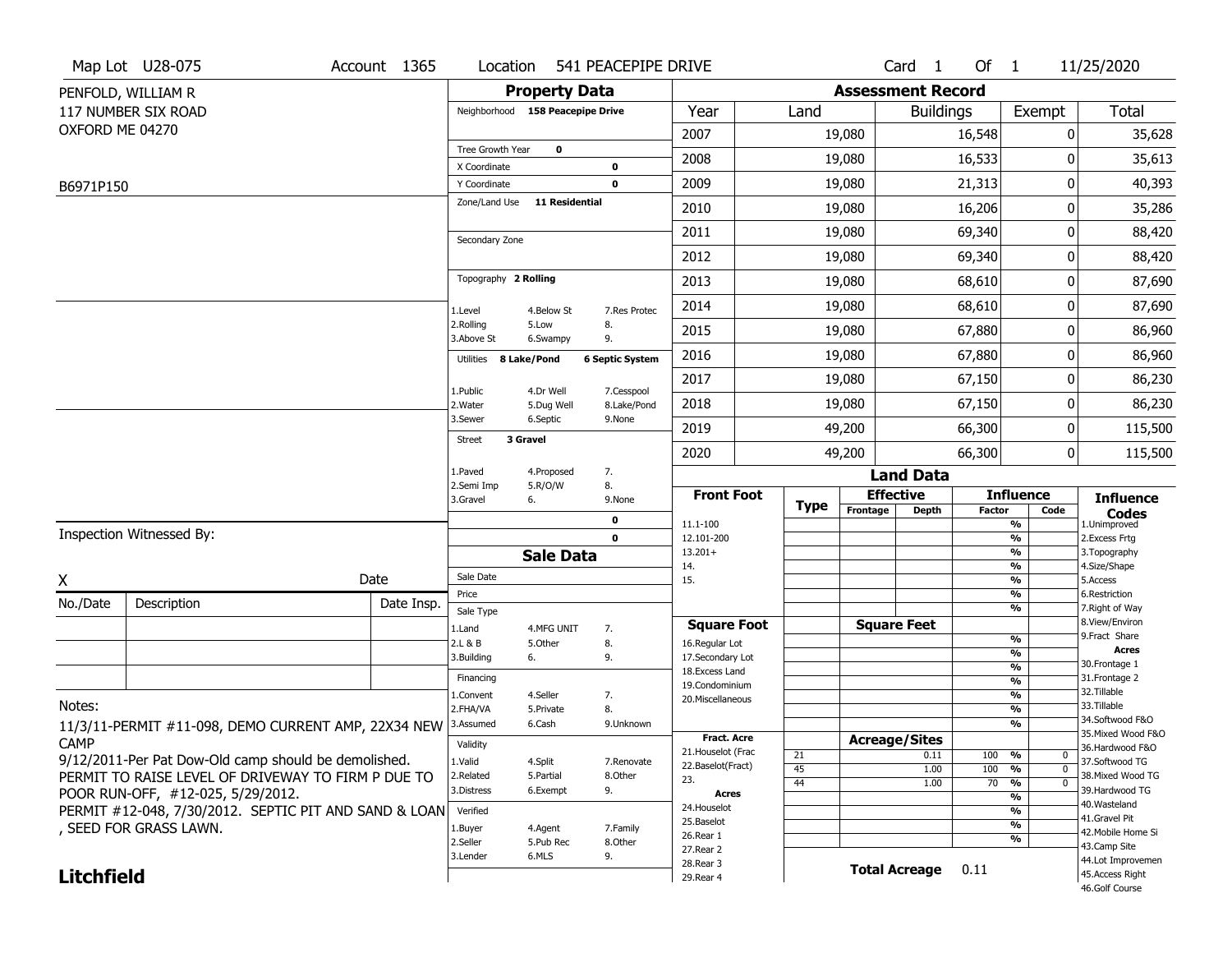|                   | Map Lot U28-075                                       | Account 1365 | Location                     |                                  | 541 PEACEPIPE DRIVE          |                                   |             |                          | Card <sub>1</sub>            | Of $1$        |                    | 11/25/2020                        |
|-------------------|-------------------------------------------------------|--------------|------------------------------|----------------------------------|------------------------------|-----------------------------------|-------------|--------------------------|------------------------------|---------------|--------------------|-----------------------------------|
|                   | PENFOLD, WILLIAM R                                    |              |                              | <b>Property Data</b>             |                              |                                   |             | <b>Assessment Record</b> |                              |               |                    |                                   |
|                   | 117 NUMBER SIX ROAD                                   |              |                              | Neighborhood 158 Peacepipe Drive |                              | Year                              | Land        |                          | <b>Buildings</b>             |               | Exempt             | <b>Total</b>                      |
| OXFORD ME 04270   |                                                       |              |                              |                                  |                              | 2007                              |             | 19,080                   |                              | 16,548        | 0                  | 35,628                            |
|                   |                                                       |              | Tree Growth Year             | 0                                |                              | 2008                              |             | 19,080                   |                              | 16,533        | 0                  | 35,613                            |
| B6971P150         |                                                       |              | X Coordinate<br>Y Coordinate |                                  | 0<br>0                       | 2009                              |             | 19,080                   |                              | 21,313        | 0                  | 40,393                            |
|                   |                                                       |              | Zone/Land Use                | 11 Residential                   |                              | 2010                              |             | 19,080                   |                              | 16,206        | 0                  | 35,286                            |
|                   |                                                       |              |                              |                                  |                              | 2011                              |             | 19,080                   |                              | 69,340        | 0                  | 88,420                            |
|                   |                                                       |              | Secondary Zone               |                                  |                              | 2012                              |             | 19,080                   |                              | 69,340        | 0                  | 88,420                            |
|                   |                                                       |              | Topography 2 Rolling         |                                  |                              | 2013                              |             | 19,080                   |                              | 68,610        | 0                  | 87,690                            |
|                   |                                                       |              |                              |                                  |                              | 2014                              |             | 19,080                   |                              | 68,610        | 0                  | 87,690                            |
|                   |                                                       |              | 1.Level<br>2.Rolling         | 4.Below St<br>5.Low              | 7.Res Protec<br>8.           | 2015                              |             | 19,080                   |                              | 67,880        | 0                  | 86,960                            |
|                   |                                                       |              | 3.Above St<br>Utilities      | 6.Swampy<br>8 Lake/Pond          | 9.<br><b>6 Septic System</b> | 2016                              |             | 19,080                   |                              | 67,880        | 0                  | 86,960                            |
|                   |                                                       |              |                              |                                  |                              | 2017                              |             | 19,080                   |                              | 67,150        | 0                  | 86,230                            |
|                   |                                                       |              | 1.Public<br>2. Water         | 4.Dr Well<br>5.Dug Well          | 7.Cesspool<br>8.Lake/Pond    | 2018                              |             | 19,080                   |                              | 67,150        | 0                  | 86,230                            |
|                   |                                                       |              | 3.Sewer                      | 6.Septic                         | 9.None                       | 2019                              |             | 49,200                   |                              | 66,300        | 0                  | 115,500                           |
|                   |                                                       |              | Street                       | 3 Gravel                         |                              | 2020                              |             | 49,200                   |                              | 66,300        | 0                  | 115,500                           |
|                   |                                                       |              | 1.Paved                      | 4.Proposed                       | 7.                           |                                   |             |                          | <b>Land Data</b>             |               |                    |                                   |
|                   |                                                       |              | 2.Semi Imp<br>3.Gravel       | 5.R/O/W<br>6.                    | 8.<br>9.None                 | <b>Front Foot</b>                 | <b>Type</b> |                          | <b>Effective</b>             |               | <b>Influence</b>   | <b>Influence</b>                  |
|                   |                                                       |              |                              |                                  | 0                            | 11.1-100                          |             | Frontage                 | <b>Depth</b>                 | <b>Factor</b> | Code<br>%          | <b>Codes</b><br>1.Unimproved      |
|                   | Inspection Witnessed By:                              |              |                              |                                  | $\mathbf 0$                  | 12.101-200                        |             |                          |                              |               | %                  | 2.Excess Frtg                     |
|                   |                                                       |              |                              | <b>Sale Data</b>                 |                              | $13.201+$<br>14.                  |             |                          |                              |               | %<br>%             | 3. Topography<br>4.Size/Shape     |
| X                 |                                                       | Date         | Sale Date                    |                                  |                              | 15.                               |             |                          |                              |               | %                  | 5.Access                          |
| No./Date          | Description                                           | Date Insp.   | Price                        |                                  |                              |                                   |             |                          |                              |               | $\frac{9}{6}$<br>% | 6.Restriction<br>7. Right of Way  |
|                   |                                                       |              | Sale Type<br>1.Land          | 4.MFG UNIT                       | 7.                           | <b>Square Foot</b>                |             |                          | <b>Square Feet</b>           |               |                    | 8.View/Environ                    |
|                   |                                                       |              | 2.L & B                      | 5.Other                          | 8.                           | 16.Regular Lot                    |             |                          |                              |               | $\frac{9}{6}$      | 9. Fract Share<br><b>Acres</b>    |
|                   |                                                       |              | 3.Building                   | 6.                               | 9.                           | 17.Secondary Lot                  |             |                          |                              |               | %<br>$\frac{9}{6}$ | 30. Frontage 1                    |
|                   |                                                       |              | Financing                    |                                  |                              | 18. Excess Land<br>19.Condominium |             |                          |                              |               | $\frac{9}{6}$      | 31. Frontage 2                    |
|                   |                                                       |              | 1.Convent                    | 4.Seller                         | 7.                           | 20.Miscellaneous                  |             |                          |                              |               | $\frac{9}{6}$      | 32. Tillable                      |
| Notes:            |                                                       |              | 2.FHA/VA                     | 5.Private                        | 8.                           |                                   |             |                          |                              |               | $\frac{9}{6}$      | 33.Tillable<br>34.Softwood F&O    |
|                   | 11/3/11-PERMIT #11-098, DEMO CURRENT AMP, 22X34 NEW   |              | 3.Assumed                    | 6.Cash                           | 9.Unknown                    | <b>Fract. Acre</b>                |             |                          |                              |               | %                  | 35. Mixed Wood F&O                |
| <b>CAMP</b>       |                                                       |              | Validity                     |                                  |                              | 21. Houselot (Frac                |             |                          | <b>Acreage/Sites</b><br>0.11 | 100           | %<br>0             | 36.Hardwood F&O                   |
|                   | 9/12/2011-Per Pat Dow-Old camp should be demolished.  |              | 1.Valid                      | 4.Split                          | 7.Renovate                   | 22.Baselot(Fract)                 | 21<br>45    |                          | 1.00                         | 100           | $\mathbf 0$<br>%   | 37.Softwood TG                    |
|                   | PERMIT TO RAISE LEVEL OF DRIVEWAY TO FIRM P DUE TO    |              | 2.Related                    | 5.Partial                        | 8.Other                      | 23.                               | 44          |                          | 1.00                         | 70            | %<br>$\mathbf 0$   | 38. Mixed Wood TG                 |
|                   | POOR RUN-OFF, #12-025, 5/29/2012.                     |              | 3.Distress                   | 6.Exempt                         | 9.                           | Acres                             |             |                          |                              |               | %                  | 39.Hardwood TG<br>40. Wasteland   |
|                   | PERMIT #12-048, 7/30/2012. SEPTIC PIT AND SAND & LOAN |              | Verified                     |                                  |                              | 24. Houselot                      |             |                          |                              |               | %                  | 41.Gravel Pit                     |
|                   | , SEED FOR GRASS LAWN.                                |              | 1.Buyer                      | 4.Agent                          | 7.Family                     | 25.Baselot<br>26.Rear 1           |             |                          |                              |               | %                  | 42. Mobile Home Si                |
|                   |                                                       |              | 2.Seller                     | 5.Pub Rec                        | 8.Other                      | 27.Rear 2                         |             |                          |                              |               | %                  | 43.Camp Site                      |
|                   |                                                       |              | 3.Lender                     | 6.MLS                            | 9.                           | 28. Rear 3                        |             |                          | <b>Total Acreage</b>         | 0.11          |                    | 44.Lot Improvemen                 |
| <b>Litchfield</b> |                                                       |              |                              |                                  |                              | 29. Rear 4                        |             |                          |                              |               |                    | 45.Access Right<br>46.Golf Course |